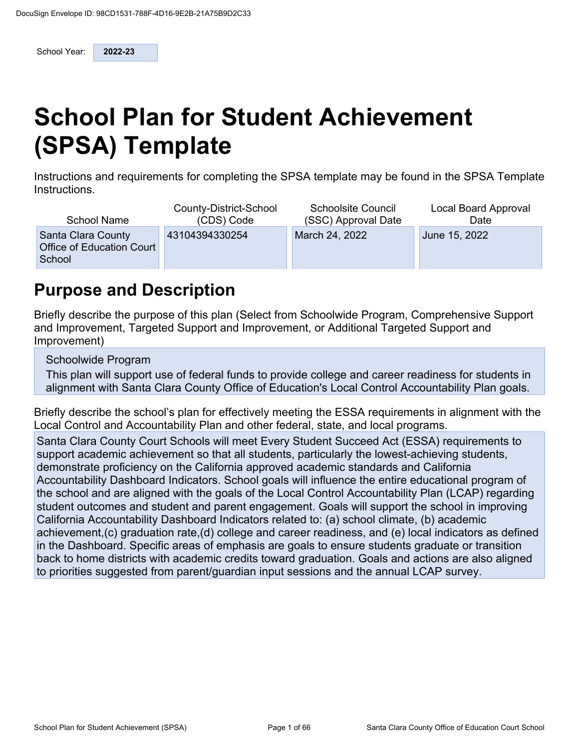School Year: **2022-23** 

# **School Plan for Student Achievement (SPSA) Template**

Instructions and requirements for completing the SPSA template may be found in the SPSA Template Instructions.

| <b>School Name</b>                                        | County-District-School | <b>Schoolsite Council</b> | Local Board Approval |
|-----------------------------------------------------------|------------------------|---------------------------|----------------------|
|                                                           | (CDS) Code             | (SSC) Approval Date       | Date                 |
| Santa Clara County<br>Office of Education Court<br>School | 43104394330254         | March 24, 2022            | June 15, 2022        |

## **Purpose and Description**

Briefly describe the purpose of this plan (Select from Schoolwide Program, Comprehensive Support and Improvement, Targeted Support and Improvement, or Additional Targeted Support and Improvement)

Schoolwide Program

This plan will support use of federal funds to provide college and career readiness for students in alignment with Santa Clara County Office of Education's Local Control Accountability Plan goals.

Briefly describe the school's plan for effectively meeting the ESSA requirements in alignment with the Local Control and Accountability Plan and other federal, state, and local programs.

Santa Clara County Court Schools will meet Every Student Succeed Act (ESSA) requirements to support academic achievement so that all students, particularly the lowest-achieving students, demonstrate proficiency on the California approved academic standards and California Accountability Dashboard Indicators. School goals will influence the entire educational program of the school and are aligned with the goals of the Local Control Accountability Plan (LCAP) regarding student outcomes and student and parent engagement. Goals will support the school in improving California Accountability Dashboard Indicators related to: (a) school climate, (b) academic achievement,(c) graduation rate,(d) college and career readiness, and (e) local indicators as defined in the Dashboard. Specific areas of emphasis are goals to ensure students graduate or transition back to home districts with academic credits toward graduation. Goals and actions are also aligned to priorities suggested from parent/guardian input sessions and the annual LCAP survey.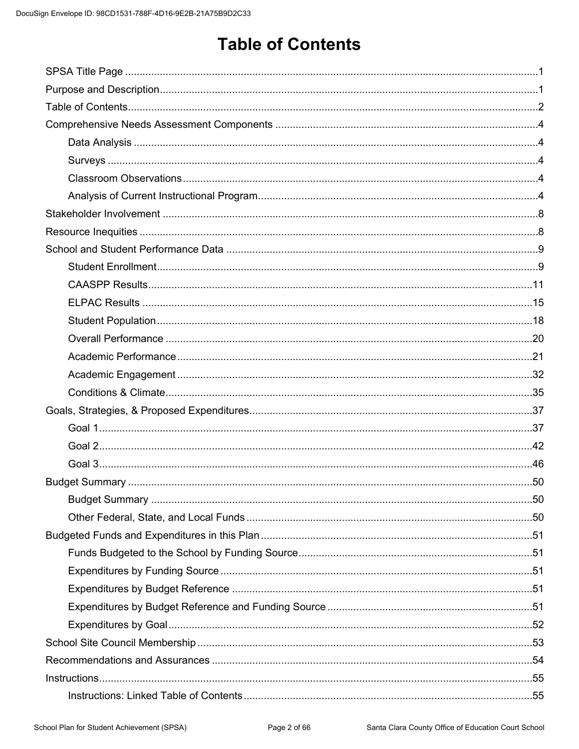# **Table of Contents**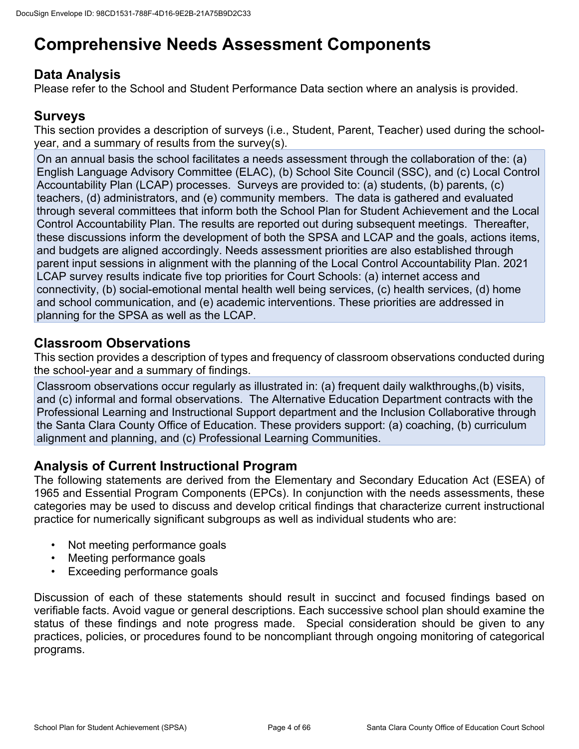# **Comprehensive Needs Assessment Components**

## **Data Analysis**

Please refer to the School and Student Performance Data section where an analysis is provided.

## **Surveys**

This section provides a description of surveys (i.e., Student, Parent, Teacher) used during the schoolyear, and a summary of results from the survey(s).

On an annual basis the school facilitates a needs assessment through the collaboration of the: (a) English Language Advisory Committee (ELAC), (b) School Site Council (SSC), and (c) Local Control Accountability Plan (LCAP) processes. Surveys are provided to: (a) students, (b) parents, (c) teachers, (d) administrators, and (e) community members. The data is gathered and evaluated through several committees that inform both the School Plan for Student Achievement and the Local Control Accountability Plan. The results are reported out during subsequent meetings. Thereafter, these discussions inform the development of both the SPSA and LCAP and the goals, actions items, and budgets are aligned accordingly. Needs assessment priorities are also established through parent input sessions in alignment with the planning of the Local Control Accountability Plan. 2021 LCAP survey results indicate five top priorities for Court Schools: (a) internet access and connectivity, (b) social-emotional mental health well being services, (c) health services, (d) home and school communication, and (e) academic interventions. These priorities are addressed in planning for the SPSA as well as the LCAP.

## **Classroom Observations**

This section provides a description of types and frequency of classroom observations conducted during the school-year and a summary of findings.

Classroom observations occur regularly as illustrated in: (a) frequent daily walkthroughs,(b) visits, and (c) informal and formal observations. The Alternative Education Department contracts with the Professional Learning and Instructional Support department and the Inclusion Collaborative through the Santa Clara County Office of Education. These providers support: (a) coaching, (b) curriculum alignment and planning, and (c) Professional Learning Communities.

### **Analysis of Current Instructional Program**

The following statements are derived from the Elementary and Secondary Education Act (ESEA) of 1965 and Essential Program Components (EPCs). In conjunction with the needs assessments, these categories may be used to discuss and develop critical findings that characterize current instructional practice for numerically significant subgroups as well as individual students who are:

- Not meeting performance goals
- Meeting performance goals
- Exceeding performance goals

Discussion of each of these statements should result in succinct and focused findings based on verifiable facts. Avoid vague or general descriptions. Each successive school plan should examine the status of these findings and note progress made. Special consideration should be given to any practices, policies, or procedures found to be noncompliant through ongoing monitoring of categorical programs.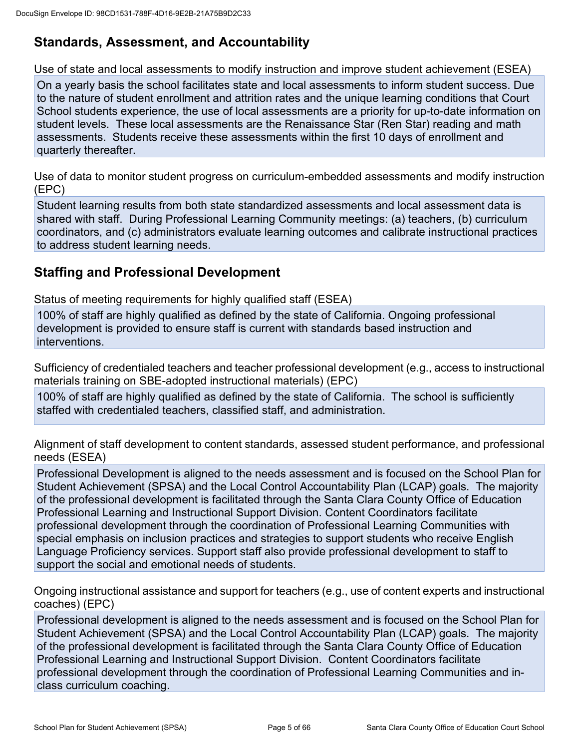## **Standards, Assessment, and Accountability**

Use of state and local assessments to modify instruction and improve student achievement (ESEA)

On a yearly basis the school facilitates state and local assessments to inform student success. Due to the nature of student enrollment and attrition rates and the unique learning conditions that Court School students experience, the use of local assessments are a priority for up-to-date information on student levels. These local assessments are the Renaissance Star (Ren Star) reading and math assessments. Students receive these assessments within the first 10 days of enrollment and quarterly thereafter.

Use of data to monitor student progress on curriculum-embedded assessments and modify instruction (EPC)

Student learning results from both state standardized assessments and local assessment data is shared with staff. During Professional Learning Community meetings: (a) teachers, (b) curriculum coordinators, and (c) administrators evaluate learning outcomes and calibrate instructional practices to address student learning needs.

## **Staffing and Professional Development**

Status of meeting requirements for highly qualified staff (ESEA)

100% of staff are highly qualified as defined by the state of California. Ongoing professional development is provided to ensure staff is current with standards based instruction and interventions.

Sufficiency of credentialed teachers and teacher professional development (e.g., access to instructional materials training on SBE-adopted instructional materials) (EPC)

100% of staff are highly qualified as defined by the state of California. The school is sufficiently staffed with credentialed teachers, classified staff, and administration.

Alignment of staff development to content standards, assessed student performance, and professional needs (ESEA)

Professional Development is aligned to the needs assessment and is focused on the School Plan for Student Achievement (SPSA) and the Local Control Accountability Plan (LCAP) goals. The majority of the professional development is facilitated through the Santa Clara County Office of Education Professional Learning and Instructional Support Division. Content Coordinators facilitate professional development through the coordination of Professional Learning Communities with special emphasis on inclusion practices and strategies to support students who receive English Language Proficiency services. Support staff also provide professional development to staff to support the social and emotional needs of students.

Ongoing instructional assistance and support for teachers (e.g., use of content experts and instructional coaches) (EPC)

Professional development is aligned to the needs assessment and is focused on the School Plan for Student Achievement (SPSA) and the Local Control Accountability Plan (LCAP) goals. The majority of the professional development is facilitated through the Santa Clara County Office of Education Professional Learning and Instructional Support Division. Content Coordinators facilitate professional development through the coordination of Professional Learning Communities and inclass curriculum coaching.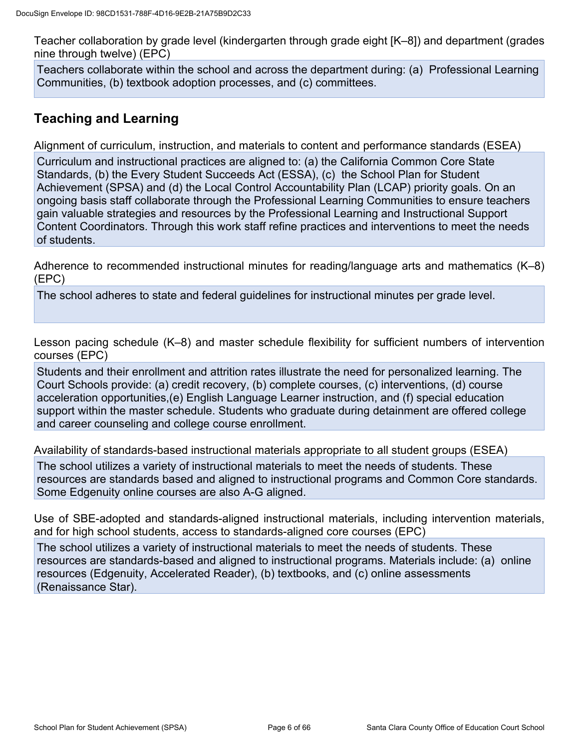Teacher collaboration by grade level (kindergarten through grade eight [K–8]) and department (grades nine through twelve) (EPC)

Teachers collaborate within the school and across the department during: (a) Professional Learning Communities, (b) textbook adoption processes, and (c) committees.

## **Teaching and Learning**

Alignment of curriculum, instruction, and materials to content and performance standards (ESEA)

Curriculum and instructional practices are aligned to: (a) the California Common Core State Standards, (b) the Every Student Succeeds Act (ESSA), (c) the School Plan for Student Achievement (SPSA) and (d) the Local Control Accountability Plan (LCAP) priority goals. On an ongoing basis staff collaborate through the Professional Learning Communities to ensure teachers gain valuable strategies and resources by the Professional Learning and Instructional Support Content Coordinators. Through this work staff refine practices and interventions to meet the needs of students.

Adherence to recommended instructional minutes for reading/language arts and mathematics (K–8) (EPC)

The school adheres to state and federal guidelines for instructional minutes per grade level.

Lesson pacing schedule (K–8) and master schedule flexibility for sufficient numbers of intervention courses (EPC)

Students and their enrollment and attrition rates illustrate the need for personalized learning. The Court Schools provide: (a) credit recovery, (b) complete courses, (c) interventions, (d) course acceleration opportunities,(e) English Language Learner instruction, and (f) special education support within the master schedule. Students who graduate during detainment are offered college and career counseling and college course enrollment.

Availability of standards-based instructional materials appropriate to all student groups (ESEA)

The school utilizes a variety of instructional materials to meet the needs of students. These resources are standards based and aligned to instructional programs and Common Core standards. Some Edgenuity online courses are also A-G aligned.

Use of SBE-adopted and standards-aligned instructional materials, including intervention materials, and for high school students, access to standards-aligned core courses (EPC)

The school utilizes a variety of instructional materials to meet the needs of students. These resources are standards-based and aligned to instructional programs. Materials include: (a) online resources (Edgenuity, Accelerated Reader), (b) textbooks, and (c) online assessments (Renaissance Star).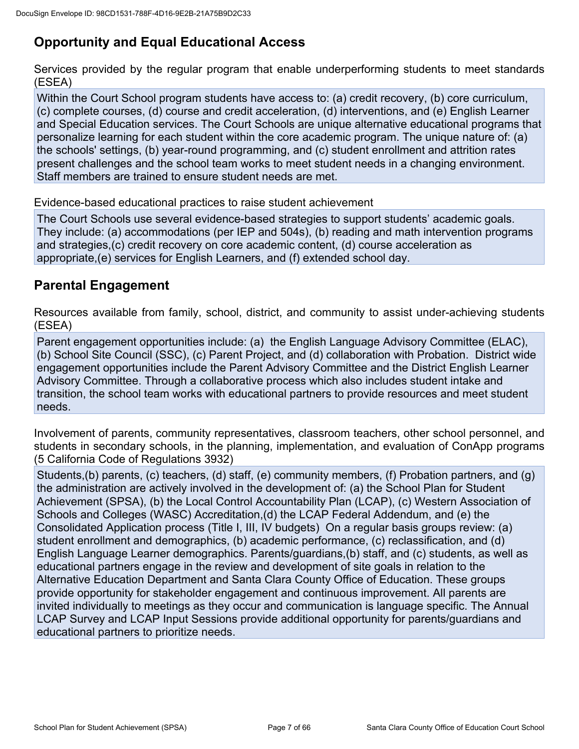## **Opportunity and Equal Educational Access**

Services provided by the regular program that enable underperforming students to meet standards (ESEA)

Within the Court School program students have access to: (a) credit recovery, (b) core curriculum, (c) complete courses, (d) course and credit acceleration, (d) interventions, and (e) English Learner and Special Education services. The Court Schools are unique alternative educational programs that personalize learning for each student within the core academic program. The unique nature of: (a) the schools' settings, (b) year-round programming, and (c) student enrollment and attrition rates present challenges and the school team works to meet student needs in a changing environment. Staff members are trained to ensure student needs are met.

Evidence-based educational practices to raise student achievement

The Court Schools use several evidence-based strategies to support students' academic goals. They include: (a) accommodations (per IEP and 504s), (b) reading and math intervention programs and strategies,(c) credit recovery on core academic content, (d) course acceleration as appropriate,(e) services for English Learners, and (f) extended school day.

### **Parental Engagement**

Resources available from family, school, district, and community to assist under-achieving students (ESEA)

Parent engagement opportunities include: (a) the English Language Advisory Committee (ELAC), (b) School Site Council (SSC), (c) Parent Project, and (d) collaboration with Probation. District wide engagement opportunities include the Parent Advisory Committee and the District English Learner Advisory Committee. Through a collaborative process which also includes student intake and transition, the school team works with educational partners to provide resources and meet student needs.

Involvement of parents, community representatives, classroom teachers, other school personnel, and students in secondary schools, in the planning, implementation, and evaluation of ConApp programs (5 California Code of Regulations 3932)

Students,(b) parents, (c) teachers, (d) staff, (e) community members, (f) Probation partners, and (g) the administration are actively involved in the development of: (a) the School Plan for Student Achievement (SPSA), (b) the Local Control Accountability Plan (LCAP), (c) Western Association of Schools and Colleges (WASC) Accreditation,(d) the LCAP Federal Addendum, and (e) the Consolidated Application process (Title I, III, IV budgets) On a regular basis groups review: (a) student enrollment and demographics, (b) academic performance, (c) reclassification, and (d) English Language Learner demographics. Parents/guardians,(b) staff, and (c) students, as well as educational partners engage in the review and development of site goals in relation to the Alternative Education Department and Santa Clara County Office of Education. These groups provide opportunity for stakeholder engagement and continuous improvement. All parents are invited individually to meetings as they occur and communication is language specific. The Annual LCAP Survey and LCAP Input Sessions provide additional opportunity for parents/guardians and educational partners to prioritize needs.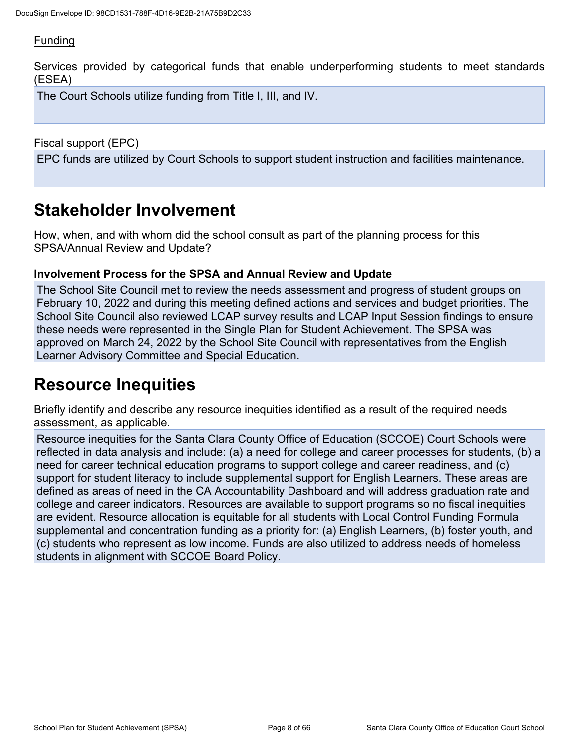### **Funding**

Services provided by categorical funds that enable underperforming students to meet standards (ESEA)

The Court Schools utilize funding from Title I, III, and IV.

Fiscal support (EPC)

EPC funds are utilized by Court Schools to support student instruction and facilities maintenance.

## **Stakeholder Involvement**

How, when, and with whom did the school consult as part of the planning process for this SPSA/Annual Review and Update?

#### **Involvement Process for the SPSA and Annual Review and Update**

The School Site Council met to review the needs assessment and progress of student groups on February 10, 2022 and during this meeting defined actions and services and budget priorities. The School Site Council also reviewed LCAP survey results and LCAP Input Session findings to ensure these needs were represented in the Single Plan for Student Achievement. The SPSA was approved on March 24, 2022 by the School Site Council with representatives from the English Learner Advisory Committee and Special Education.

## **Resource Inequities**

Briefly identify and describe any resource inequities identified as a result of the required needs assessment, as applicable.

Resource inequities for the Santa Clara County Office of Education (SCCOE) Court Schools were reflected in data analysis and include: (a) a need for college and career processes for students, (b) a need for career technical education programs to support college and career readiness, and (c) support for student literacy to include supplemental support for English Learners. These areas are defined as areas of need in the CA Accountability Dashboard and will address graduation rate and college and career indicators. Resources are available to support programs so no fiscal inequities are evident. Resource allocation is equitable for all students with Local Control Funding Formula supplemental and concentration funding as a priority for: (a) English Learners, (b) foster youth, and (c) students who represent as low income. Funds are also utilized to address needs of homeless students in alignment with SCCOE Board Policy.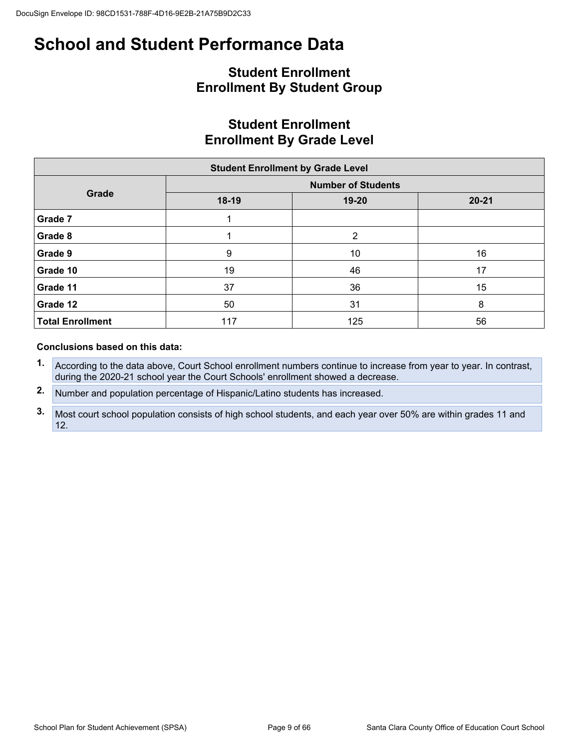## **Student Enrollment Enrollment By Student Group**

## **Student Enrollment Enrollment By Grade Level**

|                         | <b>Student Enrollment by Grade Level</b> |                           |           |  |  |
|-------------------------|------------------------------------------|---------------------------|-----------|--|--|
|                         |                                          | <b>Number of Students</b> |           |  |  |
| Grade                   | 18-19                                    | $19 - 20$                 | $20 - 21$ |  |  |
| Grade 7                 |                                          |                           |           |  |  |
| Grade 8                 |                                          | 2                         |           |  |  |
| Grade 9                 | 9                                        | 10                        | 16        |  |  |
| Grade 10                | 19                                       | 46                        | 17        |  |  |
| Grade 11                | 37                                       | 36                        | 15        |  |  |
| Grade 12                | 50                                       | 31                        | 8         |  |  |
| <b>Total Enrollment</b> | 117                                      | 125                       | 56        |  |  |

#### **Conclusions based on this data:**

- **1.** According to the data above, Court School enrollment numbers continue to increase from year to year. In contrast, during the 2020-21 school year the Court Schools' enrollment showed a decrease.
- **2.** Number and population percentage of Hispanic/Latino students has increased.
- **3.** Most court school population consists of high school students, and each year over 50% are within grades 11 and 12.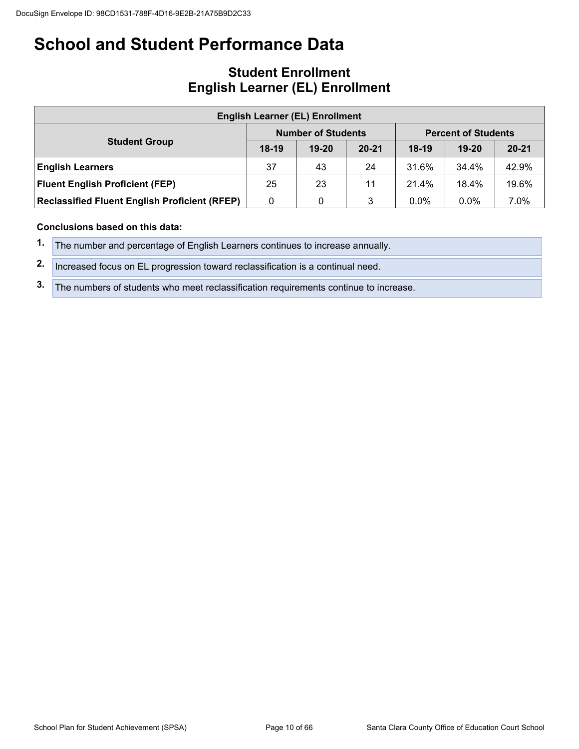### **Student Enrollment English Learner (EL) Enrollment**

| <b>English Learner (EL) Enrollment</b>                                                            |         |                           |           |                            |           |           |  |  |  |  |  |  |
|---------------------------------------------------------------------------------------------------|---------|---------------------------|-----------|----------------------------|-----------|-----------|--|--|--|--|--|--|
|                                                                                                   |         | <b>Number of Students</b> |           | <b>Percent of Students</b> |           |           |  |  |  |  |  |  |
| <b>Student Group</b>                                                                              | $18-19$ | $19 - 20$                 | $20 - 21$ | $18-19$                    | $19 - 20$ | $20 - 21$ |  |  |  |  |  |  |
| <b>English Learners</b>                                                                           | 37      | 43                        | 24        | 31.6%                      | 34.4%     | 42.9%     |  |  |  |  |  |  |
| <b>Fluent English Proficient (FEP)</b>                                                            | 25      | 23                        | 11        | 21.4%                      | 18.4%     | 19.6%     |  |  |  |  |  |  |
| 7.0%<br>$0.0\%$<br><b>Reclassified Fluent English Proficient (RFEP)</b><br>$0.0\%$<br>3<br>0<br>0 |         |                           |           |                            |           |           |  |  |  |  |  |  |

#### **Conclusions based on this data:**

- **1.** The number and percentage of English Learners continues to increase annually.
- **2.** Increased focus on EL progression toward reclassification is a continual need.
- **3.** The numbers of students who meet reclassification requirements continue to increase.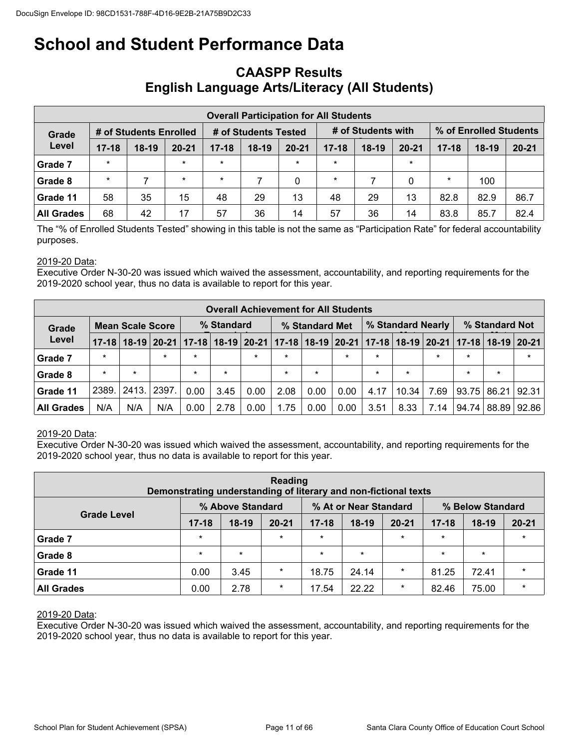### **CAASPP Results English Language Arts/Literacy (All Students)**

|                                                                               | <b>Overall Participation for All Students</b> |         |           |           |         |           |           |         |           |           |         |                        |  |  |
|-------------------------------------------------------------------------------|-----------------------------------------------|---------|-----------|-----------|---------|-----------|-----------|---------|-----------|-----------|---------|------------------------|--|--|
| # of Students with<br># of Students Tested<br># of Students Enrolled<br>Grade |                                               |         |           |           |         |           |           |         |           |           |         | % of Enrolled Students |  |  |
| Level                                                                         | $17 - 18$                                     | $18-19$ | $20 - 21$ | $17 - 18$ | $18-19$ | $20 - 21$ | $17 - 18$ | $18-19$ | $20 - 21$ | $17 - 18$ | $18-19$ | $20 - 21$              |  |  |
| Grade 7                                                                       | $\star$                                       |         | $\star$   | $\star$   |         | $\star$   | $\star$   |         | $\star$   |           |         |                        |  |  |
| Grade 8                                                                       | $\star$                                       |         | $\star$   | $\star$   |         | 0         | $\star$   |         | 0         | $\star$   | 100     |                        |  |  |
| Grade 11                                                                      | 58                                            | 35      | 15        | 48        | 29      | 13        | 48        | 29      | 13        | 82.8      | 82.9    | 86.7                   |  |  |
| All Grades                                                                    | 68                                            | 42      | 17        | 57        | 36      | 14        | 57        | 36      | 14        | 83.8      | 85.7    | 82.4                   |  |  |

The "% of Enrolled Students Tested" showing in this table is not the same as "Participation Rate" for federal accountability purposes.

#### 2019-20 Data:

Executive Order N-30-20 was issued which waived the assessment, accountability, and reporting requirements for the 2019-2020 school year, thus no data is available to report for this year.

|            | <b>Overall Achievement for All Students</b> |            |         |         |                |         |         |         |                   |         |         |                |                                                                                     |         |         |
|------------|---------------------------------------------|------------|---------|---------|----------------|---------|---------|---------|-------------------|---------|---------|----------------|-------------------------------------------------------------------------------------|---------|---------|
| Grade      | <b>Mean Scale Score</b>                     | % Standard |         |         | % Standard Met |         |         |         | % Standard Nearly |         |         | % Standard Not |                                                                                     |         |         |
| Level      | $17 - 18$                                   |            |         |         |                |         |         |         |                   |         |         |                | 18-19 20-21 17-18 18-19 20-21 17-18 18-19 20-21 17-18 18-19 20-21 17-18 18-19 20-21 |         |         |
| Grade 7    | $\star$                                     |            | $\star$ | $\star$ |                | $\star$ | $\star$ |         | $\star$           | $\star$ |         | $\star$        | $\star$                                                                             |         | $\star$ |
| Grade 8    | $\star$                                     | $\star$    |         | $\star$ | $\star$        |         | $\star$ | $\star$ |                   | $\star$ | $\star$ |                | $\star$                                                                             | $\star$ |         |
| Grade 11   | 2389.                                       | 2413.      | 2397    | 0.00    | 3.45           | 0.00    | 2.08    | 0.00    | 0.00              | 4.17    | 10.34   | 7.69           | 93.75                                                                               | 86.21   | 92.31   |
| All Grades | N/A                                         | N/A        | N/A     | 0.00    | 2.78           | 0.00    | 1.75    | 0.00    | 0.00              | 3.51    | 8.33    | 7.14           | 94.74                                                                               | 88.89   | 92.86   |

#### 2019-20 Data:

Executive Order N-30-20 was issued which waived the assessment, accountability, and reporting requirements for the 2019-2020 school year, thus no data is available to report for this year.

| Reading<br>Demonstrating understanding of literary and non-fictional texts |           |         |           |         |         |         |         |         |         |  |  |  |
|----------------------------------------------------------------------------|-----------|---------|-----------|---------|---------|---------|---------|---------|---------|--|--|--|
| % Above Standard<br>% At or Near Standard<br>% Below Standard              |           |         |           |         |         |         |         |         |         |  |  |  |
| <b>Grade Level</b>                                                         | $17 - 18$ | $18-19$ | $20 - 21$ |         |         |         |         |         |         |  |  |  |
| Grade 7                                                                    | $\star$   |         | $\star$   | $\star$ |         | $\star$ | $\star$ |         | $\star$ |  |  |  |
| <b>Grade 8</b>                                                             | $\star$   | $\star$ |           | $\star$ | $\star$ |         | $\star$ | $\star$ |         |  |  |  |
| Grade 11                                                                   | 0.00      | 3.45    | $\star$   | 18.75   | 24.14   | $\star$ | 81.25   | 72.41   | $\star$ |  |  |  |
| <b>All Grades</b>                                                          | 0.00      | 2.78    | $\star$   | 17.54   | 22.22   | $\star$ | 82.46   | 75.00   | $\star$ |  |  |  |

#### 2019-20 Data:

Executive Order N-30-20 was issued which waived the assessment, accountability, and reporting requirements for the 2019-2020 school year, thus no data is available to report for this year.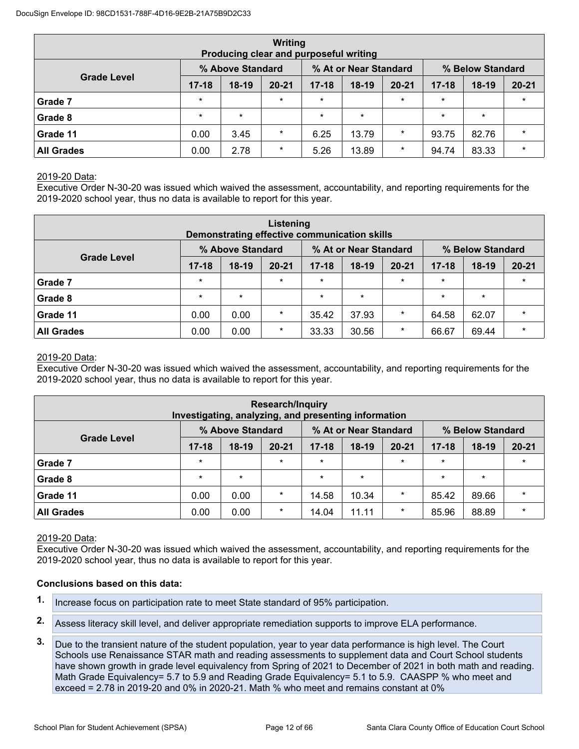|                                                               | Writing<br>Producing clear and purposeful writing |         |           |           |         |           |           |         |           |  |  |  |  |
|---------------------------------------------------------------|---------------------------------------------------|---------|-----------|-----------|---------|-----------|-----------|---------|-----------|--|--|--|--|
| % Above Standard<br>% At or Near Standard<br>% Below Standard |                                                   |         |           |           |         |           |           |         |           |  |  |  |  |
| <b>Grade Level</b>                                            | $17 - 18$                                         | $18-19$ | $20 - 21$ | $17 - 18$ | $18-19$ | $20 - 21$ | $17 - 18$ | $18-19$ | $20 - 21$ |  |  |  |  |
| Grade 7                                                       | $\star$                                           |         | $\star$   | $\star$   |         | $\star$   | $\star$   |         | $\star$   |  |  |  |  |
| Grade 8                                                       | $\star$                                           | $\star$ |           | $\star$   | $\star$ |           | $\star$   | $\star$ |           |  |  |  |  |
| Grade 11                                                      | 0.00                                              | 3.45    | $\star$   | 6.25      | 13.79   | $\star$   | 93.75     | 82.76   | $\star$   |  |  |  |  |
| <b>All Grades</b>                                             | 0.00                                              | 2.78    | $\star$   | 5.26      | 13.89   | $\star$   | 94.74     | 83.33   | $\star$   |  |  |  |  |

#### 2019-20 Data:

Executive Order N-30-20 was issued which waived the assessment, accountability, and reporting requirements for the 2019-2020 school year, thus no data is available to report for this year.

| Listening<br>Demonstrating effective communication skills     |           |         |           |           |         |           |           |         |           |  |  |  |
|---------------------------------------------------------------|-----------|---------|-----------|-----------|---------|-----------|-----------|---------|-----------|--|--|--|
| % At or Near Standard<br>% Above Standard<br>% Below Standard |           |         |           |           |         |           |           |         |           |  |  |  |
| <b>Grade Level</b>                                            | $17 - 18$ | $18-19$ | $20 - 21$ | $17 - 18$ | $18-19$ | $20 - 21$ | $17 - 18$ | $18-19$ | $20 - 21$ |  |  |  |
| Grade 7                                                       | $\star$   |         | $\star$   | $\star$   |         | $\star$   | $\star$   |         | $\star$   |  |  |  |
| Grade 8                                                       | $\star$   | $\star$ |           | $\star$   | $\star$ |           | $\star$   | $\star$ |           |  |  |  |
| Grade 11                                                      | 0.00      | 0.00    | $\star$   | 35.42     | 37.93   | $\star$   | 64.58     | 62.07   | $\star$   |  |  |  |
| <b>All Grades</b>                                             | 0.00      | 0.00    | $\star$   | 33.33     | 30.56   | $\star$   | 66.67     | 69.44   | $\star$   |  |  |  |

#### 2019-20 Data:

Executive Order N-30-20 was issued which waived the assessment, accountability, and reporting requirements for the 2019-2020 school year, thus no data is available to report for this year.

| <b>Research/Inquiry</b><br>Investigating, analyzing, and presenting information                                      |         |         |         |         |         |         |         |         |         |  |  |  |
|----------------------------------------------------------------------------------------------------------------------|---------|---------|---------|---------|---------|---------|---------|---------|---------|--|--|--|
| % At or Near Standard<br>% Above Standard<br>% Below Standard                                                        |         |         |         |         |         |         |         |         |         |  |  |  |
| <b>Grade Level</b><br>$17 - 18$<br>$17 - 18$<br>$17 - 18$<br>$18-19$<br>$20 - 21$<br>$18-19$<br>$20 - 21$<br>$18-19$ |         |         |         |         |         |         |         |         |         |  |  |  |
| Grade 7                                                                                                              | $\star$ |         | $\star$ | $\star$ |         | $\star$ | $\star$ |         | $\star$ |  |  |  |
| Grade 8                                                                                                              | $\star$ | $\star$ |         | $\star$ | $\star$ |         | $\star$ | $\star$ |         |  |  |  |
| Grade 11                                                                                                             | 0.00    | 0.00    | $\star$ | 14.58   | 10.34   | $\ast$  | 85.42   | 89.66   | $\star$ |  |  |  |
| <b>All Grades</b>                                                                                                    | 0.00    | 0.00    | $\star$ | 14.04   | 11.11   | $\ast$  | 85.96   | 88.89   | $\star$ |  |  |  |

#### 2019-20 Data:

Executive Order N-30-20 was issued which waived the assessment, accountability, and reporting requirements for the 2019-2020 school year, thus no data is available to report for this year.

#### **Conclusions based on this data:**

- **1.** Increase focus on participation rate to meet State standard of 95% participation.
- **2.** Assess literacy skill level, and deliver appropriate remediation supports to improve ELA performance.
- **3.** Due to the transient nature of the student population, year to year data performance is high level. The Court Schools use Renaissance STAR math and reading assessments to supplement data and Court School students have shown growth in grade level equivalency from Spring of 2021 to December of 2021 in both math and reading. Math Grade Equivalency= 5.7 to 5.9 and Reading Grade Equivalency= 5.1 to 5.9. CAASPP % who meet and exceed = 2.78 in 2019-20 and 0% in 2020-21. Math % who meet and remains constant at 0%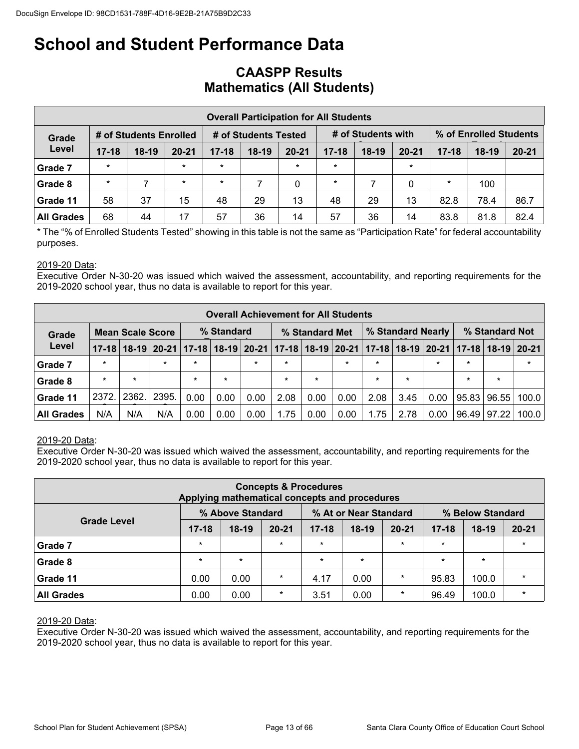### **CAASPP Results Mathematics (All Students)**

|                                                                                                         | <b>Overall Participation for All Students</b> |         |           |           |         |             |           |         |           |           |         |           |  |  |
|---------------------------------------------------------------------------------------------------------|-----------------------------------------------|---------|-----------|-----------|---------|-------------|-----------|---------|-----------|-----------|---------|-----------|--|--|
| # of Students with<br>% of Enrolled Students<br># of Students Tested<br># of Students Enrolled<br>Grade |                                               |         |           |           |         |             |           |         |           |           |         |           |  |  |
| Level                                                                                                   | $17 - 18$                                     | $18-19$ | $20 - 21$ | $17 - 18$ | $18-19$ | $20 - 21$   | $17 - 18$ | $18-19$ | $20 - 21$ | $17 - 18$ | $18-19$ | $20 - 21$ |  |  |
| Grade 7                                                                                                 | $\star$                                       |         | $\star$   | $\star$   |         | $\star$     | $\star$   |         | $\star$   |           |         |           |  |  |
| Grade 8                                                                                                 | $\star$                                       | ⇁       | $\star$   | $\star$   |         | $\mathbf 0$ | $\star$   |         | 0         | $\star$   | 100     |           |  |  |
| Grade 11                                                                                                | 58                                            | 37      | 15        | 48        | 29      | 13          | 48        | 29      | 13        | 82.8      | 78.4    | 86.7      |  |  |
| <b>All Grades</b>                                                                                       | 68                                            | 44      | 17        | 57        | 36      | 14          | 57        | 36      | 14        | 83.8      | 81.8    | 82.4      |  |  |

\* The "% of Enrolled Students Tested" showing in this table is not the same as "Participation Rate" for federal accountability purposes.

#### 2019-20 Data:

Executive Order N-30-20 was issued which waived the assessment, accountability, and reporting requirements for the 2019-2020 school year, thus no data is available to report for this year.

|                   |                                                                                                                                       |                         |         |         |            |        | <b>Overall Achievement for All Students</b> |                |         |         |                   |         |         |                |        |
|-------------------|---------------------------------------------------------------------------------------------------------------------------------------|-------------------------|---------|---------|------------|--------|---------------------------------------------|----------------|---------|---------|-------------------|---------|---------|----------------|--------|
| Grade             |                                                                                                                                       | <b>Mean Scale Score</b> |         |         | % Standard |        |                                             | % Standard Met |         |         | % Standard Nearly |         |         | % Standard Not |        |
| Level             | 18-19   20-21   17-18   18-19   20-21   17-18   18-19   20-21   17-18   18-19   20-21   17-18   18-19   20-21<br>$17 - 18$<br>$\star$ |                         |         |         |            |        |                                             |                |         |         |                   |         |         |                |        |
| Grade 7           |                                                                                                                                       |                         | $\star$ | $\star$ |            | $\ast$ | $\star$                                     |                | $\star$ | $\ast$  |                   | $\star$ | $\star$ |                | $\ast$ |
| Grade 8           | $\star$                                                                                                                               | $\star$                 |         | $\star$ | $\star$    |        | $\star$                                     | $\star$        |         | $\star$ | $\star$           |         | $\star$ | $\star$        |        |
| Grade 11          | 2372.                                                                                                                                 | 2362.                   | 2395.   | 0.00    | 0.00       | 0.00   | 2.08                                        | 0.00           | 0.00    | 2.08    | 3.45              | 0.00    | 95.83   | 96.55          | 100.0  |
| <b>All Grades</b> | N/A                                                                                                                                   | N/A                     | N/A     | 0.00    | 0.00       | 0.00   | 1.75                                        | 0.00           | 0.00    | 1.75    | 2.78              | 0.00    | 96.49   | 97.22          | 100.0  |

#### 2019-20 Data:

Executive Order N-30-20 was issued which waived the assessment, accountability, and reporting requirements for the 2019-2020 school year, thus no data is available to report for this year.

|                                                                                     |           | Applying mathematical concepts and procedures | <b>Concepts &amp; Procedures</b> |           |         |           |           |         |           |  |  |  |  |  |
|-------------------------------------------------------------------------------------|-----------|-----------------------------------------------|----------------------------------|-----------|---------|-----------|-----------|---------|-----------|--|--|--|--|--|
| % Above Standard<br>% At or Near Standard<br>% Below Standard<br><b>Grade Level</b> |           |                                               |                                  |           |         |           |           |         |           |  |  |  |  |  |
|                                                                                     | $17 - 18$ | $18-19$                                       | $20 - 21$                        | $17 - 18$ | $18-19$ | $20 - 21$ | $17 - 18$ | $18-19$ | $20 - 21$ |  |  |  |  |  |
| Grade 7                                                                             | $\star$   |                                               | $\star$                          | $\star$   |         | $\star$   | $\star$   |         | $\star$   |  |  |  |  |  |
| Grade 8                                                                             | $\star$   | $\star$                                       |                                  | $\star$   | $\star$ |           | $\star$   | $\star$ |           |  |  |  |  |  |
| Grade 11                                                                            | 0.00      | 0.00                                          | $\star$                          | 4.17      | 0.00    | $\star$   | 95.83     | 100.0   | $\star$   |  |  |  |  |  |
| <b>All Grades</b>                                                                   | 0.00      | 0.00                                          | $\star$                          | 3.51      | 0.00    | $\ast$    | 96.49     | 100.0   | $\star$   |  |  |  |  |  |

#### 2019-20 Data:

Executive Order N-30-20 was issued which waived the assessment, accountability, and reporting requirements for the 2019-2020 school year, thus no data is available to report for this year.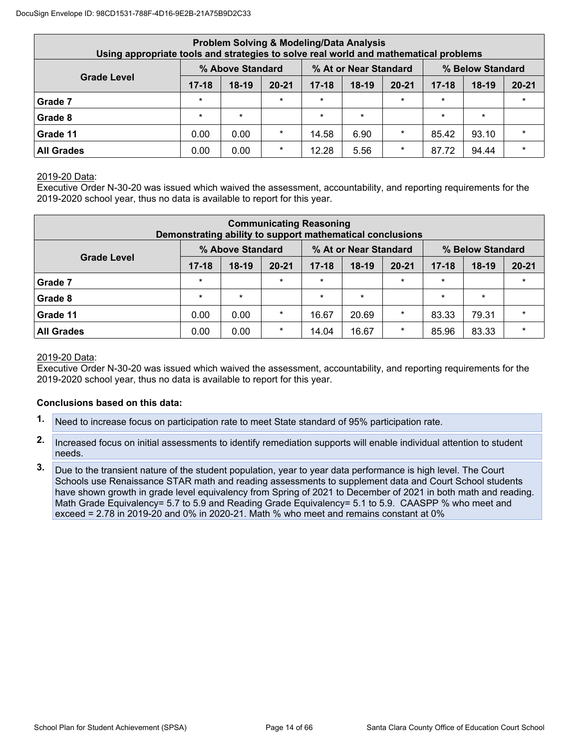| Using appropriate tools and strategies to solve real world and mathematical problems |                                                                                     |         |           | <b>Problem Solving &amp; Modeling/Data Analysis</b> |         |           |           |         |           |  |  |  |  |  |  |
|--------------------------------------------------------------------------------------|-------------------------------------------------------------------------------------|---------|-----------|-----------------------------------------------------|---------|-----------|-----------|---------|-----------|--|--|--|--|--|--|
|                                                                                      | % Above Standard<br>% At or Near Standard<br>% Below Standard<br><b>Grade Level</b> |         |           |                                                     |         |           |           |         |           |  |  |  |  |  |  |
|                                                                                      | $17 - 18$                                                                           | $18-19$ | $20 - 21$ | $17 - 18$                                           | $18-19$ | $20 - 21$ | $17 - 18$ | $18-19$ | $20 - 21$ |  |  |  |  |  |  |
| Grade 7                                                                              | $\star$                                                                             |         | $\star$   | $\star$                                             |         | $\star$   | $\star$   |         |           |  |  |  |  |  |  |
| Grade 8                                                                              | $\star$                                                                             | $\star$ |           | $\star$                                             | $\star$ |           | $\star$   | $\star$ |           |  |  |  |  |  |  |
| Grade 11                                                                             | 0.00                                                                                | 0.00    | $\star$   | 14.58                                               | 6.90    | $\star$   | 85.42     | 93.10   | $\star$   |  |  |  |  |  |  |
| <b>All Grades</b>                                                                    | 0.00                                                                                | 0.00    | $\star$   | 12.28                                               | 5.56    | $\star$   | 87.72     | 94.44   |           |  |  |  |  |  |  |

#### 2019-20 Data:

Executive Order N-30-20 was issued which waived the assessment, accountability, and reporting requirements for the 2019-2020 school year, thus no data is available to report for this year.

|                   |                                                                                     |         |           | <b>Communicating Reasoning</b><br>Demonstrating ability to support mathematical conclusions |         |           |           |         |           |  |  |  |  |  |  |
|-------------------|-------------------------------------------------------------------------------------|---------|-----------|---------------------------------------------------------------------------------------------|---------|-----------|-----------|---------|-----------|--|--|--|--|--|--|
|                   | % Above Standard<br>% At or Near Standard<br>% Below Standard<br><b>Grade Level</b> |         |           |                                                                                             |         |           |           |         |           |  |  |  |  |  |  |
|                   | $17 - 18$                                                                           | $18-19$ | $20 - 21$ | $17 - 18$                                                                                   | $18-19$ | $20 - 21$ | $17 - 18$ | $18-19$ | $20 - 21$ |  |  |  |  |  |  |
| Grade 7           | $\star$                                                                             |         | $\star$   | $\star$                                                                                     |         | $\star$   | $\star$   |         |           |  |  |  |  |  |  |
| Grade 8           | $\star$                                                                             | $\star$ |           | $\star$                                                                                     | $\star$ |           | $\star$   | $\star$ |           |  |  |  |  |  |  |
| Grade 11          | 0.00                                                                                | 0.00    | $\star$   | 16.67                                                                                       | 20.69   | $\star$   | 83.33     | 79.31   | $\star$   |  |  |  |  |  |  |
| <b>All Grades</b> | 0.00                                                                                | 0.00    | $\star$   | 14.04                                                                                       | 16.67   | $\ast$    | 85.96     | 83.33   |           |  |  |  |  |  |  |

#### 2019-20 Data:

Executive Order N-30-20 was issued which waived the assessment, accountability, and reporting requirements for the 2019-2020 school year, thus no data is available to report for this year.

#### **Conclusions based on this data:**

- **1.** Need to increase focus on participation rate to meet State standard of 95% participation rate.
- **2.** Increased focus on initial assessments to identify remediation supports will enable individual attention to student needs.
- **3.** Due to the transient nature of the student population, year to year data performance is high level. The Court Schools use Renaissance STAR math and reading assessments to supplement data and Court School students have shown growth in grade level equivalency from Spring of 2021 to December of 2021 in both math and reading. Math Grade Equivalency= 5.7 to 5.9 and Reading Grade Equivalency= 5.1 to 5.9. CAASPP % who meet and exceed = 2.78 in 2019-20 and 0% in 2020-21. Math % who meet and remains constant at 0%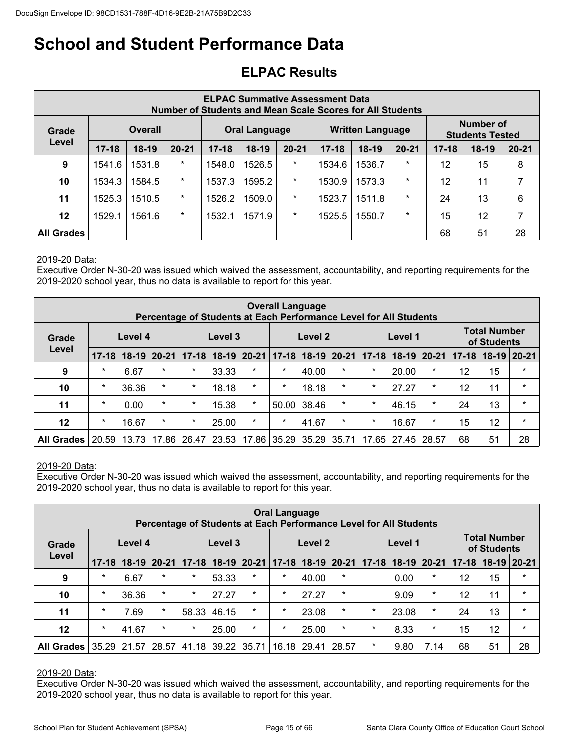## **ELPAC Results**

|                   |                                                                                                                                                                                  |                |         |        |                      |         | <b>ELPAC Summative Assessment Data</b> | Number of Students and Mean Scale Scores for All Students |         |    |                                            |    |
|-------------------|----------------------------------------------------------------------------------------------------------------------------------------------------------------------------------|----------------|---------|--------|----------------------|---------|----------------------------------------|-----------------------------------------------------------|---------|----|--------------------------------------------|----|
| Grade             |                                                                                                                                                                                  | <b>Overall</b> |         |        | <b>Oral Language</b> |         |                                        | <b>Written Language</b>                                   |         |    | <b>Number of</b><br><b>Students Tested</b> |    |
| Level             | $18-19$<br>$20 - 21$<br>$18-19$<br>$20 - 21$<br>$17 - 18$<br>$18-19$<br>$20 - 21$<br>$17 - 18$<br>$18-19$<br>$20 - 21$<br>$17 - 18$<br>$17 - 18$<br>$\star$<br>$\star$<br>$\ast$ |                |         |        |                      |         |                                        |                                                           |         |    |                                            |    |
| 9                 | 1541.6                                                                                                                                                                           | 1531.8         |         | 1548.0 | 1526.5               |         | 1534.6                                 | 1536.7                                                    |         | 12 | 15                                         | 8  |
| 10                | 1534.3                                                                                                                                                                           | 1584.5         | $\star$ | 1537.3 | 1595.2               | $\star$ | 1530.9                                 | 1573.3                                                    | $\star$ | 12 | 11                                         | 7  |
| 11                | 1525.3                                                                                                                                                                           | 1510.5         | $\star$ | 1526.2 | 1509.0               | $\ast$  | 1523.7                                 | 1511.8                                                    | $\star$ | 24 | 13                                         | 6  |
| 12                | 1529.1                                                                                                                                                                           | 1561.6         | $\star$ | 1532.1 | 1571.9               | $\ast$  | 1525.5                                 | 1550.7                                                    | $\star$ | 15 | 12                                         | 7  |
| <b>All Grades</b> |                                                                                                                                                                                  |                |         |        |                      |         |                                        |                                                           |         | 68 | 51                                         | 28 |

#### 2019-20 Data:

Executive Order N-30-20 was issued which waived the assessment, accountability, and reporting requirements for the 2019-2020 school year, thus no data is available to report for this year.

|                   |           |         |         | Percentage of Students at Each Performance Level for All Students |         |         | <b>Overall Language</b> |                           |         |         |                       |                         |           |                                    |           |
|-------------------|-----------|---------|---------|-------------------------------------------------------------------|---------|---------|-------------------------|---------------------------|---------|---------|-----------------------|-------------------------|-----------|------------------------------------|-----------|
| Grade             |           | Level 4 |         |                                                                   | Level 3 |         |                         | Level 2                   |         |         | Level 1               |                         |           | <b>Total Number</b><br>of Students |           |
| Level             | $17 - 18$ |         |         | 18-19 20-21 17-18 18-19 20-21                                     |         |         |                         | $17 - 18$ 18 - 19 20 - 21 |         |         |                       | $17-18$   18-19   20-21 | $17 - 18$ | $18-19$                            | $ 20-21 $ |
| 9                 | $\star$   | 6.67    | $\star$ | $\star$                                                           | 33.33   | $\star$ | $\star$                 | 40.00                     | $\star$ | $\star$ | 20.00                 | $\star$                 | 12        | 15                                 | $\star$   |
| 10                | $\star$   | 36.36   | $\star$ | $\star$                                                           | 18.18   | $\star$ | $\star$                 | 18.18                     | $\star$ | $\star$ | 27.27                 | $\star$                 | 12        | 11                                 | $\star$   |
| 11                | $\star$   | 0.00    | $\star$ | $\star$                                                           | 15.38   | $\star$ | 50.00                   | 38.46                     | $\star$ | $\star$ | 46.15                 | $\star$                 | 24        | 13                                 | $\star$   |
| 12                | $\ast$    | 16.67   | $\star$ | $\star$                                                           | 25.00   | $\star$ | $\star$                 | 41.67                     | $\ast$  | $\star$ | 16.67                 | $\star$                 | 15        | 12                                 | $\star$   |
| <b>All Grades</b> | 20.59     | 13.73   |         | 17.86 26.47                                                       | 23.53   |         | 17.86 35.29             | 35.29                     | 35.71   |         | 17.65   27.45   28.57 |                         | 68        | 51                                 | 28        |

#### 2019-20 Data:

Executive Order N-30-20 was issued which waived the assessment, accountability, and reporting requirements for the 2019-2020 school year, thus no data is available to report for this year.

|                   |           |         |         |                         |         | Percentage of Students at Each Performance Level for All Students | <b>Oral Language</b> |         |                   |           |         |                 |           |                                    |               |
|-------------------|-----------|---------|---------|-------------------------|---------|-------------------------------------------------------------------|----------------------|---------|-------------------|-----------|---------|-----------------|-----------|------------------------------------|---------------|
| Grade             |           | Level 4 |         |                         | Level 3 |                                                                   |                      | Level 2 |                   |           | Level 1 |                 |           | <b>Total Number</b><br>of Students |               |
| Level             | $17 - 18$ |         |         | $18-19$   20-21   17-18 | $18-19$ | $ 20-21 $                                                         |                      |         | 17-18 18-19 20-21 | $17 - 18$ |         | $18-19$   20-21 | $17 - 18$ |                                    | $18-19$ 20-21 |
| 9                 | $\star$   | 6.67    | $\star$ | $\star$                 | 53.33   | $\star$                                                           | $\star$              | 40.00   | $\ast$            |           | 0.00    | $\star$         | 12        | 15                                 | $\star$       |
| 10                | $\star$   | 36.36   | $\star$ | $\star$                 | 27.27   | $\star$                                                           | $\star$              | 27.27   | $\star$           |           | 9.09    | $\star$         | 12        | 11                                 | $\star$       |
| 11                | $\star$   | 7.69    | $\star$ | 58.33                   | 46.15   | $\star$                                                           | $\star$              | 23.08   | $\star$           | $\star$   | 23.08   | $\star$         | 24        | 13                                 | $\star$       |
| $12 \,$           | $\star$   | 41.67   | $\star$ | $\star$                 | 25.00   | $\star$                                                           | $\star$              | 25.00   | $\star$           | $\star$   | 8.33    | $\star$         | 15        | 12                                 | $\star$       |
| <b>All Grades</b> | 35.29     | 21.57   | 28.57   | 41.18                   | 39.22   | 35.71                                                             | 16.18                | 29.41   | 28.57             | $\ast$    | 9.80    | 7.14            | 68        | 51                                 | 28            |

#### 2019-20 Data:

Executive Order N-30-20 was issued which waived the assessment, accountability, and reporting requirements for the 2019-2020 school year, thus no data is available to report for this year.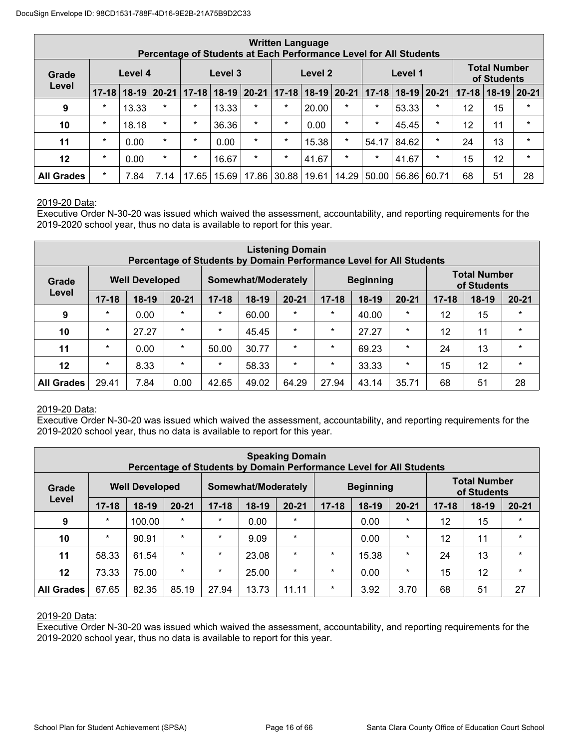|                   |           |         |           |           | Percentage of Students at Each Performance Level for All Students |               | <b>Written Language</b> |               |         |           |         |               |           |                                    |         |
|-------------------|-----------|---------|-----------|-----------|-------------------------------------------------------------------|---------------|-------------------------|---------------|---------|-----------|---------|---------------|-----------|------------------------------------|---------|
| Grade             |           | Level 4 |           |           | Level 3                                                           |               |                         | Level 2       |         |           | Level 1 |               |           | <b>Total Number</b><br>of Students |         |
| Level             | $17 - 18$ | $18-19$ | $20 - 21$ | $17 - 18$ |                                                                   | $18-19$ 20-21 | $17 - 18$               | $18-19$ 20-21 |         | $17 - 18$ |         | $18-19$ 20-21 | $17 - 18$ | $18-19$                            | 20-21   |
| 9                 | $\ast$    | 13.33   | $\star$   | $\ast$    | 13.33                                                             | $\star$       | $\star$                 | 20.00         | $\star$ | $\star$   | 53.33   | $\ast$        | 12        | 15                                 | $\star$ |
| 10                | $\ast$    | 18.18   | $\star$   | $\star$   | 36.36                                                             | $\star$       | $\star$                 | 0.00          | $\star$ | $\star$   | 45.45   | $\star$       | 12        | 11                                 | $\star$ |
| 11                | $\ast$    | 0.00    | $\star$   | $\ast$    | 0.00                                                              | $\star$       | $\star$                 | 15.38         | $\star$ | 54.17     | 84.62   | $\star$       | 24        | 13                                 | $\star$ |
| 12                | $\ast$    | 0.00    | $\star$   | $\ast$    | 16.67                                                             | $\star$       | $\star$                 | 41.67         | $\star$ | $\star$   | 41.67   | $\star$       | 15        | 12                                 | $\star$ |
| <b>All Grades</b> | $\ast$    | 7.84    | 7.14      | 17.65     | 15.69                                                             | 17.86         | 30.88                   | 19.61         | 14.29   | 50.00     | 56.86   | 60.71         | 68        | 51                                 | 28      |

#### 2019-20 Data:

Executive Order N-30-20 was issued which waived the assessment, accountability, and reporting requirements for the 2019-2020 school year, thus no data is available to report for this year.

|                   |           |                       |           | Percentage of Students by Domain Performance Level for All Students |                     | <b>Listening Domain</b> |           |                  |           |           |                                    |           |
|-------------------|-----------|-----------------------|-----------|---------------------------------------------------------------------|---------------------|-------------------------|-----------|------------------|-----------|-----------|------------------------------------|-----------|
| Grade             |           | <b>Well Developed</b> |           |                                                                     | Somewhat/Moderately |                         |           | <b>Beginning</b> |           |           | <b>Total Number</b><br>of Students |           |
| Level             | $17 - 18$ | $18-19$               | $20 - 21$ | $17 - 18$                                                           | $18-19$             | $20 - 21$               | $17 - 18$ | $18-19$          | $20 - 21$ | $17 - 18$ | $18-19$                            | $20 - 21$ |
| 9                 | $\star$   | 0.00                  | $\star$   | $\star$                                                             | 60.00               | $\star$                 | $\star$   | 40.00            | $\star$   | 12        | 15                                 | $\star$   |
| 10                | $\star$   | 27.27                 | $\star$   | $\star$                                                             | 45.45               | $\star$                 | $\ast$    | 27.27            | $\star$   | 12        | 11                                 | $\star$   |
| 11                | $\star$   | 0.00                  | $\star$   | 50.00                                                               | 30.77               | $\star$                 | $\ast$    | 69.23            | $\star$   | 24        | 13                                 | $\star$   |
| 12                | $\star$   | 8.33                  | $\star$   | $\star$                                                             | 58.33               | $\star$                 | $\ast$    | 33.33            | $\star$   | 15        | 12                                 | $\star$   |
| <b>All Grades</b> | 29.41     | 7.84                  | 0.00      | 42.65                                                               | 49.02               | 64.29                   | 27.94     | 43.14            | 35.71     | 68        | 51                                 | 28        |

#### 2019-20 Data:

Executive Order N-30-20 was issued which waived the assessment, accountability, and reporting requirements for the 2019-2020 school year, thus no data is available to report for this year.

|                   |           |                       |           |           |                     | <b>Speaking Domain</b><br>Percentage of Students by Domain Performance Level for All Students |           |                  |           |           |                                    |           |
|-------------------|-----------|-----------------------|-----------|-----------|---------------------|-----------------------------------------------------------------------------------------------|-----------|------------------|-----------|-----------|------------------------------------|-----------|
| Grade             |           | <b>Well Developed</b> |           |           | Somewhat/Moderately |                                                                                               |           | <b>Beginning</b> |           |           | <b>Total Number</b><br>of Students |           |
| Level             | $17 - 18$ | $18-19$               | $20 - 21$ | $17 - 18$ | $18-19$             | $20 - 21$                                                                                     | $17 - 18$ | $18-19$          | $20 - 21$ | $17 - 18$ | $18-19$                            | $20 - 21$ |
| 9                 | $\star$   | 100.00                | $\star$   | $\star$   | 0.00                | $\star$                                                                                       |           | 0.00             | $\star$   | 12        | 15                                 | $\star$   |
| 10                | $\star$   | 90.91                 | $\star$   | $\star$   | 9.09                | $\star$                                                                                       |           | 0.00             | $\star$   | 12        | 11                                 | $\star$   |
| 11                | 58.33     | 61.54                 | $\star$   | $\star$   | 23.08               | $\star$                                                                                       | $\ast$    | 15.38            | $\star$   | 24        | 13                                 | $\star$   |
| $12 \,$           | 73.33     | 75.00                 | $\star$   | $\star$   | 25.00               | $\star$                                                                                       | $\star$   | 0.00             | $\star$   | 15        | 12                                 | $\star$   |
| <b>All Grades</b> | 67.65     | 82.35                 | 85.19     | 27.94     | 13.73               | 11.11                                                                                         | $\ast$    | 3.92             | 3.70      | 68        | 51                                 | 27        |

#### 2019-20 Data:

Executive Order N-30-20 was issued which waived the assessment, accountability, and reporting requirements for the 2019-2020 school year, thus no data is available to report for this year.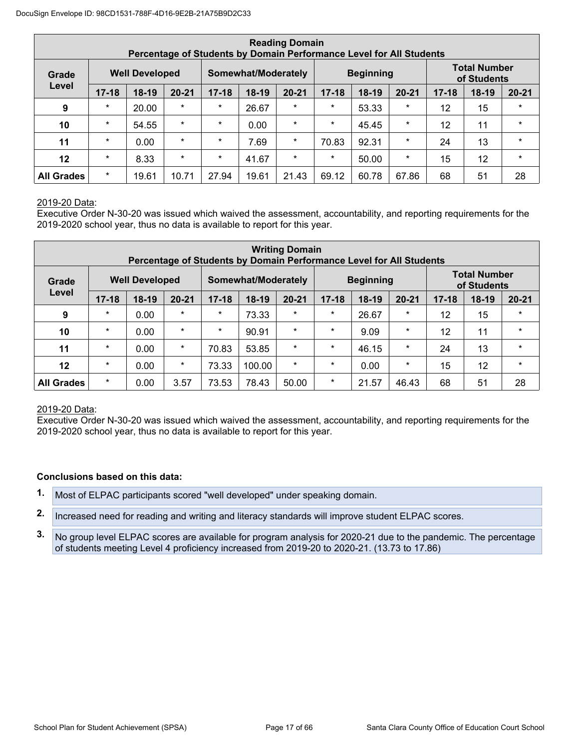|                   |           |                       |           | Percentage of Students by Domain Performance Level for All Students |                     | <b>Reading Domain</b> |           |                  |           |           |                                    |           |
|-------------------|-----------|-----------------------|-----------|---------------------------------------------------------------------|---------------------|-----------------------|-----------|------------------|-----------|-----------|------------------------------------|-----------|
| Grade             |           | <b>Well Developed</b> |           |                                                                     | Somewhat/Moderately |                       |           | <b>Beginning</b> |           |           | <b>Total Number</b><br>of Students |           |
| Level             | $17 - 18$ | $18-19$               | $20 - 21$ | $17 - 18$                                                           | $18-19$             | $20 - 21$             | $17 - 18$ | $18-19$          | $20 - 21$ | $17 - 18$ | $18-19$                            | $20 - 21$ |
| 9                 | $\star$   | 20.00                 | $\star$   | $\star$                                                             | 26.67               | $\star$               | $\star$   | 53.33            | $\star$   | 12        | 15                                 | $\star$   |
| 10                | $\star$   | 54.55                 | $\star$   | $\star$                                                             | 0.00                | $\star$               | $\star$   | 45.45            | $\star$   | 12        | 11                                 | $\star$   |
| 11                | $\star$   | 0.00                  | $\star$   | $\star$                                                             | 7.69                | $\star$               | 70.83     | 92.31            | $\star$   | 24        | 13                                 | $\star$   |
| 12                | $\star$   | 8.33                  | $\star$   | $\star$                                                             | 41.67               | $\star$               | $\star$   | 50.00            | $\star$   | 15        | 12                                 | $\star$   |
| <b>All Grades</b> | $\star$   | 19.61                 | 10.71     | 27.94                                                               | 19.61               | 21.43                 | 69.12     | 60.78            | 67.86     | 68        | 51                                 | 28        |

#### 2019-20 Data:

Executive Order N-30-20 was issued which waived the assessment, accountability, and reporting requirements for the 2019-2020 school year, thus no data is available to report for this year.

|                   |           |                       |           |           | Percentage of Students by Domain Performance Level for All Students | <b>Writing Domain</b> |           |                  |           |           |                                    |           |
|-------------------|-----------|-----------------------|-----------|-----------|---------------------------------------------------------------------|-----------------------|-----------|------------------|-----------|-----------|------------------------------------|-----------|
| Grade             |           | <b>Well Developed</b> |           |           | Somewhat/Moderately                                                 |                       |           | <b>Beginning</b> |           |           | <b>Total Number</b><br>of Students |           |
| Level             | $17 - 18$ | $18-19$               | $20 - 21$ | $17 - 18$ | $18-19$                                                             | $20 - 21$             | $17 - 18$ | $18-19$          | $20 - 21$ | $17 - 18$ | $18-19$                            | $20 - 21$ |
| 9                 | $\star$   | 0.00                  | $\star$   | $\star$   | 73.33                                                               | $\ast$                | $\ast$    | 26.67            | $\star$   | 12        | 15                                 | $\ast$    |
| 10                | $\star$   | 0.00                  | $\star$   | $\star$   | 90.91                                                               | $\star$               | $\ast$    | 9.09             | $\star$   | 12        | 11                                 | $\star$   |
| 11                | $\star$   | 0.00                  | $\star$   | 70.83     | 53.85                                                               | $\star$               | $\ast$    | 46.15            | $\star$   | 24        | 13                                 | $\star$   |
| 12                | $\star$   | 0.00                  | $\star$   | 73.33     | 100.00                                                              | $\star$               | $\ast$    | 0.00             | $\star$   | 15        | 12                                 | $\star$   |
| <b>All Grades</b> | $\star$   | 0.00                  | 3.57      | 73.53     | 78.43                                                               | 50.00                 | $\star$   | 21.57            | 46.43     | 68        | 51                                 | 28        |

#### 2019-20 Data:

Executive Order N-30-20 was issued which waived the assessment, accountability, and reporting requirements for the 2019-2020 school year, thus no data is available to report for this year.

#### **Conclusions based on this data:**

- **1.** Most of ELPAC participants scored "well developed" under speaking domain.
- **2.** Increased need for reading and writing and literacy standards will improve student ELPAC scores.

**3.** No group level ELPAC scores are available for program analysis for 2020-21 due to the pandemic. The percentage of students meeting Level 4 proficiency increased from 2019-20 to 2020-21. (13.73 to 17.86)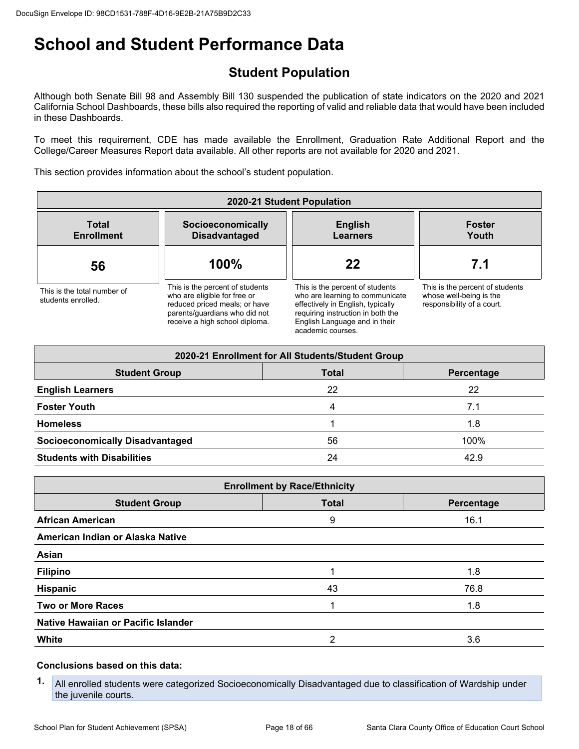## **Student Population**

Although both Senate Bill 98 and Assembly Bill 130 suspended the publication of state indicators on the 2020 and 2021 California School Dashboards, these bills also required the reporting of valid and reliable data that would have been included in these Dashboards.

To meet this requirement, CDE has made available the Enrollment, Graduation Rate Additional Report and the College/Career Measures Report data available. All other reports are not available for 2020 and 2021.

This section provides information about the school's student population.

| 2020-21 Student Population                        |                                                                                                                                                                     |                                                                                                                                                                                                    |                                                                                          |
|---------------------------------------------------|---------------------------------------------------------------------------------------------------------------------------------------------------------------------|----------------------------------------------------------------------------------------------------------------------------------------------------------------------------------------------------|------------------------------------------------------------------------------------------|
| <b>Total</b><br><b>Enrollment</b>                 | Socioeconomically<br><b>Disadvantaged</b>                                                                                                                           | <b>English</b><br><b>Learners</b>                                                                                                                                                                  | <b>Foster</b><br>Youth                                                                   |
| 56                                                | 100%                                                                                                                                                                | 22                                                                                                                                                                                                 | 7.1                                                                                      |
| This is the total number of<br>students enrolled. | This is the percent of students<br>who are eligible for free or<br>reduced priced meals; or have<br>parents/guardians who did not<br>receive a high school diploma. | This is the percent of students<br>who are learning to communicate<br>effectively in English, typically<br>requiring instruction in both the<br>English Language and in their<br>academic courses. | This is the percent of students<br>whose well-being is the<br>responsibility of a court. |

| 2020-21 Enrollment for All Students/Student Group  |    |      |  |  |
|----------------------------------------------------|----|------|--|--|
| <b>Student Group</b><br><b>Total</b><br>Percentage |    |      |  |  |
| <b>English Learners</b>                            | 22 | 22   |  |  |
| <b>Foster Youth</b>                                | 4  | 7.1  |  |  |
| <b>Homeless</b>                                    |    | 1.8  |  |  |
| <b>Socioeconomically Disadvantaged</b>             | 56 | 100% |  |  |
| <b>Students with Disabilities</b>                  | 24 | 42.9 |  |  |

| <b>Enrollment by Race/Ethnicity</b> |            |  |  |
|-------------------------------------|------------|--|--|
| <b>Total</b>                        | Percentage |  |  |
| 9                                   | 16.1       |  |  |
|                                     |            |  |  |
|                                     |            |  |  |
| 1                                   | 1.8        |  |  |
| 43                                  | 76.8       |  |  |
|                                     | 1.8        |  |  |
|                                     |            |  |  |
| 2                                   | 3.6        |  |  |
|                                     |            |  |  |

#### **Conclusions based on this data:**

**1.** All enrolled students were categorized Socioeconomically Disadvantaged due to classification of Wardship under the juvenile courts.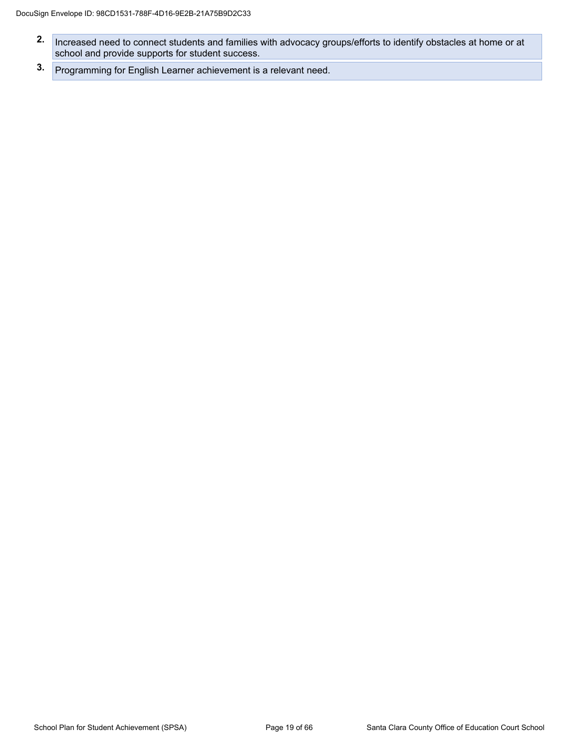- **2.** Increased need to connect students and families with advocacy groups/efforts to identify obstacles at home or at school and provide supports for student success.
- **3.** Programming for English Learner achievement is a relevant need.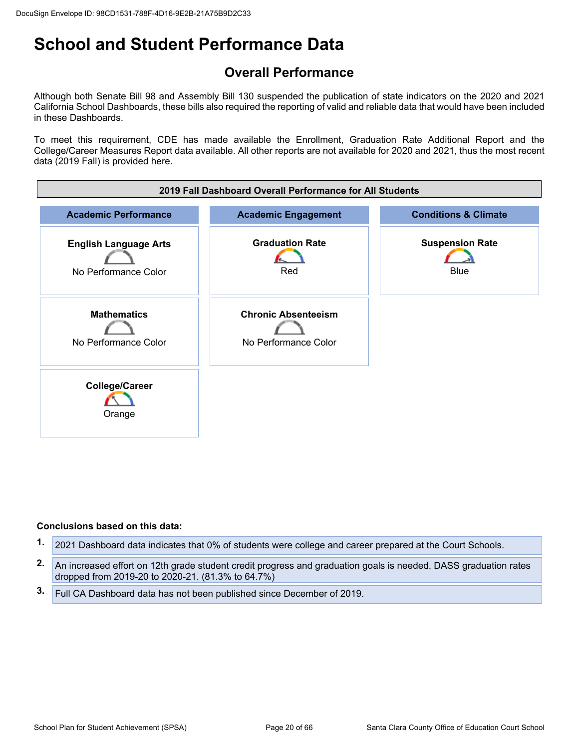## **Overall Performance**

Although both Senate Bill 98 and Assembly Bill 130 suspended the publication of state indicators on the 2020 and 2021 California School Dashboards, these bills also required the reporting of valid and reliable data that would have been included in these Dashboards.

To meet this requirement, CDE has made available the Enrollment, Graduation Rate Additional Report and the College/Career Measures Report data available. All other reports are not available for 2020 and 2021, thus the most recent data (2019 Fall) is provided here.



#### **Conclusions based on this data:**

- **1.** 2021 Dashboard data indicates that 0% of students were college and career prepared at the Court Schools.
- **2.** An increased effort on 12th grade student credit progress and graduation goals is needed. DASS graduation rates dropped from 2019-20 to 2020-21. (81.3% to 64.7%)
- **3.** Full CA Dashboard data has not been published since December of 2019.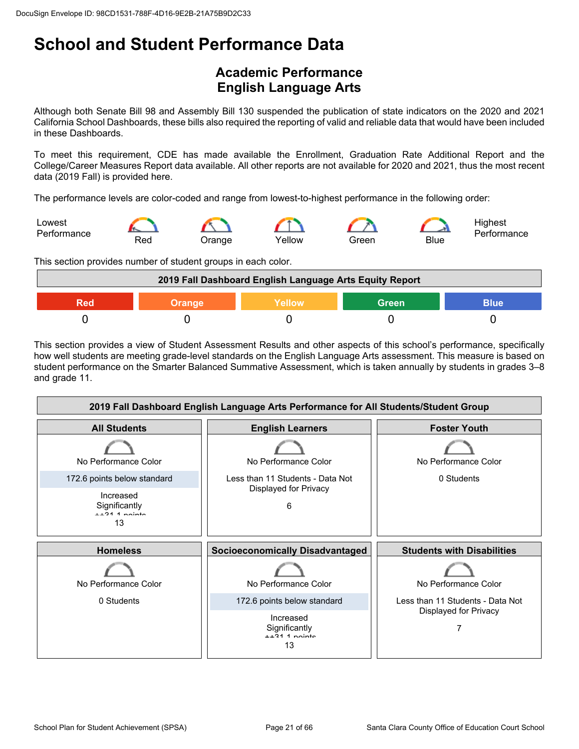## **Academic Performance English Language Arts**

Although both Senate Bill 98 and Assembly Bill 130 suspended the publication of state indicators on the 2020 and 2021 California School Dashboards, these bills also required the reporting of valid and reliable data that would have been included in these Dashboards.

To meet this requirement, CDE has made available the Enrollment, Graduation Rate Additional Report and the College/Career Measures Report data available. All other reports are not available for 2020 and 2021, thus the most recent data (2019 Fall) is provided here.

The performance levels are color-coded and range from lowest-to-highest performance in the following order:



This section provides number of student groups in each color.



This section provides a view of Student Assessment Results and other aspects of this school's performance, specifically how well students are meeting grade-level standards on the English Language Arts assessment. This measure is based on student performance on the Smarter Balanced Summative Assessment, which is taken annually by students in grades 3–8 and grade 11.

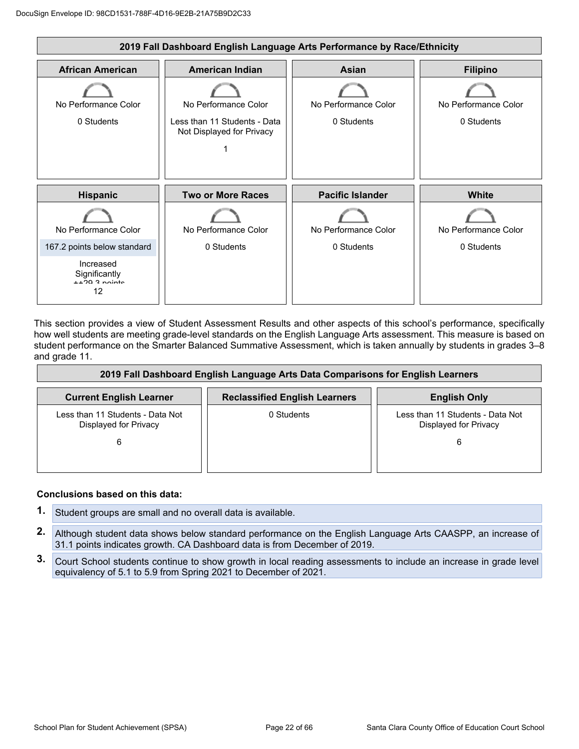

This section provides a view of Student Assessment Results and other aspects of this school's performance, specifically how well students are meeting grade-level standards on the English Language Arts assessment. This measure is based on student performance on the Smarter Balanced Summative Assessment, which is taken annually by students in grades 3–8 and grade 11.

| 2019 Fall Dashboard English Language Arts Data Comparisons for English Learners |                                      |                                                           |  |
|---------------------------------------------------------------------------------|--------------------------------------|-----------------------------------------------------------|--|
| <b>Current English Learner</b>                                                  | <b>Reclassified English Learners</b> | <b>English Only</b>                                       |  |
| Less than 11 Students - Data Not<br>Displayed for Privacy                       | 0 Students                           | Less than 11 Students - Data Not<br>Displayed for Privacy |  |
| 6                                                                               |                                      | 6                                                         |  |
|                                                                                 |                                      |                                                           |  |

#### **Conclusions based on this data:**

- **1.** Student groups are small and no overall data is available.
- **2.** Although student data shows below standard performance on the English Language Arts CAASPP, an increase of 31.1 points indicates growth. CA Dashboard data is from December of 2019.
- **3.** Court School students continue to show growth in local reading assessments to include an increase in grade level equivalency of 5.1 to 5.9 from Spring 2021 to December of 2021.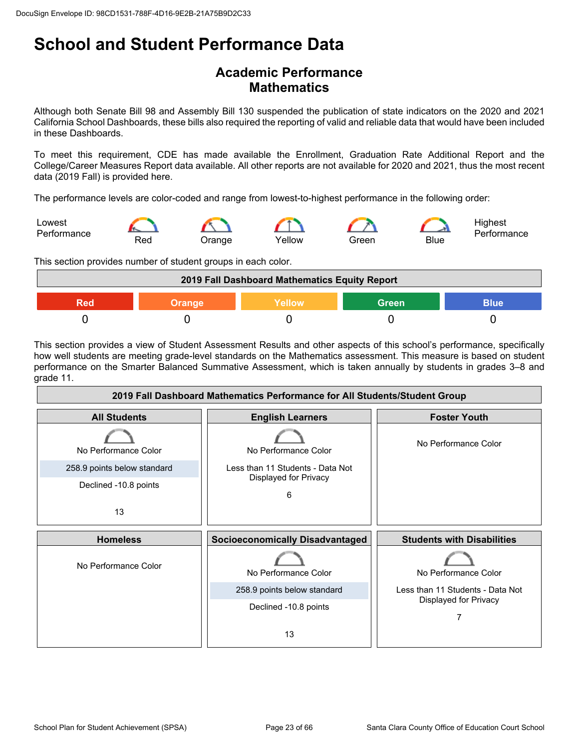### **Academic Performance Mathematics**

Although both Senate Bill 98 and Assembly Bill 130 suspended the publication of state indicators on the 2020 and 2021 California School Dashboards, these bills also required the reporting of valid and reliable data that would have been included in these Dashboards.

To meet this requirement, CDE has made available the Enrollment, Graduation Rate Additional Report and the College/Career Measures Report data available. All other reports are not available for 2020 and 2021, thus the most recent data (2019 Fall) is provided here.

The performance levels are color-coded and range from lowest-to-highest performance in the following order:



This section provides number of student groups in each color.

| 2019 Fall Dashboard Mathematics Equity Report   |  |  |  |  |
|-------------------------------------------------|--|--|--|--|
| Green<br>Yellow<br>Blue<br><b>Orange</b><br>20r |  |  |  |  |
|                                                 |  |  |  |  |

This section provides a view of Student Assessment Results and other aspects of this school's performance, specifically how well students are meeting grade-level standards on the Mathematics assessment. This measure is based on student performance on the Smarter Balanced Summative Assessment, which is taken annually by students in grades 3–8 and grade 11.

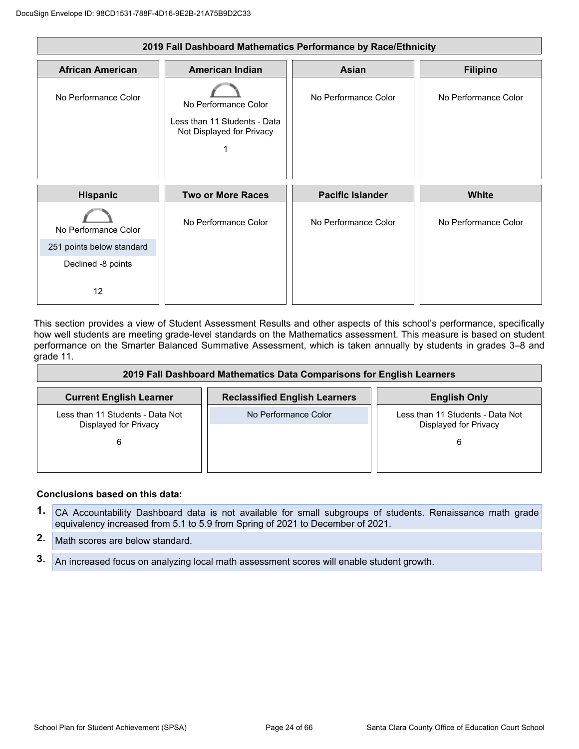| 2019 Fall Dashboard Mathematics Performance by Race/Ethnicity |                                                                                   |                         |                      |
|---------------------------------------------------------------|-----------------------------------------------------------------------------------|-------------------------|----------------------|
| <b>African American</b>                                       | <b>American Indian</b>                                                            | Asian                   | <b>Filipino</b>      |
| No Performance Color                                          | No Performance Color<br>Less than 11 Students - Data<br>Not Displayed for Privacy | No Performance Color    | No Performance Color |
| Hispanic                                                      | <b>Two or More Races</b>                                                          | <b>Pacific Islander</b> | <b>White</b>         |
| No Performance Color                                          | No Performance Color                                                              | No Performance Color    | No Performance Color |
| 251 points below standard                                     |                                                                                   |                         |                      |
| Declined -8 points                                            |                                                                                   |                         |                      |
| 12                                                            |                                                                                   |                         |                      |

This section provides a view of Student Assessment Results and other aspects of this school's performance, specifically how well students are meeting grade-level standards on the Mathematics assessment. This measure is based on student performance on the Smarter Balanced Summative Assessment, which is taken annually by students in grades 3–8 and grade 11.

| 2019 Fall Dashboard Mathematics Data Comparisons for English Learners |                                      |                                                                |  |
|-----------------------------------------------------------------------|--------------------------------------|----------------------------------------------------------------|--|
| <b>Current English Learner</b>                                        | <b>Reclassified English Learners</b> | <b>English Only</b>                                            |  |
| Less than 11 Students - Data Not<br>Displayed for Privacy<br>6        | No Performance Color                 | Less than 11 Students - Data Not<br>Displayed for Privacy<br>6 |  |

#### **Conclusions based on this data:**

- **1.** CA Accountability Dashboard data is not available for small subgroups of students. Renaissance math grade equivalency increased from 5.1 to 5.9 from Spring of 2021 to December of 2021.
- **2.** Math scores are below standard.
- **3.** An increased focus on analyzing local math assessment scores will enable student growth.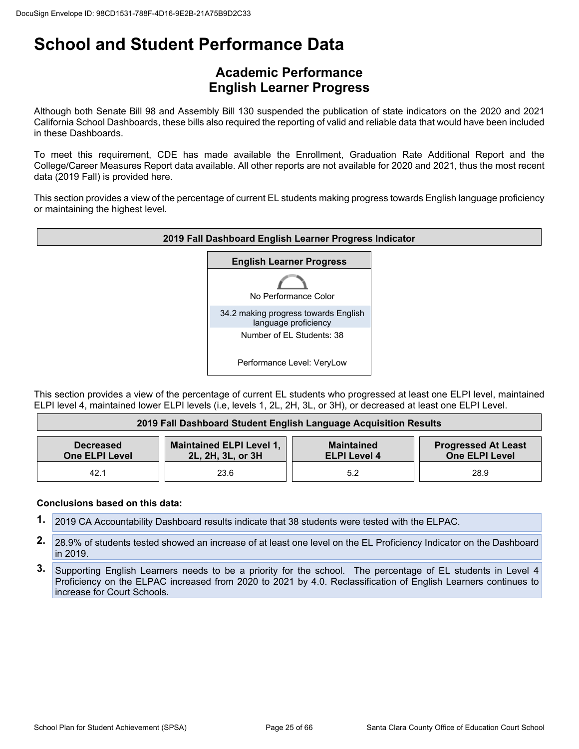### **Academic Performance English Learner Progress**

Although both Senate Bill 98 and Assembly Bill 130 suspended the publication of state indicators on the 2020 and 2021 California School Dashboards, these bills also required the reporting of valid and reliable data that would have been included in these Dashboards.

To meet this requirement, CDE has made available the Enrollment, Graduation Rate Additional Report and the College/Career Measures Report data available. All other reports are not available for 2020 and 2021, thus the most recent data (2019 Fall) is provided here.

This section provides a view of the percentage of current EL students making progress towards English language proficiency or maintaining the highest level.



This section provides a view of the percentage of current EL students who progressed at least one ELPI level, maintained ELPI level 4, maintained lower ELPI levels (i.e, levels 1, 2L, 2H, 3L, or 3H), or decreased at least one ELPI Level.

| 2019 Fall Dashboard Student English Language Acquisition Results |                                                      |                                          |                                                     |
|------------------------------------------------------------------|------------------------------------------------------|------------------------------------------|-----------------------------------------------------|
| <b>Decreased</b><br><b>One ELPI Level</b>                        | <b>Maintained ELPI Level 1,</b><br>2L, 2H, 3L, or 3H | <b>Maintained</b><br><b>ELPI Level 4</b> | <b>Progressed At Least</b><br><b>One ELPI Level</b> |
| 42.1                                                             | 23.6                                                 | 5.2                                      | 28.9                                                |

#### **Conclusions based on this data:**

- **1.** 2019 CA Accountability Dashboard results indicate that 38 students were tested with the ELPAC.
- 2. 28.9% of students tested showed an increase of at least one level on the EL Proficiency Indicator on the Dashboard in 2019.
- **3.** Supporting English Learners needs to be a priority for the school. The percentage of EL students in Level 4 Proficiency on the ELPAC increased from 2020 to 2021 by 4.0. Reclassification of English Learners continues to increase for Court Schools.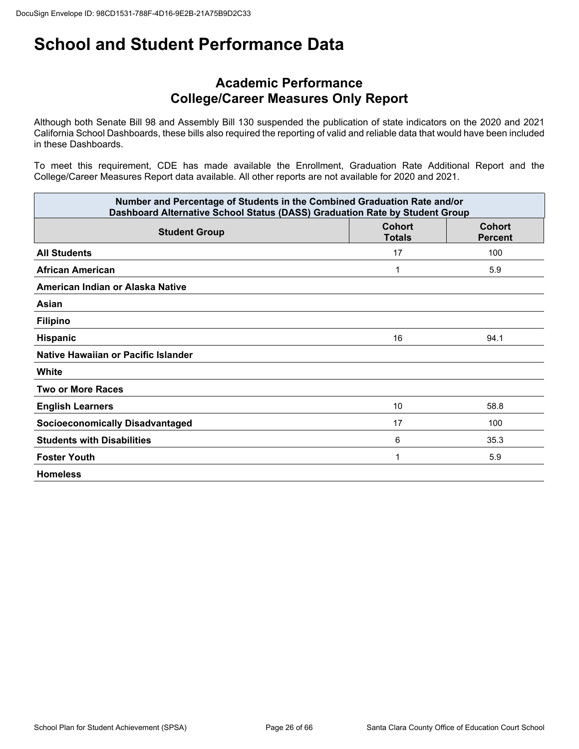### **Academic Performance College/Career Measures Only Report**

Although both Senate Bill 98 and Assembly Bill 130 suspended the publication of state indicators on the 2020 and 2021 California School Dashboards, these bills also required the reporting of valid and reliable data that would have been included in these Dashboards.

To meet this requirement, CDE has made available the Enrollment, Graduation Rate Additional Report and the College/Career Measures Report data available. All other reports are not available for 2020 and 2021.

| Number and Percentage of Students in the Combined Graduation Rate and/or<br>Dashboard Alternative School Status (DASS) Graduation Rate by Student Group |                                |                                 |  |
|---------------------------------------------------------------------------------------------------------------------------------------------------------|--------------------------------|---------------------------------|--|
| <b>Student Group</b>                                                                                                                                    | <b>Cohort</b><br><b>Totals</b> | <b>Cohort</b><br><b>Percent</b> |  |
| <b>All Students</b>                                                                                                                                     | 17                             | 100                             |  |
| <b>African American</b>                                                                                                                                 |                                | 5.9                             |  |
| American Indian or Alaska Native                                                                                                                        |                                |                                 |  |
| Asian                                                                                                                                                   |                                |                                 |  |
| <b>Filipino</b>                                                                                                                                         |                                |                                 |  |
| <b>Hispanic</b>                                                                                                                                         | 16                             | 94.1                            |  |
| Native Hawaiian or Pacific Islander                                                                                                                     |                                |                                 |  |
| White                                                                                                                                                   |                                |                                 |  |
| <b>Two or More Races</b>                                                                                                                                |                                |                                 |  |
| <b>English Learners</b>                                                                                                                                 | 10                             | 58.8                            |  |
| <b>Socioeconomically Disadvantaged</b>                                                                                                                  | 17                             | 100                             |  |
| <b>Students with Disabilities</b>                                                                                                                       | 6                              | 35.3                            |  |
| <b>Foster Youth</b>                                                                                                                                     | 1                              | 5.9                             |  |
| <b>Homeless</b>                                                                                                                                         |                                |                                 |  |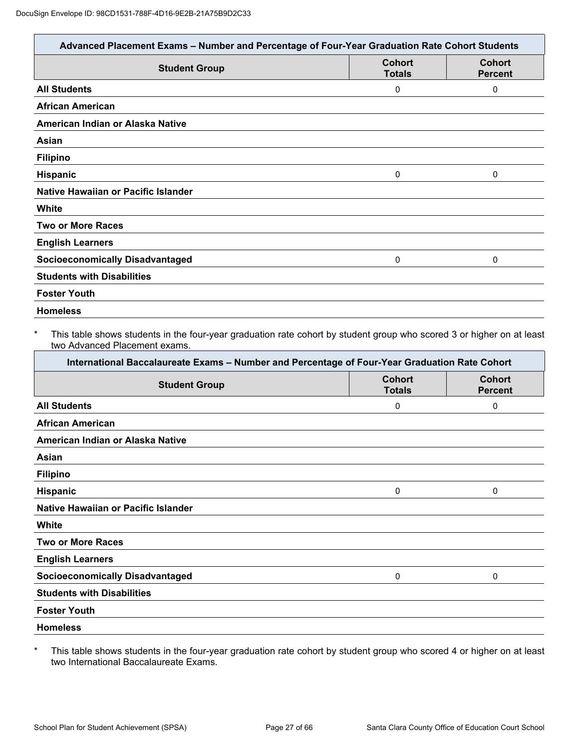| Advanced Placement Exams - Number and Percentage of Four-Year Graduation Rate Cohort Students |                                |                                 |
|-----------------------------------------------------------------------------------------------|--------------------------------|---------------------------------|
| <b>Student Group</b>                                                                          | <b>Cohort</b><br><b>Totals</b> | <b>Cohort</b><br><b>Percent</b> |
| <b>All Students</b>                                                                           | 0                              | 0                               |
| <b>African American</b>                                                                       |                                |                                 |
| American Indian or Alaska Native                                                              |                                |                                 |
| Asian                                                                                         |                                |                                 |
| <b>Filipino</b>                                                                               |                                |                                 |
| Hispanic                                                                                      | 0                              | 0                               |
| Native Hawaiian or Pacific Islander                                                           |                                |                                 |
| White                                                                                         |                                |                                 |
| <b>Two or More Races</b>                                                                      |                                |                                 |
| <b>English Learners</b>                                                                       |                                |                                 |
| <b>Socioeconomically Disadvantaged</b>                                                        | 0                              | 0                               |
| <b>Students with Disabilities</b>                                                             |                                |                                 |
| <b>Foster Youth</b>                                                                           |                                |                                 |
| <b>Homeless</b>                                                                               |                                |                                 |

#### This table shows students in the four-year graduation rate cohort by student group who scored 3 or higher on at least two Advanced Placement exams.

| International Baccalaureate Exams - Number and Percentage of Four-Year Graduation Rate Cohort |                                |                                 |  |
|-----------------------------------------------------------------------------------------------|--------------------------------|---------------------------------|--|
| <b>Student Group</b>                                                                          | <b>Cohort</b><br><b>Totals</b> | <b>Cohort</b><br><b>Percent</b> |  |
| <b>All Students</b>                                                                           | 0                              | 0                               |  |
| <b>African American</b>                                                                       |                                |                                 |  |
| American Indian or Alaska Native                                                              |                                |                                 |  |
| Asian                                                                                         |                                |                                 |  |
| <b>Filipino</b>                                                                               |                                |                                 |  |
| <b>Hispanic</b>                                                                               | 0                              | 0                               |  |
| Native Hawaiian or Pacific Islander                                                           |                                |                                 |  |
| White                                                                                         |                                |                                 |  |
| <b>Two or More Races</b>                                                                      |                                |                                 |  |
| <b>English Learners</b>                                                                       |                                |                                 |  |
| <b>Socioeconomically Disadvantaged</b>                                                        | 0                              | 0                               |  |
| <b>Students with Disabilities</b>                                                             |                                |                                 |  |
| <b>Foster Youth</b>                                                                           |                                |                                 |  |
| <b>Homeless</b>                                                                               |                                |                                 |  |

\* This table shows students in the four-year graduation rate cohort by student group who scored 4 or higher on at least two International Baccalaureate Exams.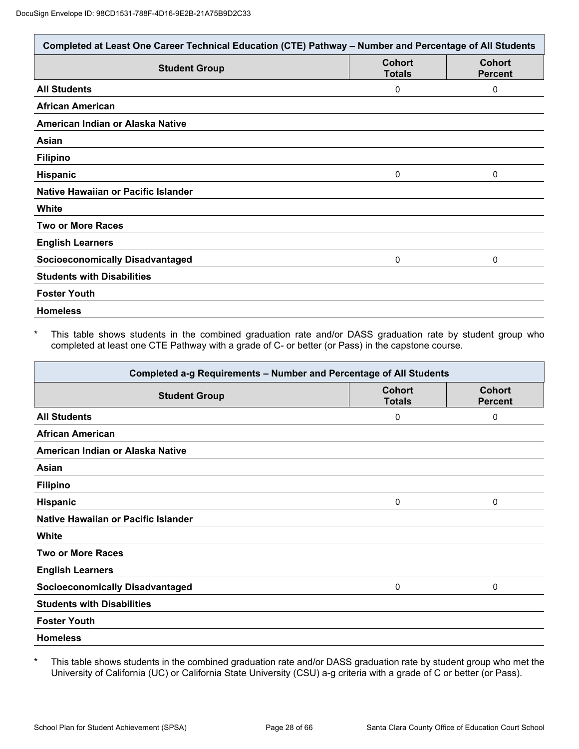| Completed at Least One Career Technical Education (CTE) Pathway - Number and Percentage of All Students |                                |                                 |
|---------------------------------------------------------------------------------------------------------|--------------------------------|---------------------------------|
| <b>Student Group</b>                                                                                    | <b>Cohort</b><br><b>Totals</b> | <b>Cohort</b><br><b>Percent</b> |
| <b>All Students</b>                                                                                     | 0                              | 0                               |
| <b>African American</b>                                                                                 |                                |                                 |
| American Indian or Alaska Native                                                                        |                                |                                 |
| Asian                                                                                                   |                                |                                 |
| <b>Filipino</b>                                                                                         |                                |                                 |
| Hispanic                                                                                                | 0                              | $\mathbf{0}$                    |
| Native Hawaiian or Pacific Islander                                                                     |                                |                                 |
| White                                                                                                   |                                |                                 |
| <b>Two or More Races</b>                                                                                |                                |                                 |
| <b>English Learners</b>                                                                                 |                                |                                 |
| <b>Socioeconomically Disadvantaged</b>                                                                  | 0                              | 0                               |
| <b>Students with Disabilities</b>                                                                       |                                |                                 |
| <b>Foster Youth</b>                                                                                     |                                |                                 |
| <b>Homeless</b>                                                                                         |                                |                                 |

This table shows students in the combined graduation rate and/or DASS graduation rate by student group who completed at least one CTE Pathway with a grade of C- or better (or Pass) in the capstone course.

| Completed a-g Requirements - Number and Percentage of All Students |                                |                                 |
|--------------------------------------------------------------------|--------------------------------|---------------------------------|
| <b>Student Group</b>                                               | <b>Cohort</b><br><b>Totals</b> | <b>Cohort</b><br><b>Percent</b> |
| <b>All Students</b>                                                | 0                              | 0                               |
| <b>African American</b>                                            |                                |                                 |
| American Indian or Alaska Native                                   |                                |                                 |
| Asian                                                              |                                |                                 |
| <b>Filipino</b>                                                    |                                |                                 |
| <b>Hispanic</b>                                                    | 0                              | 0                               |
| Native Hawaiian or Pacific Islander                                |                                |                                 |
| White                                                              |                                |                                 |
| <b>Two or More Races</b>                                           |                                |                                 |
| <b>English Learners</b>                                            |                                |                                 |
| <b>Socioeconomically Disadvantaged</b>                             | 0                              | 0                               |
| <b>Students with Disabilities</b>                                  |                                |                                 |
| <b>Foster Youth</b>                                                |                                |                                 |
| <b>Homeless</b>                                                    |                                |                                 |

\* This table shows students in the combined graduation rate and/or DASS graduation rate by student group who met the University of California (UC) or California State University (CSU) a-g criteria with a grade of C or better (or Pass).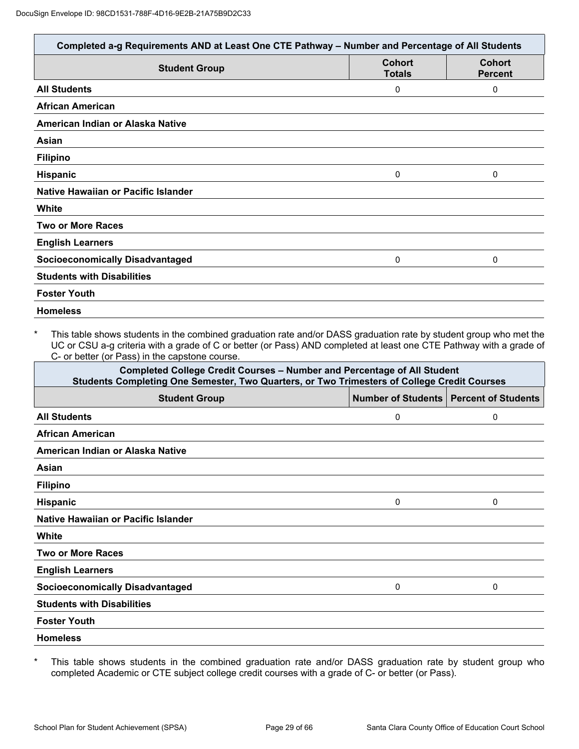|                                        | <b>Cohort</b> | <b>Cohort</b>  |
|----------------------------------------|---------------|----------------|
| <b>Student Group</b>                   | <b>Totals</b> | <b>Percent</b> |
| <b>All Students</b>                    | 0             | 0              |
| <b>African American</b>                |               |                |
| American Indian or Alaska Native       |               |                |
| Asian                                  |               |                |
| <b>Filipino</b>                        |               |                |
| Hispanic                               | 0             | 0              |
| Native Hawaiian or Pacific Islander    |               |                |
| White                                  |               |                |
| <b>Two or More Races</b>               |               |                |
| <b>English Learners</b>                |               |                |
| <b>Socioeconomically Disadvantaged</b> | 0             | 0              |
| <b>Students with Disabilities</b>      |               |                |
| <b>Foster Youth</b>                    |               |                |

\* This table shows students in the combined graduation rate and/or DASS graduation rate by student group who met the UC or CSU a-g criteria with a grade of C or better (or Pass) AND completed at least one CTE Pathway with a grade of C- or better (or Pass) in the capstone course.

| <b>Completed College Credit Courses - Number and Percentage of All Student</b><br>Students Completing One Semester, Two Quarters, or Two Trimesters of College Credit Courses |   |                                          |  |
|-------------------------------------------------------------------------------------------------------------------------------------------------------------------------------|---|------------------------------------------|--|
| <b>Student Group</b>                                                                                                                                                          |   | Number of Students   Percent of Students |  |
| <b>All Students</b>                                                                                                                                                           | 0 | 0                                        |  |
| <b>African American</b>                                                                                                                                                       |   |                                          |  |
| American Indian or Alaska Native                                                                                                                                              |   |                                          |  |
| Asian                                                                                                                                                                         |   |                                          |  |
| <b>Filipino</b>                                                                                                                                                               |   |                                          |  |
| <b>Hispanic</b>                                                                                                                                                               | 0 | 0                                        |  |
| Native Hawaiian or Pacific Islander                                                                                                                                           |   |                                          |  |
| White                                                                                                                                                                         |   |                                          |  |
| <b>Two or More Races</b>                                                                                                                                                      |   |                                          |  |
| <b>English Learners</b>                                                                                                                                                       |   |                                          |  |
| <b>Socioeconomically Disadvantaged</b>                                                                                                                                        | 0 | 0                                        |  |
| <b>Students with Disabilities</b>                                                                                                                                             |   |                                          |  |
| <b>Foster Youth</b>                                                                                                                                                           |   |                                          |  |
| <b>Homeless</b>                                                                                                                                                               |   |                                          |  |

\* This table shows students in the combined graduation rate and/or DASS graduation rate by student group who completed Academic or CTE subject college credit courses with a grade of C- or better (or Pass).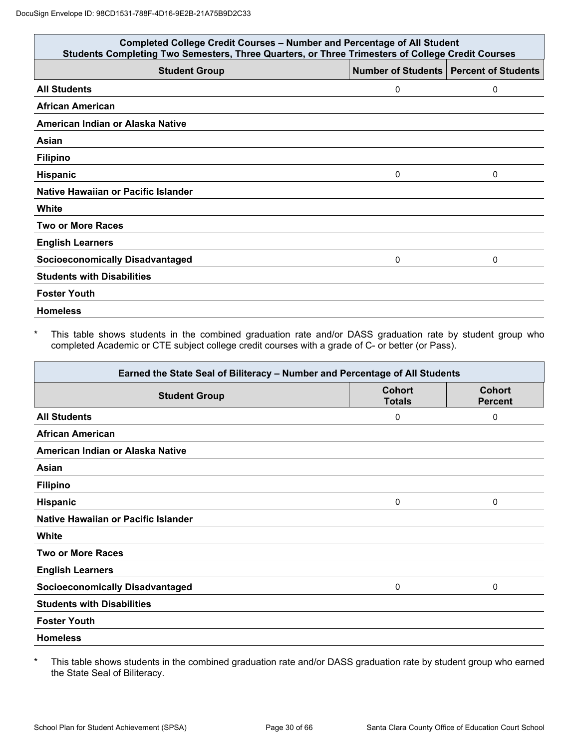| <b>Completed College Credit Courses - Number and Percentage of All Student</b><br>Students Completing Two Semesters, Three Quarters, or Three Trimesters of College Credit Courses |   |                                          |
|------------------------------------------------------------------------------------------------------------------------------------------------------------------------------------|---|------------------------------------------|
| <b>Student Group</b>                                                                                                                                                               |   | Number of Students   Percent of Students |
| <b>All Students</b>                                                                                                                                                                | 0 | 0                                        |
| <b>African American</b>                                                                                                                                                            |   |                                          |
| American Indian or Alaska Native                                                                                                                                                   |   |                                          |
| Asian                                                                                                                                                                              |   |                                          |
| <b>Filipino</b>                                                                                                                                                                    |   |                                          |
| <b>Hispanic</b>                                                                                                                                                                    | 0 | 0                                        |
| Native Hawaiian or Pacific Islander                                                                                                                                                |   |                                          |
| White                                                                                                                                                                              |   |                                          |
| <b>Two or More Races</b>                                                                                                                                                           |   |                                          |
| <b>English Learners</b>                                                                                                                                                            |   |                                          |
| <b>Socioeconomically Disadvantaged</b>                                                                                                                                             | 0 | 0                                        |
| <b>Students with Disabilities</b>                                                                                                                                                  |   |                                          |
| <b>Foster Youth</b>                                                                                                                                                                |   |                                          |
| <b>Homeless</b>                                                                                                                                                                    |   |                                          |

This table shows students in the combined graduation rate and/or DASS graduation rate by student group who completed Academic or CTE subject college credit courses with a grade of C- or better (or Pass).

| Earned the State Seal of Biliteracy - Number and Percentage of All Students |                                |                                 |
|-----------------------------------------------------------------------------|--------------------------------|---------------------------------|
| <b>Student Group</b>                                                        | <b>Cohort</b><br><b>Totals</b> | <b>Cohort</b><br><b>Percent</b> |
| <b>All Students</b>                                                         | 0                              | 0                               |
| <b>African American</b>                                                     |                                |                                 |
| American Indian or Alaska Native                                            |                                |                                 |
| Asian                                                                       |                                |                                 |
| <b>Filipino</b>                                                             |                                |                                 |
| <b>Hispanic</b>                                                             | 0                              | 0                               |
| Native Hawaiian or Pacific Islander                                         |                                |                                 |
| White                                                                       |                                |                                 |
| <b>Two or More Races</b>                                                    |                                |                                 |
| <b>English Learners</b>                                                     |                                |                                 |
| <b>Socioeconomically Disadvantaged</b>                                      | 0                              | $\mathbf{0}$                    |
| <b>Students with Disabilities</b>                                           |                                |                                 |
| <b>Foster Youth</b>                                                         |                                |                                 |
| <b>Homeless</b>                                                             |                                |                                 |

\* This table shows students in the combined graduation rate and/or DASS graduation rate by student group who earned the State Seal of Biliteracy.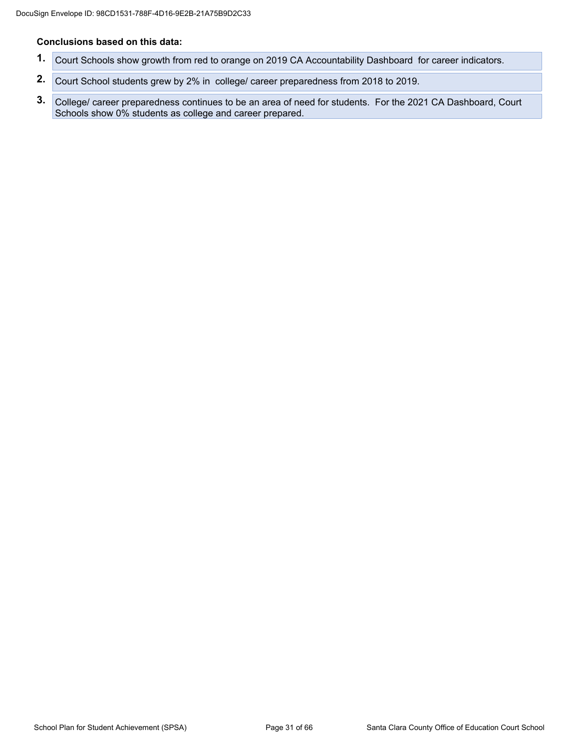#### **Conclusions based on this data:**

- **1.** Court Schools show growth from red to orange on 2019 CA Accountability Dashboard for career indicators.
- **2.** Court School students grew by 2% in college/ career preparedness from 2018 to 2019.
- **3.** College/ career preparedness continues to be an area of need for students. For the 2021 CA Dashboard, Court Schools show 0% students as college and career prepared.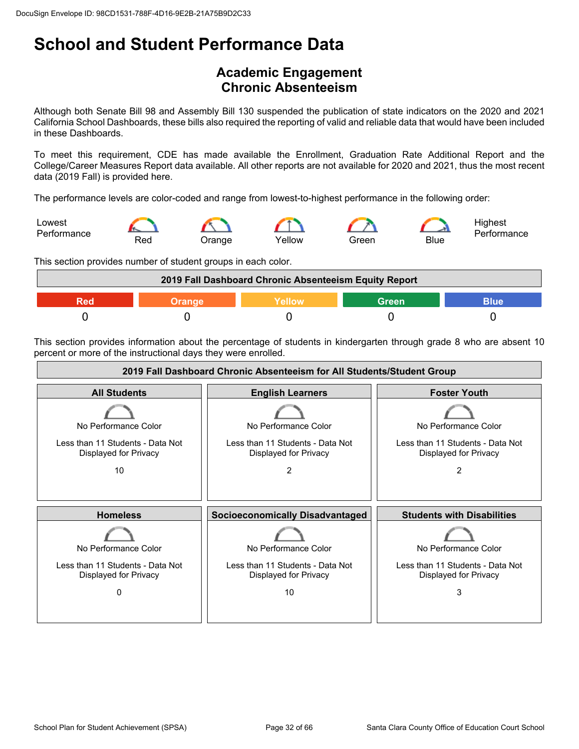## **Academic Engagement Chronic Absenteeism**

Although both Senate Bill 98 and Assembly Bill 130 suspended the publication of state indicators on the 2020 and 2021 California School Dashboards, these bills also required the reporting of valid and reliable data that would have been included in these Dashboards.

To meet this requirement, CDE has made available the Enrollment, Graduation Rate Additional Report and the College/Career Measures Report data available. All other reports are not available for 2020 and 2021, thus the most recent data (2019 Fall) is provided here.

The performance levels are color-coded and range from lowest-to-highest performance in the following order:



This section provides number of student groups in each color.



This section provides information about the percentage of students in kindergarten through grade 8 who are absent 10 percent or more of the instructional days they were enrolled.

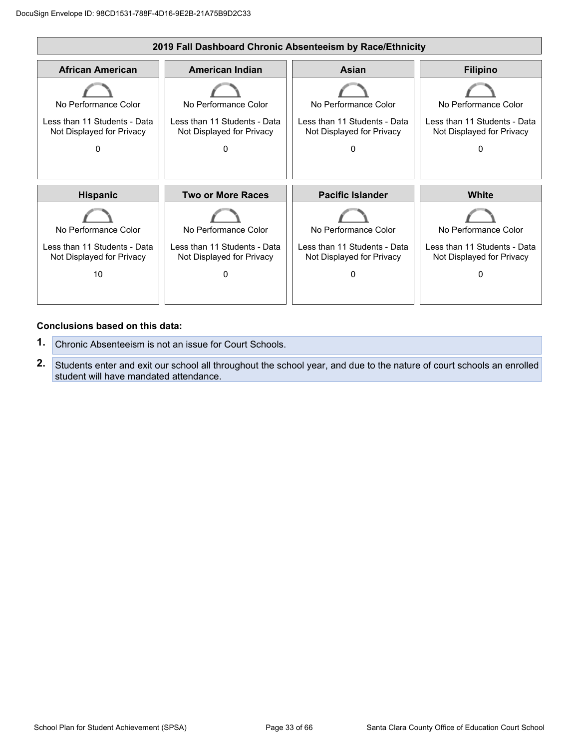

#### **Conclusions based on this data:**

- **1.** Chronic Absenteeism is not an issue for Court Schools.
- **2.** Students enter and exit our school all throughout the school year, and due to the nature of court schools an enrolled student will have mandated attendance.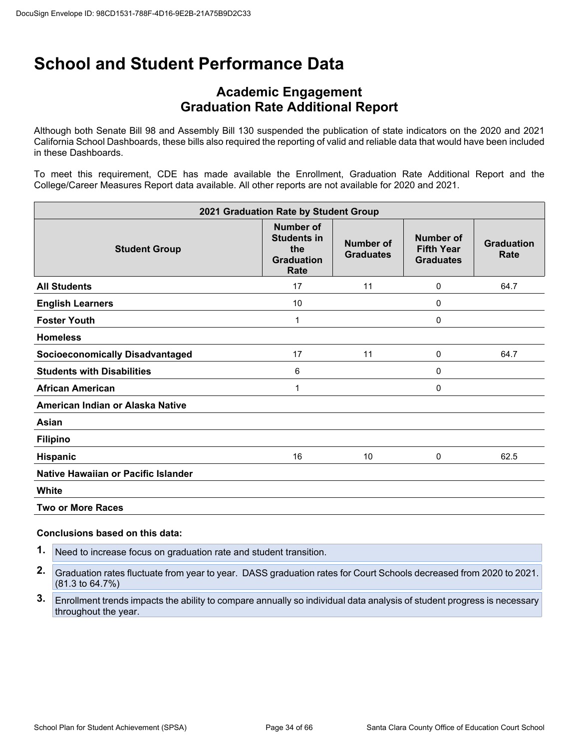### **Academic Engagement Graduation Rate Additional Report**

Although both Senate Bill 98 and Assembly Bill 130 suspended the publication of state indicators on the 2020 and 2021 California School Dashboards, these bills also required the reporting of valid and reliable data that would have been included in these Dashboards.

To meet this requirement, CDE has made available the Enrollment, Graduation Rate Additional Report and the College/Career Measures Report data available. All other reports are not available for 2020 and 2021.

| 2021 Graduation Rate by Student Group  |                                                                            |                                      |                                                    |                           |
|----------------------------------------|----------------------------------------------------------------------------|--------------------------------------|----------------------------------------------------|---------------------------|
| <b>Student Group</b>                   | <b>Number of</b><br><b>Students in</b><br>the<br><b>Graduation</b><br>Rate | <b>Number of</b><br><b>Graduates</b> | Number of<br><b>Fifth Year</b><br><b>Graduates</b> | <b>Graduation</b><br>Rate |
| <b>All Students</b>                    | 17                                                                         | 11                                   | 0                                                  | 64.7                      |
| <b>English Learners</b>                | 10                                                                         |                                      | 0                                                  |                           |
| <b>Foster Youth</b>                    | 1                                                                          |                                      | 0                                                  |                           |
| <b>Homeless</b>                        |                                                                            |                                      |                                                    |                           |
| <b>Socioeconomically Disadvantaged</b> | 17                                                                         | 11                                   | 0                                                  | 64.7                      |
| <b>Students with Disabilities</b>      | 6                                                                          |                                      | 0                                                  |                           |
| <b>African American</b>                | 1                                                                          |                                      | 0                                                  |                           |
| American Indian or Alaska Native       |                                                                            |                                      |                                                    |                           |
| Asian                                  |                                                                            |                                      |                                                    |                           |
| <b>Filipino</b>                        |                                                                            |                                      |                                                    |                           |
| Hispanic                               | 16                                                                         | 10                                   | 0                                                  | 62.5                      |
| Native Hawaiian or Pacific Islander    |                                                                            |                                      |                                                    |                           |
| White                                  |                                                                            |                                      |                                                    |                           |
| <b>Two or More Races</b>               |                                                                            |                                      |                                                    |                           |

#### **Conclusions based on this data:**

**1.** Need to increase focus on graduation rate and student transition.

**2.** Graduation rates fluctuate from year to year. DASS graduation rates for Court Schools decreased from 2020 to 2021. (81.3 to 64.7%)

**3.** Enrollment trends impacts the ability to compare annually so individual data analysis of student progress is necessary throughout the year.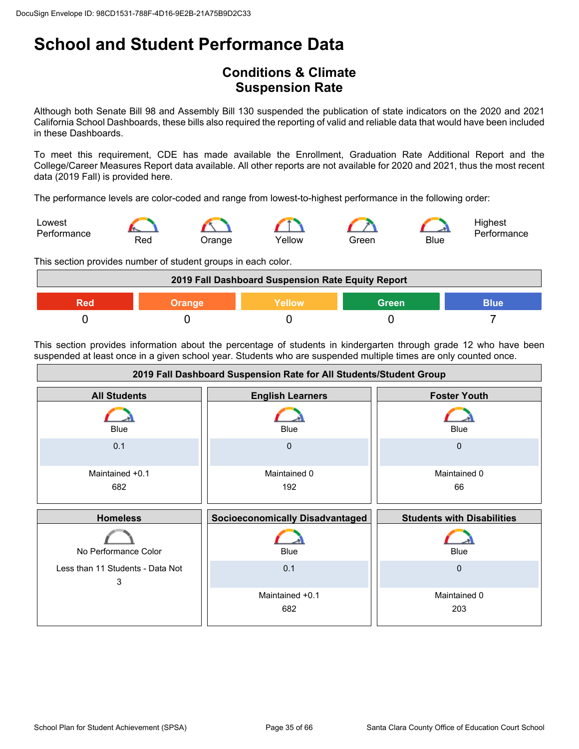## **Conditions & Climate Suspension Rate**

Although both Senate Bill 98 and Assembly Bill 130 suspended the publication of state indicators on the 2020 and 2021 California School Dashboards, these bills also required the reporting of valid and reliable data that would have been included in these Dashboards.

To meet this requirement, CDE has made available the Enrollment, Graduation Rate Additional Report and the College/Career Measures Report data available. All other reports are not available for 2020 and 2021, thus the most recent data (2019 Fall) is provided here.

The performance levels are color-coded and range from lowest-to-highest performance in the following order:



This section provides number of student groups in each color.



This section provides information about the percentage of students in kindergarten through grade 12 who have been suspended at least once in a given school year. Students who are suspended multiple times are only counted once.

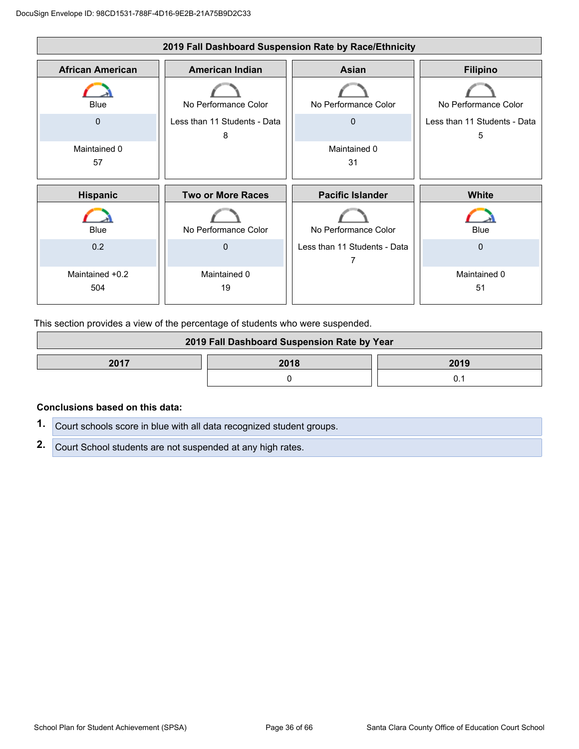

This section provides a view of the percentage of students who were suspended.

| 2019 Fall Dashboard Suspension Rate by Year |      |      |  |
|---------------------------------------------|------|------|--|
| 2017                                        | 2018 | 2019 |  |
|                                             |      |      |  |

#### **Conclusions based on this data:**

| 1. Court schools score in blue with all data recognized student groups. |
|-------------------------------------------------------------------------|
| 2. Court School students are not suspended at any high rates.           |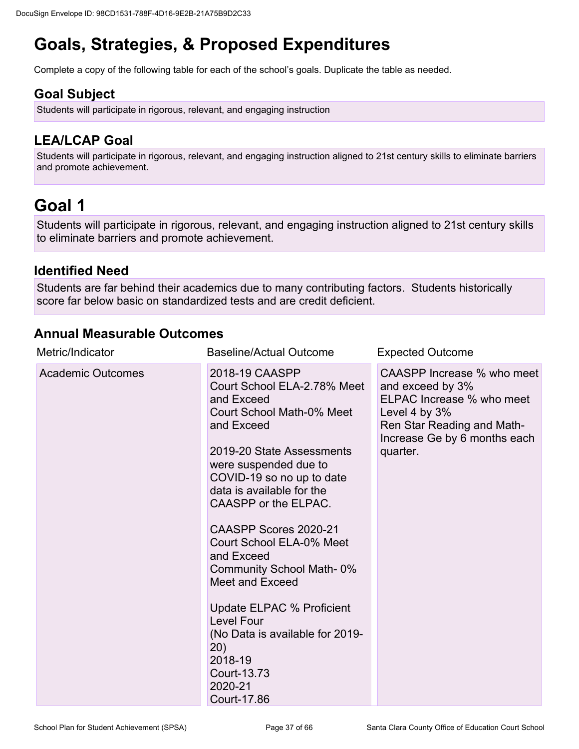# **Goals, Strategies, & Proposed Expenditures**

Complete a copy of the following table for each of the school's goals. Duplicate the table as needed.

## **Goal Subject**

Students will participate in rigorous, relevant, and engaging instruction

## **LEA/LCAP Goal**

Students will participate in rigorous, relevant, and engaging instruction aligned to 21st century skills to eliminate barriers and promote achievement.

# **Goal 1**

Students will participate in rigorous, relevant, and engaging instruction aligned to 21st century skills to eliminate barriers and promote achievement.

### **Identified Need**

Students are far behind their academics due to many contributing factors. Students historically score far below basic on standardized tests and are credit deficient.

### **Annual Measurable Outcomes**

| Metric/Indicator         | <b>Baseline/Actual Outcome</b>                                                                                                                                                                                                                                                                                                                                                                                                                                                                                          | <b>Expected Outcome</b>                                                                                                                                                  |
|--------------------------|-------------------------------------------------------------------------------------------------------------------------------------------------------------------------------------------------------------------------------------------------------------------------------------------------------------------------------------------------------------------------------------------------------------------------------------------------------------------------------------------------------------------------|--------------------------------------------------------------------------------------------------------------------------------------------------------------------------|
| <b>Academic Outcomes</b> | 2018-19 CAASPP<br>Court School ELA-2.78% Meet<br>and Exceed<br>Court School Math-0% Meet<br>and Exceed<br>2019-20 State Assessments<br>were suspended due to<br>COVID-19 so no up to date<br>data is available for the<br>CAASPP or the ELPAC.<br>CAASPP Scores 2020-21<br>Court School ELA-0% Meet<br>and Exceed<br><b>Community School Math-0%</b><br>Meet and Exceed<br>Update ELPAC % Proficient<br><b>Level Four</b><br>(No Data is available for 2019-<br>20)<br>2018-19<br>Court-13.73<br>2020-21<br>Court-17.86 | CAASPP Increase % who meet<br>and exceed by 3%<br>ELPAC Increase % who meet<br>Level 4 by $3%$<br>Ren Star Reading and Math-<br>Increase Ge by 6 months each<br>quarter. |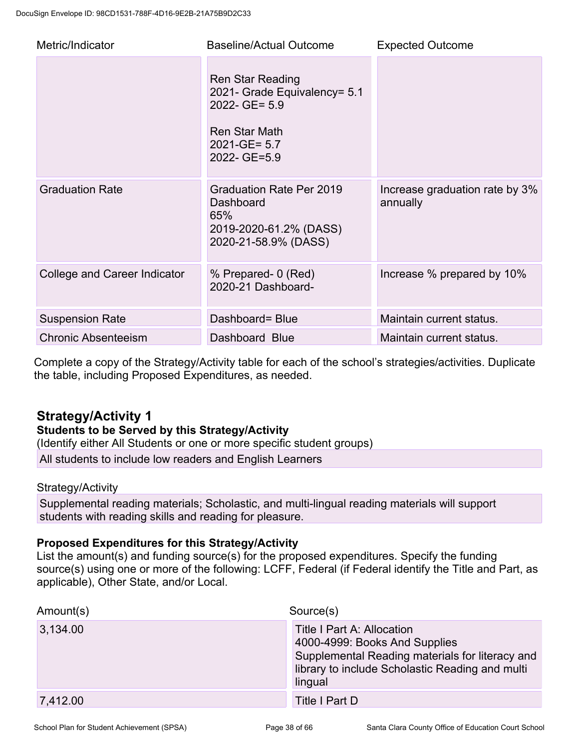| Metric/Indicator             | <b>Baseline/Actual Outcome</b>                                                                                                 | <b>Expected Outcome</b>                    |
|------------------------------|--------------------------------------------------------------------------------------------------------------------------------|--------------------------------------------|
|                              | Ren Star Reading<br>2021- Grade Equivalency= 5.1<br>2022- GE= 5.9<br><b>Ren Star Math</b><br>$2021 - GE = 5.7$<br>2022- GE=5.9 |                                            |
| <b>Graduation Rate</b>       | Graduation Rate Per 2019<br>Dashboard<br>65%<br>2019-2020-61.2% (DASS)<br>2020-21-58.9% (DASS)                                 | Increase graduation rate by 3%<br>annually |
| College and Career Indicator | % Prepared- 0 (Red)<br>2020-21 Dashboard-                                                                                      | Increase % prepared by 10%                 |
| <b>Suspension Rate</b>       | Dashboard= Blue                                                                                                                | Maintain current status.                   |
| <b>Chronic Absenteeism</b>   | Dashboard Blue                                                                                                                 | Maintain current status.                   |

Complete a copy of the Strategy/Activity table for each of the school's strategies/activities. Duplicate the table, including Proposed Expenditures, as needed.

## **Strategy/Activity 1**

### **Students to be Served by this Strategy/Activity**

(Identify either All Students or one or more specific student groups)

All students to include low readers and English Learners

### Strategy/Activity

Supplemental reading materials; Scholastic, and multi-lingual reading materials will support students with reading skills and reading for pleasure.

### **Proposed Expenditures for this Strategy/Activity**

List the amount(s) and funding source(s) for the proposed expenditures. Specify the funding source(s) using one or more of the following: LCFF, Federal (if Federal identify the Title and Part, as applicable), Other State, and/or Local.

| Amount(s) | Source(s)                                                                                                                                                                    |  |
|-----------|------------------------------------------------------------------------------------------------------------------------------------------------------------------------------|--|
| 3,134.00  | Title I Part A: Allocation<br>4000-4999: Books And Supplies<br>Supplemental Reading materials for literacy and<br>library to include Scholastic Reading and multi<br>lingual |  |
| 7,412.00  | Title I Part D                                                                                                                                                               |  |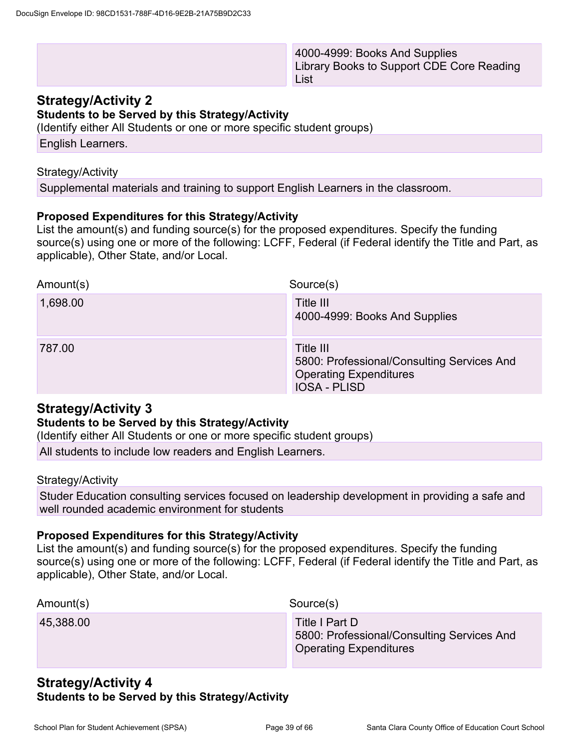4000-4999: Books And Supplies Library Books to Support CDE Core Reading List

### **Strategy/Activity 2**

**Students to be Served by this Strategy/Activity**

(Identify either All Students or one or more specific student groups)

English Learners.

#### Strategy/Activity

Supplemental materials and training to support English Learners in the classroom.

### **Proposed Expenditures for this Strategy/Activity**

List the amount(s) and funding source(s) for the proposed expenditures. Specify the funding source(s) using one or more of the following: LCFF, Federal (if Federal identify the Title and Part, as applicable), Other State, and/or Local.

| Amount(s) | Source(s)                                                                                                       |
|-----------|-----------------------------------------------------------------------------------------------------------------|
| 1,698.00  | Title III<br>4000-4999: Books And Supplies                                                                      |
| 787.00    | Title III<br>5800: Professional/Consulting Services And<br><b>Operating Expenditures</b><br><b>IOSA - PLISD</b> |

### **Strategy/Activity 3**

### **Students to be Served by this Strategy/Activity**

(Identify either All Students or one or more specific student groups)

All students to include low readers and English Learners.

#### Strategy/Activity

Studer Education consulting services focused on leadership development in providing a safe and well rounded academic environment for students

#### **Proposed Expenditures for this Strategy/Activity**

List the amount(s) and funding source(s) for the proposed expenditures. Specify the funding source(s) using one or more of the following: LCFF, Federal (if Federal identify the Title and Part, as applicable), Other State, and/or Local.

| Amount(s) | Source(s)                                                                                     |
|-----------|-----------------------------------------------------------------------------------------------|
| 45,388.00 | Title I Part D<br>5800: Professional/Consulting Services And<br><b>Operating Expenditures</b> |

### **Strategy/Activity 4 Students to be Served by this Strategy/Activity**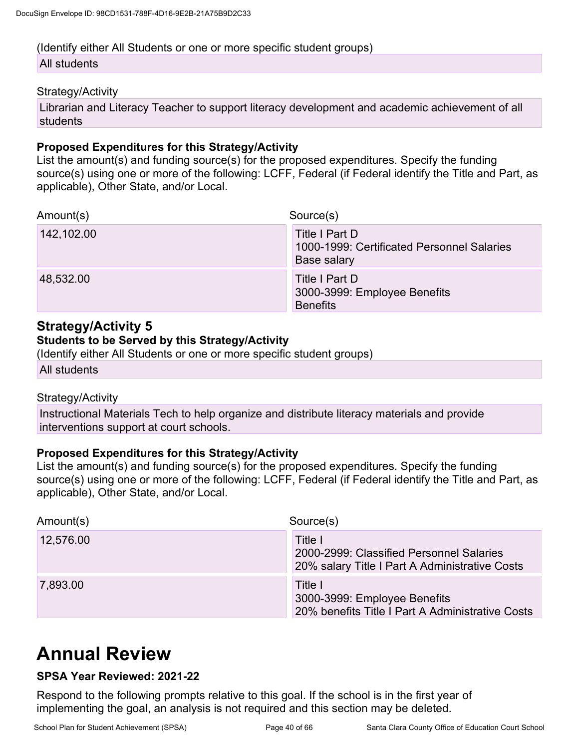## (Identify either All Students or one or more specific student groups)

### All students

#### Strategy/Activity

Librarian and Literacy Teacher to support literacy development and academic achievement of all students

### **Proposed Expenditures for this Strategy/Activity**

List the amount(s) and funding source(s) for the proposed expenditures. Specify the funding source(s) using one or more of the following: LCFF, Federal (if Federal identify the Title and Part, as applicable), Other State, and/or Local.

| Amount(s)  | Source(s)                                                                   |
|------------|-----------------------------------------------------------------------------|
| 142,102.00 | Title I Part D<br>1000-1999: Certificated Personnel Salaries<br>Base salary |
| 48,532.00  | Title I Part D<br>3000-3999: Employee Benefits<br><b>Benefits</b>           |

## **Strategy/Activity 5**

#### **Students to be Served by this Strategy/Activity**

(Identify either All Students or one or more specific student groups)

All students

### Strategy/Activity

Instructional Materials Tech to help organize and distribute literacy materials and provide interventions support at court schools.

### **Proposed Expenditures for this Strategy/Activity**

List the amount(s) and funding source(s) for the proposed expenditures. Specify the funding source(s) using one or more of the following: LCFF, Federal (if Federal identify the Title and Part, as applicable), Other State, and/or Local.

| Amount(s) | Source(s)                                                                                             |
|-----------|-------------------------------------------------------------------------------------------------------|
| 12,576.00 | Title I<br>2000-2999: Classified Personnel Salaries<br>20% salary Title I Part A Administrative Costs |
| 7,893.00  | Title I<br>3000-3999: Employee Benefits<br>20% benefits Title I Part A Administrative Costs           |

# **Annual Review**

### **SPSA Year Reviewed: 2021-22**

Respond to the following prompts relative to this goal. If the school is in the first year of implementing the goal, an analysis is not required and this section may be deleted.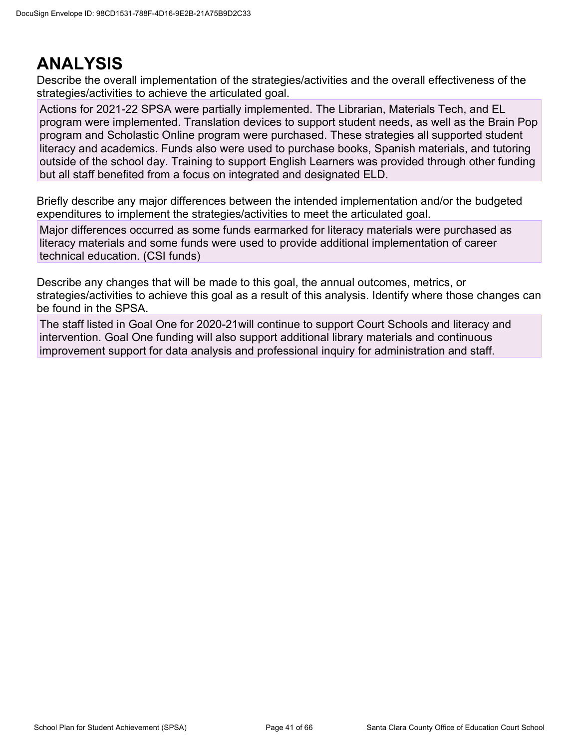## **ANALYSIS**

Describe the overall implementation of the strategies/activities and the overall effectiveness of the strategies/activities to achieve the articulated goal.

Actions for 2021-22 SPSA were partially implemented. The Librarian, Materials Tech, and EL program were implemented. Translation devices to support student needs, as well as the Brain Pop program and Scholastic Online program were purchased. These strategies all supported student literacy and academics. Funds also were used to purchase books, Spanish materials, and tutoring outside of the school day. Training to support English Learners was provided through other funding but all staff benefited from a focus on integrated and designated ELD.

Briefly describe any major differences between the intended implementation and/or the budgeted expenditures to implement the strategies/activities to meet the articulated goal.

Major differences occurred as some funds earmarked for literacy materials were purchased as literacy materials and some funds were used to provide additional implementation of career technical education. (CSI funds)

Describe any changes that will be made to this goal, the annual outcomes, metrics, or strategies/activities to achieve this goal as a result of this analysis. Identify where those changes can be found in the SPSA.

The staff listed in Goal One for 2020-21will continue to support Court Schools and literacy and intervention. Goal One funding will also support additional library materials and continuous improvement support for data analysis and professional inquiry for administration and staff.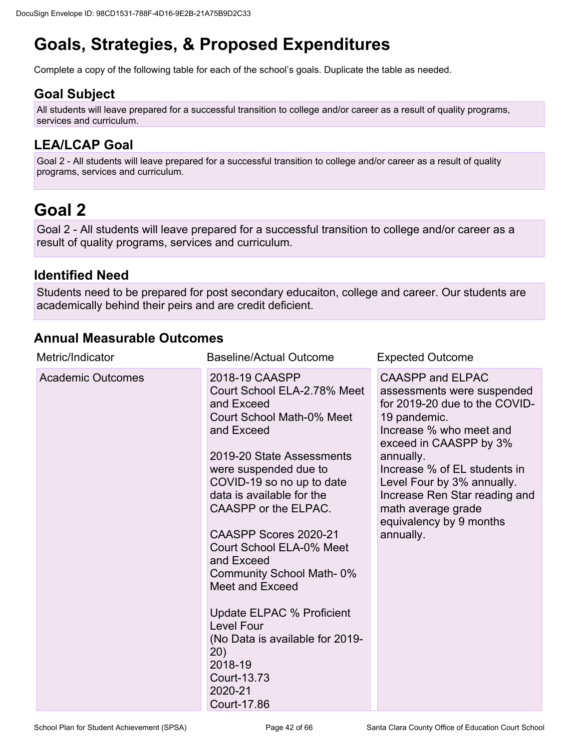# **Goals, Strategies, & Proposed Expenditures**

Complete a copy of the following table for each of the school's goals. Duplicate the table as needed.

## **Goal Subject**

All students will leave prepared for a successful transition to college and/or career as a result of quality programs, services and curriculum.

## **LEA/LCAP Goal**

Goal 2 - All students will leave prepared for a successful transition to college and/or career as a result of quality programs, services and curriculum.

# **Goal 2**

Goal 2 - All students will leave prepared for a successful transition to college and/or career as a result of quality programs, services and curriculum.

### **Identified Need**

Students need to be prepared for post secondary educaiton, college and career. Our students are academically behind their peirs and are credit deficient.

### **Annual Measurable Outcomes**

| Metric/Indicator         | <b>Baseline/Actual Outcome</b>                                                                                                                                                                                                                                                                                                                                                                                                                                                                                           | <b>Expected Outcome</b>                                                                                                                                                                                                                                                                                                               |
|--------------------------|--------------------------------------------------------------------------------------------------------------------------------------------------------------------------------------------------------------------------------------------------------------------------------------------------------------------------------------------------------------------------------------------------------------------------------------------------------------------------------------------------------------------------|---------------------------------------------------------------------------------------------------------------------------------------------------------------------------------------------------------------------------------------------------------------------------------------------------------------------------------------|
| <b>Academic Outcomes</b> | 2018-19 CAASPP<br>Court School ELA-2.78% Meet<br>and Exceed<br>Court School Math-0% Meet<br>and Exceed<br>2019-20 State Assessments<br>were suspended due to<br>COVID-19 so no up to date<br>data is available for the<br>CAASPP or the ELPAC.<br>CAASPP Scores 2020-21<br>Court School ELA-0% Meet<br>and Exceed<br>Community School Math-0%<br>Meet and Exceed<br><b>Update ELPAC % Proficient</b><br><b>Level Four</b><br>(No Data is available for 2019-<br>(20)<br>2018-19<br>Court-13.73<br>2020-21<br>Court-17.86 | <b>CAASPP and ELPAC</b><br>assessments were suspended<br>for 2019-20 due to the COVID-<br>19 pandemic.<br>Increase % who meet and<br>exceed in CAASPP by 3%<br>annually.<br>Increase % of EL students in<br>Level Four by 3% annually.<br>Increase Ren Star reading and<br>math average grade<br>equivalency by 9 months<br>annually. |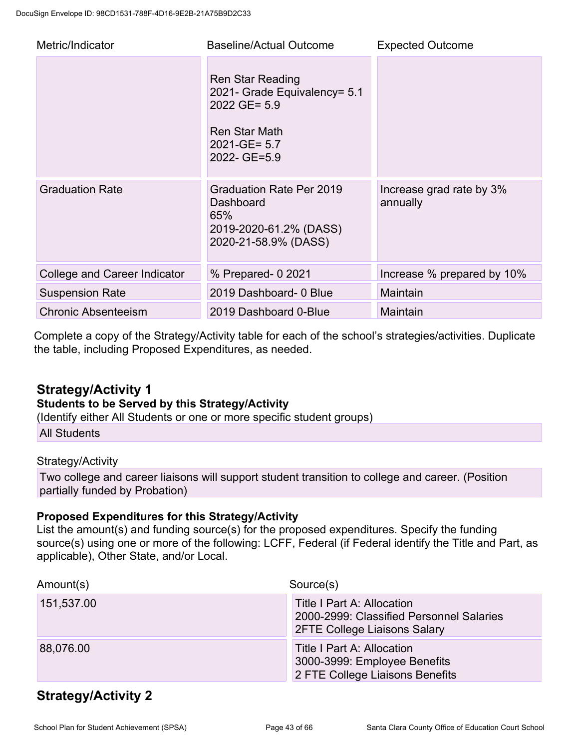| Metric/Indicator             | <b>Baseline/Actual Outcome</b>                                                                                                | <b>Expected Outcome</b>              |
|------------------------------|-------------------------------------------------------------------------------------------------------------------------------|--------------------------------------|
|                              | <b>Ren Star Reading</b><br>2021- Grade Equivalency= 5.1<br>2022 GE= 5.9<br>Ren Star Math<br>$2021 - GE = 5.7$<br>2022- GE=5.9 |                                      |
| <b>Graduation Rate</b>       | <b>Graduation Rate Per 2019</b><br>Dashboard<br>65%<br>2019-2020-61.2% (DASS)<br>2020-21-58.9% (DASS)                         | Increase grad rate by 3%<br>annually |
| College and Career Indicator | % Prepared- 0 2021                                                                                                            | Increase % prepared by 10%           |
| <b>Suspension Rate</b>       | 2019 Dashboard- 0 Blue                                                                                                        | Maintain                             |
| <b>Chronic Absenteeism</b>   | 2019 Dashboard 0-Blue                                                                                                         | Maintain                             |

Complete a copy of the Strategy/Activity table for each of the school's strategies/activities. Duplicate the table, including Proposed Expenditures, as needed.

### **Strategy/Activity 1**

### **Students to be Served by this Strategy/Activity**

(Identify either All Students or one or more specific student groups)

All Students

### Strategy/Activity

Two college and career liaisons will support student transition to college and career. (Position partially funded by Probation)

### **Proposed Expenditures for this Strategy/Activity**

List the amount(s) and funding source(s) for the proposed expenditures. Specify the funding source(s) using one or more of the following: LCFF, Federal (if Federal identify the Title and Part, as applicable), Other State, and/or Local.

| Amount(s)  | Source(s)                                                                                                     |
|------------|---------------------------------------------------------------------------------------------------------------|
| 151,537.00 | Title I Part A: Allocation<br>2000-2999: Classified Personnel Salaries<br><b>2FTE College Liaisons Salary</b> |
| 88,076.00  | Title I Part A: Allocation<br>3000-3999: Employee Benefits<br>2 FTE College Liaisons Benefits                 |

## **Strategy/Activity 2**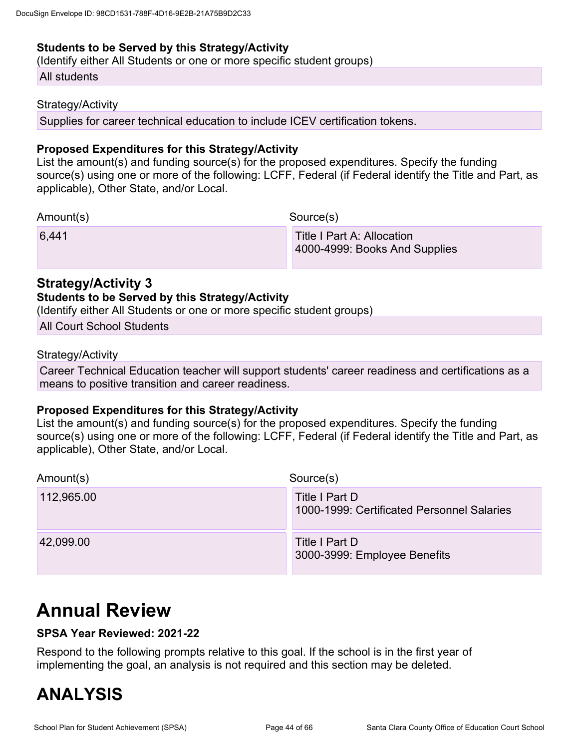#### **Students to be Served by this Strategy/Activity**

(Identify either All Students or one or more specific student groups)

All students

#### Strategy/Activity

Supplies for career technical education to include ICEV certification tokens.

#### **Proposed Expenditures for this Strategy/Activity**

List the amount(s) and funding source(s) for the proposed expenditures. Specify the funding source(s) using one or more of the following: LCFF, Federal (if Federal identify the Title and Part, as applicable), Other State, and/or Local.

Amount(s) Source(s)

6,441 Title I Part A: Allocation 4000-4999: Books And Supplies

### **Strategy/Activity 3**

#### **Students to be Served by this Strategy/Activity**

(Identify either All Students or one or more specific student groups)

All Court School Students

#### Strategy/Activity

Career Technical Education teacher will support students' career readiness and certifications as a means to positive transition and career readiness.

#### **Proposed Expenditures for this Strategy/Activity**

List the amount(s) and funding source(s) for the proposed expenditures. Specify the funding source(s) using one or more of the following: LCFF, Federal (if Federal identify the Title and Part, as applicable), Other State, and/or Local.

| Amount(s)  | Source(s)                                                    |
|------------|--------------------------------------------------------------|
| 112,965.00 | Title I Part D<br>1000-1999: Certificated Personnel Salaries |
| 42,099.00  | Title I Part D<br>3000-3999: Employee Benefits               |

# **Annual Review**

### **SPSA Year Reviewed: 2021-22**

Respond to the following prompts relative to this goal. If the school is in the first year of implementing the goal, an analysis is not required and this section may be deleted.

# **ANALYSIS**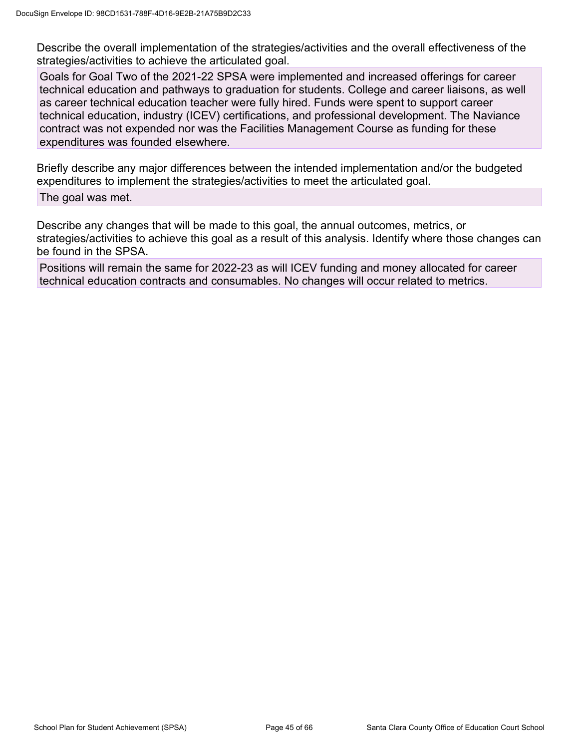Describe the overall implementation of the strategies/activities and the overall effectiveness of the strategies/activities to achieve the articulated goal.

Goals for Goal Two of the 2021-22 SPSA were implemented and increased offerings for career technical education and pathways to graduation for students. College and career liaisons, as well as career technical education teacher were fully hired. Funds were spent to support career technical education, industry (ICEV) certifications, and professional development. The Naviance contract was not expended nor was the Facilities Management Course as funding for these expenditures was founded elsewhere.

Briefly describe any major differences between the intended implementation and/or the budgeted expenditures to implement the strategies/activities to meet the articulated goal.

The goal was met.

Describe any changes that will be made to this goal, the annual outcomes, metrics, or strategies/activities to achieve this goal as a result of this analysis. Identify where those changes can be found in the SPSA.

Positions will remain the same for 2022-23 as will ICEV funding and money allocated for career technical education contracts and consumables. No changes will occur related to metrics.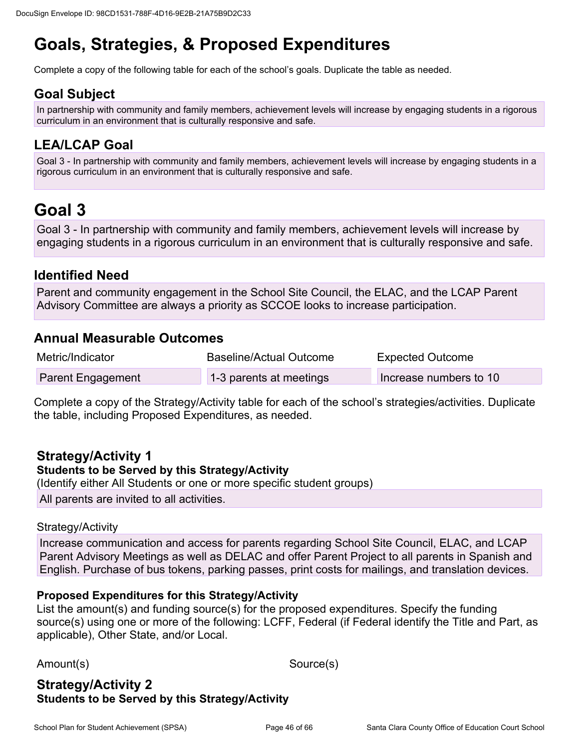# **Goals, Strategies, & Proposed Expenditures**

Complete a copy of the following table for each of the school's goals. Duplicate the table as needed.

### **Goal Subject**

In partnership with community and family members, achievement levels will increase by engaging students in a rigorous curriculum in an environment that is culturally responsive and safe.

## **LEA/LCAP Goal**

Goal 3 - In partnership with community and family members, achievement levels will increase by engaging students in a rigorous curriculum in an environment that is culturally responsive and safe.

# **Goal 3**

Goal 3 - In partnership with community and family members, achievement levels will increase by engaging students in a rigorous curriculum in an environment that is culturally responsive and safe.

### **Identified Need**

Parent and community engagement in the School Site Council, the ELAC, and the LCAP Parent Advisory Committee are always a priority as SCCOE looks to increase participation.

### **Annual Measurable Outcomes**

| Metric/Indicator         | Baseline/Actual Outcome | <b>Expected Outcome</b> |
|--------------------------|-------------------------|-------------------------|
| <b>Parent Engagement</b> | 1-3 parents at meetings | Increase numbers to 10  |

Complete a copy of the Strategy/Activity table for each of the school's strategies/activities. Duplicate the table, including Proposed Expenditures, as needed.

### **Strategy/Activity 1**

### **Students to be Served by this Strategy/Activity**

(Identify either All Students or one or more specific student groups) All parents are invited to all activities.

### Strategy/Activity

Increase communication and access for parents regarding School Site Council, ELAC, and LCAP Parent Advisory Meetings as well as DELAC and offer Parent Project to all parents in Spanish and English. Purchase of bus tokens, parking passes, print costs for mailings, and translation devices.

### **Proposed Expenditures for this Strategy/Activity**

List the amount(s) and funding source(s) for the proposed expenditures. Specify the funding source(s) using one or more of the following: LCFF, Federal (if Federal identify the Title and Part, as applicable), Other State, and/or Local.

Amount(s) Source(s)

### **Strategy/Activity 2 Students to be Served by this Strategy/Activity**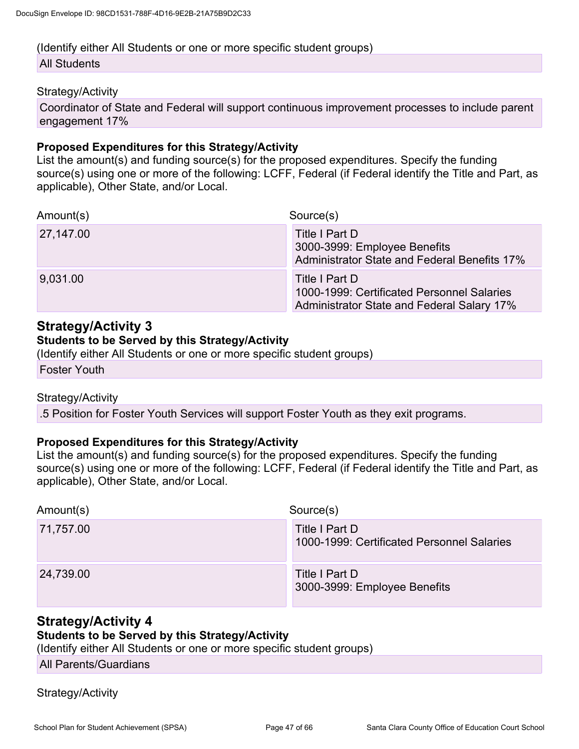### (Identify either All Students or one or more specific student groups) All Students

#### Strategy/Activity

Coordinator of State and Federal will support continuous improvement processes to include parent engagement 17%

#### **Proposed Expenditures for this Strategy/Activity**

List the amount(s) and funding source(s) for the proposed expenditures. Specify the funding source(s) using one or more of the following: LCFF, Federal (if Federal identify the Title and Part, as applicable), Other State, and/or Local.

| Amount(s) | Source(s)                                                                                                  |
|-----------|------------------------------------------------------------------------------------------------------------|
| 27,147.00 | Title I Part D<br>3000-3999: Employee Benefits<br>Administrator State and Federal Benefits 17%             |
| 9,031.00  | Title I Part D<br>1000-1999: Certificated Personnel Salaries<br>Administrator State and Federal Salary 17% |

### **Strategy/Activity 3**

#### **Students to be Served by this Strategy/Activity**

(Identify either All Students or one or more specific student groups)

Foster Youth

#### Strategy/Activity

.5 Position for Foster Youth Services will support Foster Youth as they exit programs.

#### **Proposed Expenditures for this Strategy/Activity**

List the amount(s) and funding source(s) for the proposed expenditures. Specify the funding source(s) using one or more of the following: LCFF, Federal (if Federal identify the Title and Part, as applicable), Other State, and/or Local.

| Amount(s) | Source(s)                                                    |
|-----------|--------------------------------------------------------------|
| 71,757.00 | Title I Part D<br>1000-1999: Certificated Personnel Salaries |
| 24,739.00 | Title I Part D<br>3000-3999: Employee Benefits               |

### **Strategy/Activity 4**

#### **Students to be Served by this Strategy/Activity**

(Identify either All Students or one or more specific student groups)

All Parents/Guardians

Strategy/Activity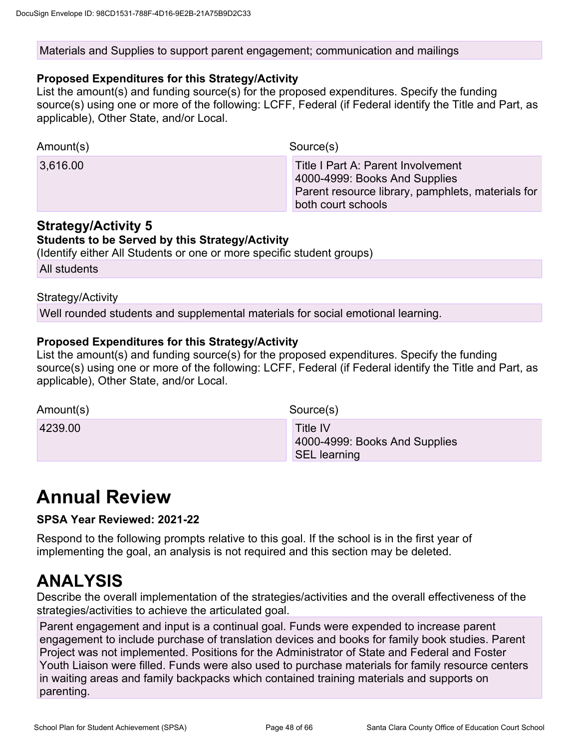#### Materials and Supplies to support parent engagement; communication and mailings

#### **Proposed Expenditures for this Strategy/Activity**

List the amount(s) and funding source(s) for the proposed expenditures. Specify the funding source(s) using one or more of the following: LCFF, Federal (if Federal identify the Title and Part, as applicable), Other State, and/or Local.

| Amount(s) | Source(s)                                                                                                                                      |
|-----------|------------------------------------------------------------------------------------------------------------------------------------------------|
| 3,616.00  | Title I Part A: Parent Involvement<br>4000-4999: Books And Supplies<br>Parent resource library, pamphlets, materials for<br>both court schools |

### **Strategy/Activity 5**

#### **Students to be Served by this Strategy/Activity**

(Identify either All Students or one or more specific student groups)

All students

Strategy/Activity

Well rounded students and supplemental materials for social emotional learning.

### **Proposed Expenditures for this Strategy/Activity**

List the amount(s) and funding source(s) for the proposed expenditures. Specify the funding source(s) using one or more of the following: LCFF, Federal (if Federal identify the Title and Part, as applicable), Other State, and/or Local.

| Amount(s) | Source(s)                                                        |
|-----------|------------------------------------------------------------------|
| 4239.00   | Title IV<br>4000-4999: Books And Supplies<br><b>SEL learning</b> |

# **Annual Review**

### **SPSA Year Reviewed: 2021-22**

Respond to the following prompts relative to this goal. If the school is in the first year of implementing the goal, an analysis is not required and this section may be deleted.

## **ANALYSIS**

Describe the overall implementation of the strategies/activities and the overall effectiveness of the strategies/activities to achieve the articulated goal.

Parent engagement and input is a continual goal. Funds were expended to increase parent engagement to include purchase of translation devices and books for family book studies. Parent Project was not implemented. Positions for the Administrator of State and Federal and Foster Youth Liaison were filled. Funds were also used to purchase materials for family resource centers in waiting areas and family backpacks which contained training materials and supports on parenting.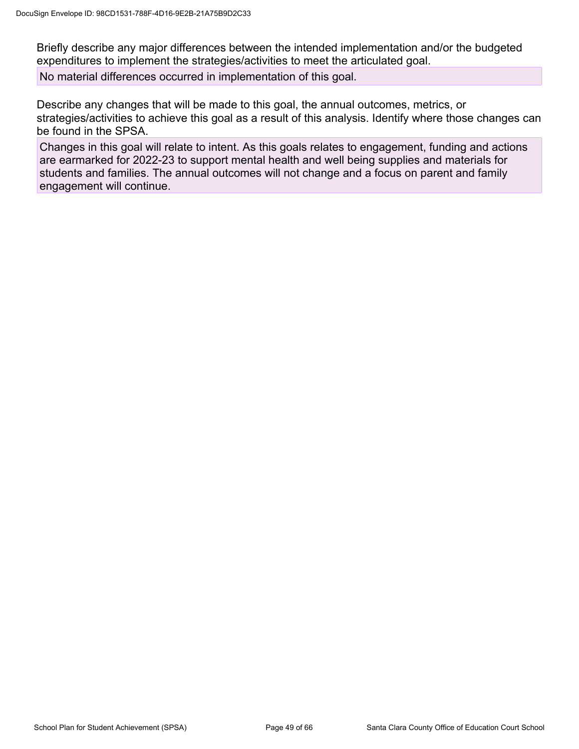Briefly describe any major differences between the intended implementation and/or the budgeted expenditures to implement the strategies/activities to meet the articulated goal.

No material differences occurred in implementation of this goal.

Describe any changes that will be made to this goal, the annual outcomes, metrics, or strategies/activities to achieve this goal as a result of this analysis. Identify where those changes can be found in the SPSA.

Changes in this goal will relate to intent. As this goals relates to engagement, funding and actions are earmarked for 2022-23 to support mental health and well being supplies and materials for students and families. The annual outcomes will not change and a focus on parent and family engagement will continue.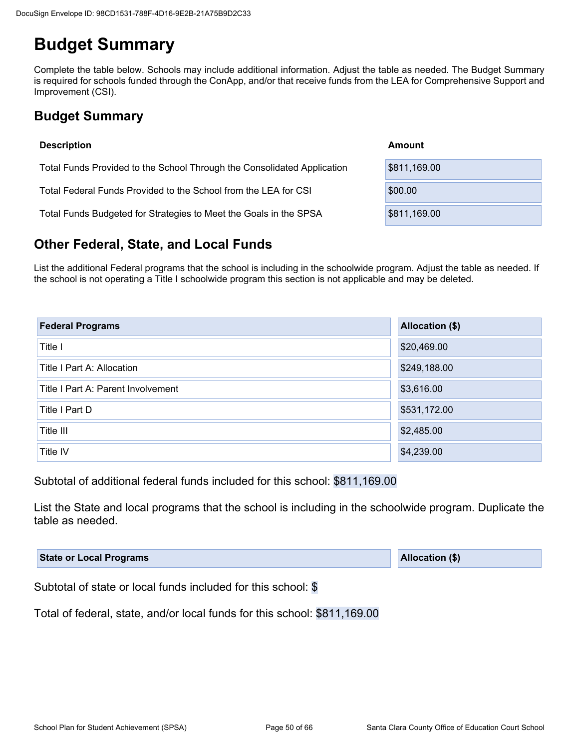# **Budget Summary**

Complete the table below. Schools may include additional information. Adjust the table as needed. The Budget Summary is required for schools funded through the ConApp, and/or that receive funds from the LEA for Comprehensive Support and Improvement (CSI).

## **Budget Summary**

| <b>Description</b>                                                      | Amount       |
|-------------------------------------------------------------------------|--------------|
| Total Funds Provided to the School Through the Consolidated Application | \$811,169.00 |
| Total Federal Funds Provided to the School from the LEA for CSI         | \$00.00      |
| Total Funds Budgeted for Strategies to Meet the Goals in the SPSA       | \$811,169.00 |

## **Other Federal, State, and Local Funds**

List the additional Federal programs that the school is including in the schoolwide program. Adjust the table as needed. If the school is not operating a Title I schoolwide program this section is not applicable and may be deleted.

| <b>Federal Programs</b>            | Allocation (\$) |
|------------------------------------|-----------------|
| Title I                            | \$20,469.00     |
| Title I Part A: Allocation         | \$249,188.00    |
| Title I Part A: Parent Involvement | \$3,616.00      |
| Title I Part D                     | \$531,172.00    |
| Title III                          | \$2,485.00      |
| Title IV                           | \$4,239.00      |

Subtotal of additional federal funds included for this school: \$811,169.00

List the State and local programs that the school is including in the schoolwide program. Duplicate the table as needed.

| <b>State or Local Programs</b> | Allocation (\$) |  |
|--------------------------------|-----------------|--|
|--------------------------------|-----------------|--|

Subtotal of state or local funds included for this school: \$

Total of federal, state, and/or local funds for this school: \$811,169.00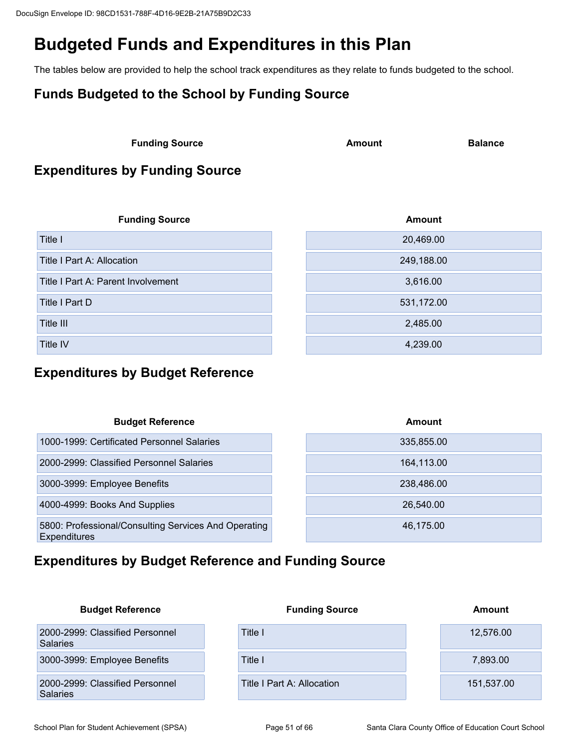# **Budgeted Funds and Expenditures in this Plan**

The tables below are provided to help the school track expenditures as they relate to funds budgeted to the school.

## **Funds Budgeted to the School by Funding Source**

**Funding Source Amount Balance Balance** 

## **Expenditures by Funding Source**

| <b>Funding Source</b>              | <b>Amount</b> |
|------------------------------------|---------------|
| Title I                            | 20,469.00     |
| Title I Part A: Allocation         | 249,188.00    |
| Title I Part A: Parent Involvement | 3,616.00      |
| Title I Part D                     | 531,172.00    |
| Title III                          | 2,485.00      |
| Title IV                           | 4,239.00      |

## **Expenditures by Budget Reference**

| <b>Budget Reference</b>                                                     | Amount     |
|-----------------------------------------------------------------------------|------------|
| 1000-1999: Certificated Personnel Salaries                                  | 335,855.00 |
| 2000-2999: Classified Personnel Salaries                                    | 164,113.00 |
| 3000-3999: Employee Benefits                                                | 238,486.00 |
| 4000-4999: Books And Supplies                                               | 26.540.00  |
| 5800: Professional/Consulting Services And Operating<br><b>Expenditures</b> | 46,175.00  |

## **Expenditures by Budget Reference and Funding Source**

| <b>Budget Reference</b>                            | <b>Funding Source</b>      | Amount     |
|----------------------------------------------------|----------------------------|------------|
| 2000-2999: Classified Personnel<br><b>Salaries</b> | Title I                    | 12,576.00  |
| 3000-3999: Employee Benefits                       | Title I                    | 7,893.00   |
| 2000-2999: Classified Personnel<br>Salaries        | Title I Part A: Allocation | 151,537.00 |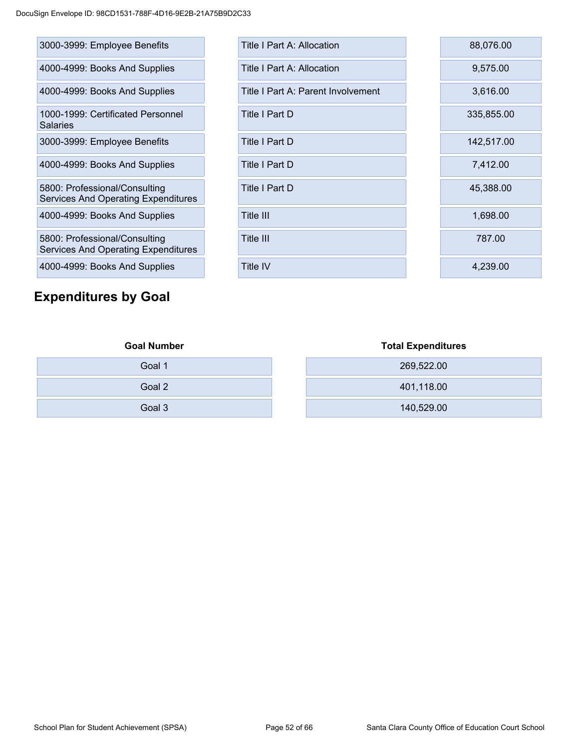| 3000-3999: Employee Benefits                                                |
|-----------------------------------------------------------------------------|
| 4000-4999: Books And Supplies                                               |
| 4000-4999: Books And Supplies                                               |
| 1000-1999: Certificated Personnel<br>Salaries                               |
| 3000-3999: Employee Benefits                                                |
| 4000-4999: Books And Supplies                                               |
| 5800: Professional/Consulting<br>Services And Operating Expenditures        |
| 4000-4999: Books And Supplies                                               |
| 5800: Professional/Consulting<br><b>Services And Operating Expenditures</b> |
| 4000-4999: Books And Supplies                                               |

## **Expenditures by Goal**

| 3000-3999: Employee Benefits                                                | <b>Title I Part A: Allocation</b>  | 88,076.00  |
|-----------------------------------------------------------------------------|------------------------------------|------------|
| 4000-4999: Books And Supplies                                               | Title I Part A: Allocation         | 9,575.00   |
| 4000-4999: Books And Supplies                                               | Title I Part A: Parent Involvement | 3,616.00   |
| 1000-1999: Certificated Personnel<br>Salaries                               | Title I Part D                     | 335,855.00 |
| 3000-3999: Employee Benefits                                                | Title I Part D                     | 142,517.00 |
| 4000-4999: Books And Supplies                                               | Title I Part D                     | 7,412.00   |
| 5800: Professional/Consulting<br><b>Services And Operating Expenditures</b> | Title I Part D                     | 45,388.00  |
| 4000-4999: Books And Supplies                                               | Title III                          | 1,698.00   |
| 5800: Professional/Consulting<br>Services And Operating Expenditures        | Title III                          | 787.00     |
| 4000-4999: Books And Supplies                                               | <b>Title IV</b>                    | 4,239.00   |

| Goal 1 |  |
|--------|--|
| Goal 2 |  |
| Goal 3 |  |

## **Goal Number Total Expenditures**

| Goal 1 | 269,522.00 |
|--------|------------|
| Goal 2 | 401,118.00 |
| Goal 3 | 140,529.00 |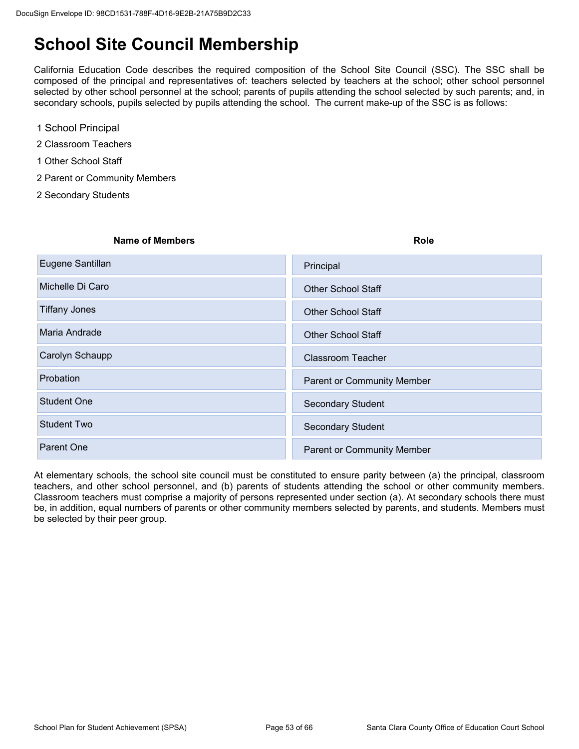# **School Site Council Membership**

California Education Code describes the required composition of the School Site Council (SSC). The SSC shall be composed of the principal and representatives of: teachers selected by teachers at the school; other school personnel selected by other school personnel at the school; parents of pupils attending the school selected by such parents; and, in secondary schools, pupils selected by pupils attending the school. The current make-up of the SSC is as follows:

- 1 School Principal
- 2 Classroom Teachers
- 1 Other School Staff
- 2 Parent or Community Members
- 2 Secondary Students

| <b>Name of Members</b> | <b>Role</b>                       |
|------------------------|-----------------------------------|
| Eugene Santillan       | Principal                         |
| Michelle Di Caro       | <b>Other School Staff</b>         |
| Tiffany Jones          | <b>Other School Staff</b>         |
| Maria Andrade          | <b>Other School Staff</b>         |
| Carolyn Schaupp        | <b>Classroom Teacher</b>          |
| Probation              | <b>Parent or Community Member</b> |
| <b>Student One</b>     | <b>Secondary Student</b>          |
| <b>Student Two</b>     | <b>Secondary Student</b>          |
| <b>Parent One</b>      | <b>Parent or Community Member</b> |
|                        |                                   |

At elementary schools, the school site council must be constituted to ensure parity between (a) the principal, classroom teachers, and other school personnel, and (b) parents of students attending the school or other community members. Classroom teachers must comprise a majority of persons represented under section (a). At secondary schools there must be, in addition, equal numbers of parents or other community members selected by parents, and students. Members must be selected by their peer group.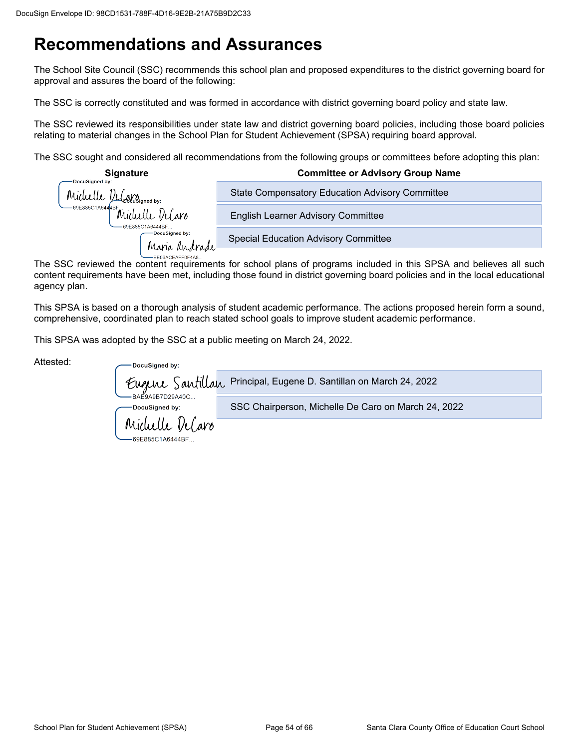# **Recommendations and Assurances**

The School Site Council (SSC) recommends this school plan and proposed expenditures to the district governing board for approval and assures the board of the following:

The SSC is correctly constituted and was formed in accordance with district governing board policy and state law.

The SSC reviewed its responsibilities under state law and district governing board policies, including those board policies relating to material changes in the School Plan for Student Achievement (SPSA) requiring board approval.

The SSC sought and considered all recommendations from the following groups or committees before adopting this plan:

| <b>Signature</b><br>DocuSigned by:                                              | <b>Committee or Advisory Group Name</b>                |
|---------------------------------------------------------------------------------|--------------------------------------------------------|
|                                                                                 | <b>State Compensatory Education Advisory Committee</b> |
| Michelle DeCoolisioned by:<br>OBB85C1A644BF Michelle DeCaro<br>69E885C1A6444BF. | <b>English Learner Advisory Committee</b>              |
| -DocuSigned by:<br>Maria Andrade                                                | <b>Special Education Advisory Committee</b>            |
| <b>EFORAGEAEEOEAAO</b>                                                          |                                                        |

The SSC reviewed the content requirements for school plans of programs included in this SPSA and believes all such content requirements have been met, including those found in district governing board policies and in the local educational agency plan.

This SPSA is based on a thorough analysis of student academic performance. The actions proposed herein form a sound, comprehensive, coordinated plan to reach stated school goals to improve student academic performance.

This SPSA was adopted by the SSC at a public meeting on March 24, 2022.

| Attested: | DocuSigned by:                      |                                                                   |
|-----------|-------------------------------------|-------------------------------------------------------------------|
|           |                                     | Eugene Santillan Principal, Eugene D. Santillan on March 24, 2022 |
|           | -BAE9A9B7D29A40C<br>∙DocuSigned by: | SSC Chairperson, Michelle De Caro on March 24, 2022               |
|           | Michelle DeCaro                     |                                                                   |
|           | 69E885C1A6444BF                     |                                                                   |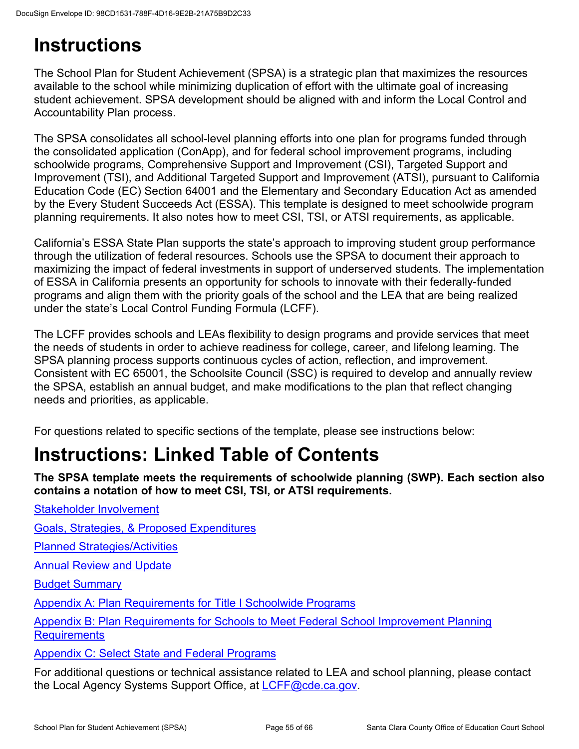# **Instructions**

The School Plan for Student Achievement (SPSA) is a strategic plan that maximizes the resources available to the school while minimizing duplication of effort with the ultimate goal of increasing student achievement. SPSA development should be aligned with and inform the Local Control and Accountability Plan process.

The SPSA consolidates all school-level planning efforts into one plan for programs funded through the consolidated application (ConApp), and for federal school improvement programs, including schoolwide programs, Comprehensive Support and Improvement (CSI), Targeted Support and Improvement (TSI), and Additional Targeted Support and Improvement (ATSI), pursuant to California Education Code (EC) Section 64001 and the Elementary and Secondary Education Act as amended by the Every Student Succeeds Act (ESSA). This template is designed to meet schoolwide program planning requirements. It also notes how to meet CSI, TSI, or ATSI requirements, as applicable.

California's ESSA State Plan supports the state's approach to improving student group performance through the utilization of federal resources. Schools use the SPSA to document their approach to maximizing the impact of federal investments in support of underserved students. The implementation of ESSA in California presents an opportunity for schools to innovate with their federally-funded programs and align them with the priority goals of the school and the LEA that are being realized under the state's Local Control Funding Formula (LCFF).

The LCFF provides schools and LEAs flexibility to design programs and provide services that meet the needs of students in order to achieve readiness for college, career, and lifelong learning. The SPSA planning process supports continuous cycles of action, reflection, and improvement. Consistent with EC 65001, the Schoolsite Council (SSC) is required to develop and annually review the SPSA, establish an annual budget, and make modifications to the plan that reflect changing needs and priorities, as applicable.

For questions related to specific sections of the template, please see instructions below:

# **Instructions: Linked Table of Contents**

**The SPSA template meets the requirements of schoolwide planning (SWP). Each section also contains a notation of how to meet CSI, TSI, or ATSI requirements.** 

[Goals, Strategies, & Proposed Expenditures](#page--1-3)

[Planned Strategies/Activities](#page--1-29)

**[Annual Review and Update](#page--1-27)** 

[Stakeholder Involvement](#page--1-25)

[Budget Summary](#page--1-28)

[Appendix A: Plan Requirements for Title I Schoolwide Programs](#page--1-3)

[Appendix B: Plan Requirements for Schools to Meet Federal School Improvement Planning](#page--1-3)  **[Requirements](#page--1-3)** 

[Appendix C: Select State and Federal Programs](#page--1-3)

For additional questions or technical assistance related to LEA and school planning, please contact the Local Agency Systems Support Office, at [LCFF@cde.ca.gov.](mailto:LCFF@cde.ca.gov)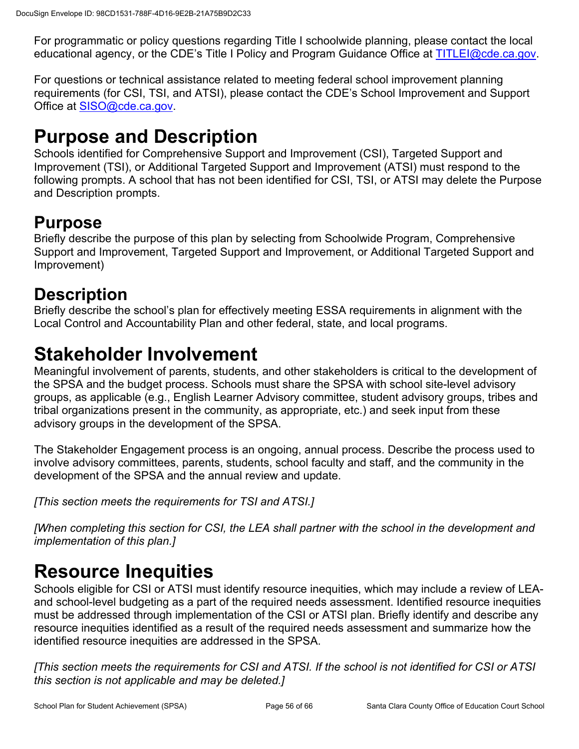For programmatic or policy questions regarding Title I schoolwide planning, please contact the local educational agency, or the CDE's Title I Policy and Program Guidance Office at [TITLEI@cde.ca.gov](mailto:TITLEI@cde.ca.gov).

For questions or technical assistance related to meeting federal school improvement planning requirements (for CSI, TSI, and ATSI), please contact the CDE's School Improvement and Support Office at [SISO@cde.ca.gov.](mailto:SISO@cde.ca.gov)

# **Purpose and Description**

Schools identified for Comprehensive Support and Improvement (CSI), Targeted Support and Improvement (TSI), or Additional Targeted Support and Improvement (ATSI) must respond to the following prompts. A school that has not been identified for CSI, TSI, or ATSI may delete the Purpose and Description prompts.

# **Purpose**

Briefly describe the purpose of this plan by selecting from Schoolwide Program, Comprehensive Support and Improvement, Targeted Support and Improvement, or Additional Targeted Support and Improvement)

# **Description**

Briefly describe the school's plan for effectively meeting ESSA requirements in alignment with the Local Control and Accountability Plan and other federal, state, and local programs.

# **Stakeholder Involvement**

Meaningful involvement of parents, students, and other stakeholders is critical to the development of the SPSA and the budget process. Schools must share the SPSA with school site-level advisory groups, as applicable (e.g., English Learner Advisory committee, student advisory groups, tribes and tribal organizations present in the community, as appropriate, etc.) and seek input from these advisory groups in the development of the SPSA.

The Stakeholder Engagement process is an ongoing, annual process. Describe the process used to involve advisory committees, parents, students, school faculty and staff, and the community in the development of the SPSA and the annual review and update.

*[This section meets the requirements for TSI and ATSI.]*

*[When completing this section for CSI, the LEA shall partner with the school in the development and implementation of this plan.]*

# **Resource Inequities**

Schools eligible for CSI or ATSI must identify resource inequities, which may include a review of LEAand school-level budgeting as a part of the required needs assessment. Identified resource inequities must be addressed through implementation of the CSI or ATSI plan. Briefly identify and describe any resource inequities identified as a result of the required needs assessment and summarize how the identified resource inequities are addressed in the SPSA.

*[This section meets the requirements for CSI and ATSI. If the school is not identified for CSI or ATSI this section is not applicable and may be deleted.]*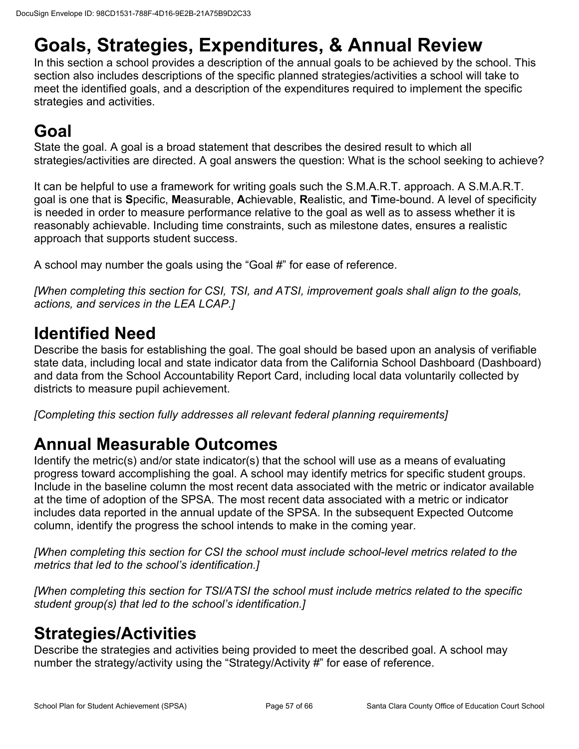# **Goals, Strategies, Expenditures, & Annual Review**

In this section a school provides a description of the annual goals to be achieved by the school. This section also includes descriptions of the specific planned strategies/activities a school will take to meet the identified goals, and a description of the expenditures required to implement the specific strategies and activities.

# **Goal**

State the goal. A goal is a broad statement that describes the desired result to which all strategies/activities are directed. A goal answers the question: What is the school seeking to achieve?

It can be helpful to use a framework for writing goals such the S.M.A.R.T. approach. A S.M.A.R.T. goal is one that is **S**pecific, **M**easurable, **A**chievable, **R**ealistic, and **T**ime-bound. A level of specificity is needed in order to measure performance relative to the goal as well as to assess whether it is reasonably achievable. Including time constraints, such as milestone dates, ensures a realistic approach that supports student success.

A school may number the goals using the "Goal #" for ease of reference.

*[When completing this section for CSI, TSI, and ATSI, improvement goals shall align to the goals, actions, and services in the LEA LCAP.]*

# **Identified Need**

Describe the basis for establishing the goal. The goal should be based upon an analysis of verifiable state data, including local and state indicator data from the California School Dashboard (Dashboard) and data from the School Accountability Report Card, including local data voluntarily collected by districts to measure pupil achievement.

*[Completing this section fully addresses all relevant federal planning requirements]*

# **Annual Measurable Outcomes**

Identify the metric(s) and/or state indicator(s) that the school will use as a means of evaluating progress toward accomplishing the goal. A school may identify metrics for specific student groups. Include in the baseline column the most recent data associated with the metric or indicator available at the time of adoption of the SPSA. The most recent data associated with a metric or indicator includes data reported in the annual update of the SPSA. In the subsequent Expected Outcome column, identify the progress the school intends to make in the coming year.

*[When completing this section for CSI the school must include school-level metrics related to the metrics that led to the school's identification.]*

*[When completing this section for TSI/ATSI the school must include metrics related to the specific student group(s) that led to the school's identification.]* 

# **Strategies/Activities**

Describe the strategies and activities being provided to meet the described goal. A school may number the strategy/activity using the "Strategy/Activity #" for ease of reference.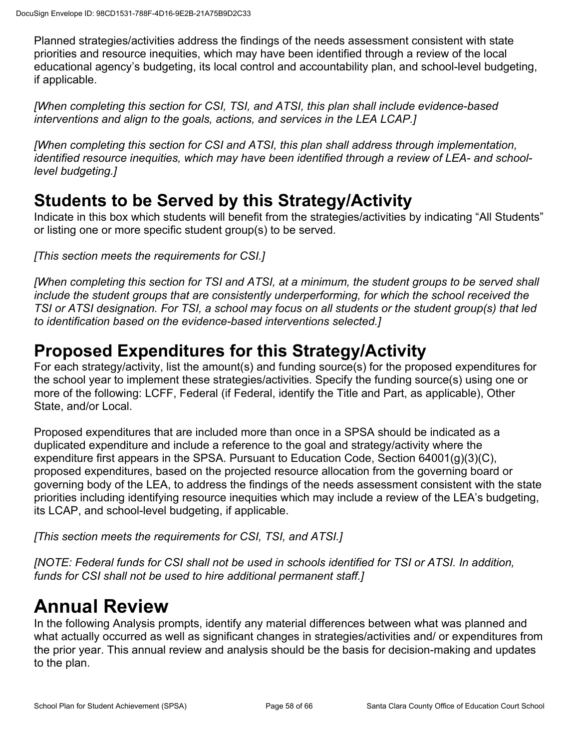Planned strategies/activities address the findings of the needs assessment consistent with state priorities and resource inequities, which may have been identified through a review of the local educational agency's budgeting, its local control and accountability plan, and school-level budgeting, if applicable.

*[When completing this section for CSI, TSI, and ATSI, this plan shall include evidence-based interventions and align to the goals, actions, and services in the LEA LCAP.]*

*[When completing this section for CSI and ATSI, this plan shall address through implementation, identified resource inequities, which may have been identified through a review of LEA- and schoollevel budgeting.]*

## **Students to be Served by this Strategy/Activity**

Indicate in this box which students will benefit from the strategies/activities by indicating "All Students" or listing one or more specific student group(s) to be served.

*[This section meets the requirements for CSI.]*

*[When completing this section for TSI and ATSI, at a minimum, the student groups to be served shall include the student groups that are consistently underperforming, for which the school received the TSI or ATSI designation. For TSI, a school may focus on all students or the student group(s) that led to identification based on the evidence-based interventions selected.]*

## **Proposed Expenditures for this Strategy/Activity**

For each strategy/activity, list the amount(s) and funding source(s) for the proposed expenditures for the school year to implement these strategies/activities. Specify the funding source(s) using one or more of the following: LCFF, Federal (if Federal, identify the Title and Part, as applicable), Other State, and/or Local.

Proposed expenditures that are included more than once in a SPSA should be indicated as a duplicated expenditure and include a reference to the goal and strategy/activity where the expenditure first appears in the SPSA. Pursuant to Education Code, Section 64001(g)(3)(C), proposed expenditures, based on the projected resource allocation from the governing board or governing body of the LEA, to address the findings of the needs assessment consistent with the state priorities including identifying resource inequities which may include a review of the LEA's budgeting, its LCAP, and school-level budgeting, if applicable.

*[This section meets the requirements for CSI, TSI, and ATSI.]*

*[NOTE: Federal funds for CSI shall not be used in schools identified for TSI or ATSI. In addition, funds for CSI shall not be used to hire additional permanent staff.]*

# **Annual Review**

In the following Analysis prompts, identify any material differences between what was planned and what actually occurred as well as significant changes in strategies/activities and/ or expenditures from the prior year. This annual review and analysis should be the basis for decision-making and updates to the plan.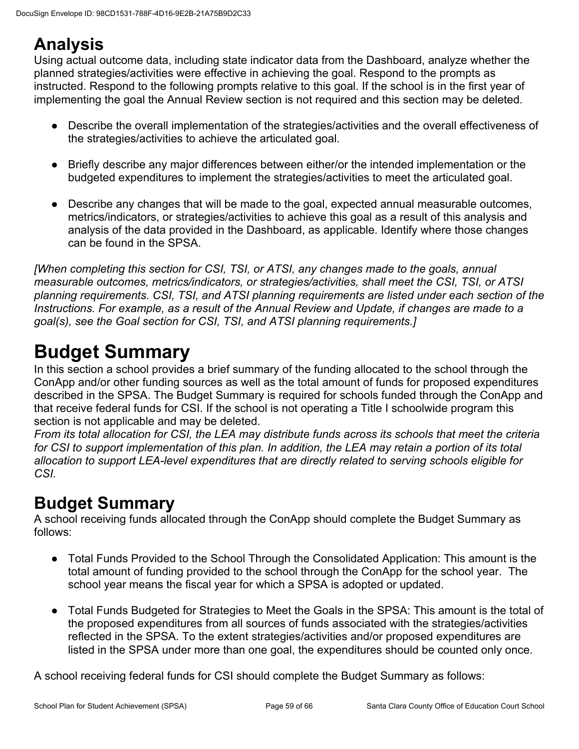# **Analysis**

Using actual outcome data, including state indicator data from the Dashboard, analyze whether the planned strategies/activities were effective in achieving the goal. Respond to the prompts as instructed. Respond to the following prompts relative to this goal. If the school is in the first year of implementing the goal the Annual Review section is not required and this section may be deleted.

- Describe the overall implementation of the strategies/activities and the overall effectiveness of the strategies/activities to achieve the articulated goal.
- Briefly describe any major differences between either/or the intended implementation or the budgeted expenditures to implement the strategies/activities to meet the articulated goal.
- Describe any changes that will be made to the goal, expected annual measurable outcomes, metrics/indicators, or strategies/activities to achieve this goal as a result of this analysis and analysis of the data provided in the Dashboard, as applicable. Identify where those changes can be found in the SPSA.

*[When completing this section for CSI, TSI, or ATSI, any changes made to the goals, annual measurable outcomes, metrics/indicators, or strategies/activities, shall meet the CSI, TSI, or ATSI planning requirements. CSI, TSI, and ATSI planning requirements are listed under each section of the Instructions. For example, as a result of the Annual Review and Update, if changes are made to a goal(s), see the Goal section for CSI, TSI, and ATSI planning requirements.]* 

# **Budget Summary**

In this section a school provides a brief summary of the funding allocated to the school through the ConApp and/or other funding sources as well as the total amount of funds for proposed expenditures described in the SPSA. The Budget Summary is required for schools funded through the ConApp and that receive federal funds for CSI. If the school is not operating a Title I schoolwide program this section is not applicable and may be deleted.

*From its total allocation for CSI, the LEA may distribute funds across its schools that meet the criteria for CSI to support implementation of this plan. In addition, the LEA may retain a portion of its total allocation to support LEA-level expenditures that are directly related to serving schools eligible for CSI.*

# **Budget Summary**

A school receiving funds allocated through the ConApp should complete the Budget Summary as follows:

- Total Funds Provided to the School Through the Consolidated Application: This amount is the total amount of funding provided to the school through the ConApp for the school year. The school year means the fiscal year for which a SPSA is adopted or updated.
- Total Funds Budgeted for Strategies to Meet the Goals in the SPSA: This amount is the total of the proposed expenditures from all sources of funds associated with the strategies/activities reflected in the SPSA. To the extent strategies/activities and/or proposed expenditures are listed in the SPSA under more than one goal, the expenditures should be counted only once.

A school receiving federal funds for CSI should complete the Budget Summary as follows: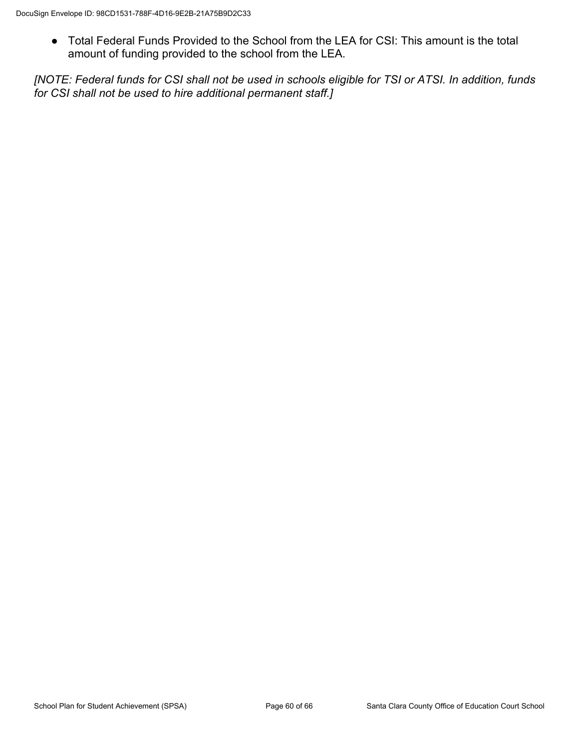● Total Federal Funds Provided to the School from the LEA for CSI: This amount is the total amount of funding provided to the school from the LEA.

*[NOTE: Federal funds for CSI shall not be used in schools eligible for TSI or ATSI. In addition, funds for CSI shall not be used to hire additional permanent staff.]*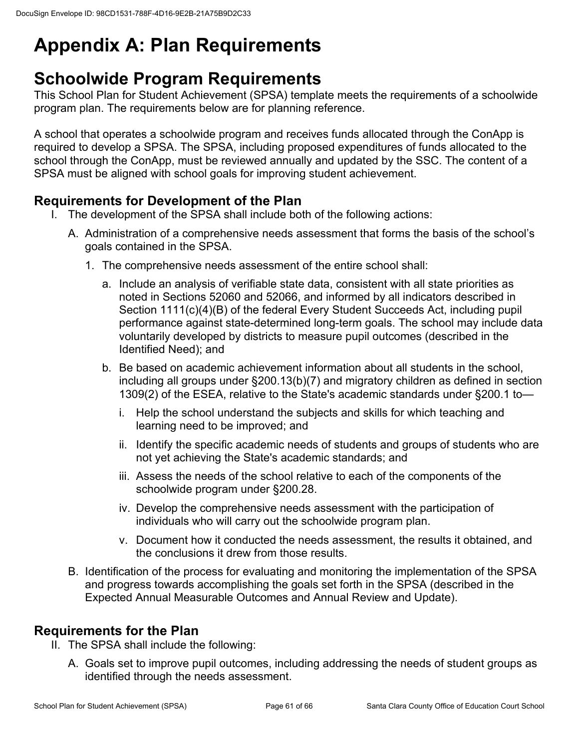# **Appendix A: Plan Requirements**

# **Schoolwide Program Requirements**

This School Plan for Student Achievement (SPSA) template meets the requirements of a schoolwide program plan. The requirements below are for planning reference.

A school that operates a schoolwide program and receives funds allocated through the ConApp is required to develop a SPSA. The SPSA, including proposed expenditures of funds allocated to the school through the ConApp, must be reviewed annually and updated by the SSC. The content of a SPSA must be aligned with school goals for improving student achievement.

## **Requirements for Development of the Plan**

- I. The development of the SPSA shall include both of the following actions:
	- A. Administration of a comprehensive needs assessment that forms the basis of the school's goals contained in the SPSA.
		- 1. The comprehensive needs assessment of the entire school shall:
			- a. Include an analysis of verifiable state data, consistent with all state priorities as noted in Sections 52060 and 52066, and informed by all indicators described in Section 1111(c)(4)(B) of the federal Every Student Succeeds Act, including pupil performance against state-determined long-term goals. The school may include data voluntarily developed by districts to measure pupil outcomes (described in the Identified Need); and
			- b. Be based on academic achievement information about all students in the school, including all groups under §200.13(b)(7) and migratory children as defined in section 1309(2) of the ESEA, relative to the State's academic standards under §200.1 to
				- i. Help the school understand the subjects and skills for which teaching and learning need to be improved; and
				- ii. Identify the specific academic needs of students and groups of students who are not yet achieving the State's academic standards; and
				- iii. Assess the needs of the school relative to each of the components of the schoolwide program under §200.28.
				- iv. Develop the comprehensive needs assessment with the participation of individuals who will carry out the schoolwide program plan.
				- v. Document how it conducted the needs assessment, the results it obtained, and the conclusions it drew from those results.
	- B. Identification of the process for evaluating and monitoring the implementation of the SPSA and progress towards accomplishing the goals set forth in the SPSA (described in the Expected Annual Measurable Outcomes and Annual Review and Update).

### **Requirements for the Plan**

- II. The SPSA shall include the following:
	- A. Goals set to improve pupil outcomes, including addressing the needs of student groups as identified through the needs assessment.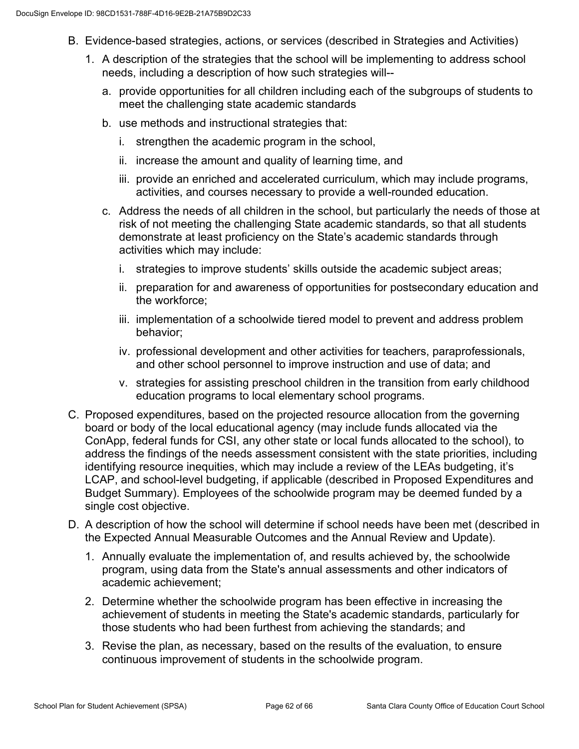- B. Evidence-based strategies, actions, or services (described in Strategies and Activities)
	- 1. A description of the strategies that the school will be implementing to address school needs, including a description of how such strategies will-
		- a. provide opportunities for all children including each of the subgroups of students to meet the challenging state academic standards
		- b. use methods and instructional strategies that:
			- i. strengthen the academic program in the school,
			- ii. increase the amount and quality of learning time, and
			- iii. provide an enriched and accelerated curriculum, which may include programs, activities, and courses necessary to provide a well-rounded education.
		- c. Address the needs of all children in the school, but particularly the needs of those at risk of not meeting the challenging State academic standards, so that all students demonstrate at least proficiency on the State's academic standards through activities which may include:
			- i. strategies to improve students' skills outside the academic subject areas;
			- ii. preparation for and awareness of opportunities for postsecondary education and the workforce;
			- iii. implementation of a schoolwide tiered model to prevent and address problem behavior;
			- iv. professional development and other activities for teachers, paraprofessionals, and other school personnel to improve instruction and use of data; and
			- v. strategies for assisting preschool children in the transition from early childhood education programs to local elementary school programs.
- C. Proposed expenditures, based on the projected resource allocation from the governing board or body of the local educational agency (may include funds allocated via the ConApp, federal funds for CSI, any other state or local funds allocated to the school), to address the findings of the needs assessment consistent with the state priorities, including identifying resource inequities, which may include a review of the LEAs budgeting, it's LCAP, and school-level budgeting, if applicable (described in Proposed Expenditures and Budget Summary). Employees of the schoolwide program may be deemed funded by a single cost objective.
- D. A description of how the school will determine if school needs have been met (described in the Expected Annual Measurable Outcomes and the Annual Review and Update).
	- 1. Annually evaluate the implementation of, and results achieved by, the schoolwide program, using data from the State's annual assessments and other indicators of academic achievement;
	- 2. Determine whether the schoolwide program has been effective in increasing the achievement of students in meeting the State's academic standards, particularly for those students who had been furthest from achieving the standards; and
	- 3. Revise the plan, as necessary, based on the results of the evaluation, to ensure continuous improvement of students in the schoolwide program.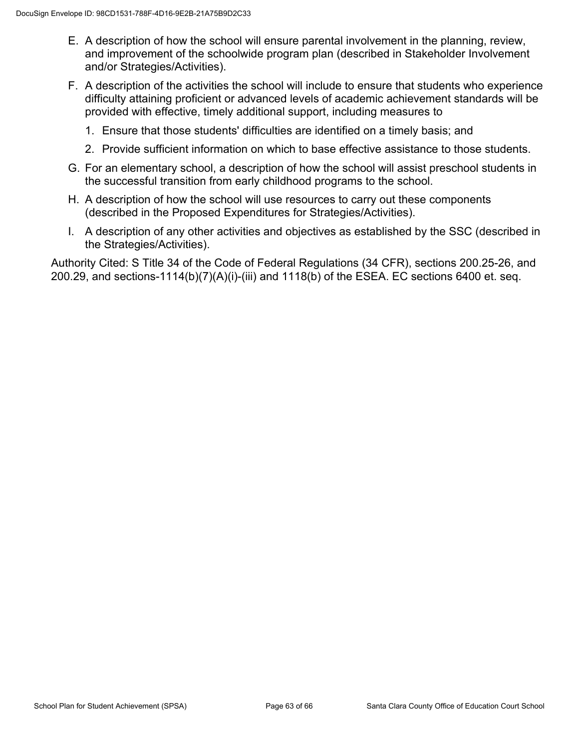- E. A description of how the school will ensure parental involvement in the planning, review, and improvement of the schoolwide program plan (described in Stakeholder Involvement and/or Strategies/Activities).
- F. A description of the activities the school will include to ensure that students who experience difficulty attaining proficient or advanced levels of academic achievement standards will be provided with effective, timely additional support, including measures to
	- 1. Ensure that those students' difficulties are identified on a timely basis; and
	- 2. Provide sufficient information on which to base effective assistance to those students.
- G. For an elementary school, a description of how the school will assist preschool students in the successful transition from early childhood programs to the school.
- H. A description of how the school will use resources to carry out these components (described in the Proposed Expenditures for Strategies/Activities).
- I. A description of any other activities and objectives as established by the SSC (described in the Strategies/Activities).

Authority Cited: S Title 34 of the Code of Federal Regulations (34 CFR), sections 200.25-26, and 200.29, and sections-1114(b)(7)(A)(i)-(iii) and 1118(b) of the ESEA. EC sections 6400 et. seq.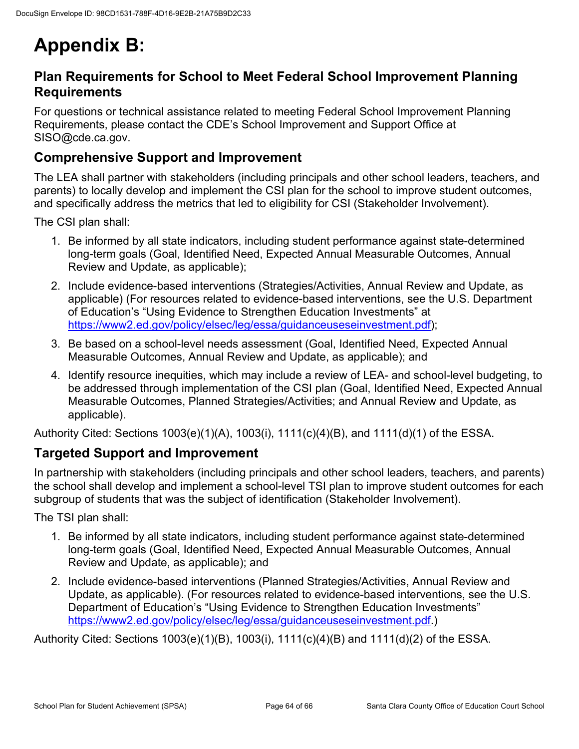# **Appendix B:**

### **Plan Requirements for School to Meet Federal School Improvement Planning Requirements**

For questions or technical assistance related to meeting Federal School Improvement Planning Requirements, please contact the CDE's School Improvement and Support Office at SISO@cde.ca.gov.

### **Comprehensive Support and Improvement**

The LEA shall partner with stakeholders (including principals and other school leaders, teachers, and parents) to locally develop and implement the CSI plan for the school to improve student outcomes, and specifically address the metrics that led to eligibility for CSI (Stakeholder Involvement).

The CSI plan shall:

- 1. Be informed by all state indicators, including student performance against state-determined long-term goals (Goal, Identified Need, Expected Annual Measurable Outcomes, Annual Review and Update, as applicable);
- 2. Include evidence-based interventions (Strategies/Activities, Annual Review and Update, as applicable) (For resources related to evidence-based interventions, see the U.S. Department of Education's "Using Evidence to Strengthen Education Investments" at [https://www2.ed.gov/policy/elsec/leg/essa/guidanceuseseinvestment.pdf\)](https://www2.ed.gov/policy/elsec/leg/essa/guidanceuseseinvestment.pdf);
- 3. Be based on a school-level needs assessment (Goal, Identified Need, Expected Annual Measurable Outcomes, Annual Review and Update, as applicable); and
- 4. Identify resource inequities, which may include a review of LEA- and school-level budgeting, to be addressed through implementation of the CSI plan (Goal, Identified Need, Expected Annual Measurable Outcomes, Planned Strategies/Activities; and Annual Review and Update, as applicable).

Authority Cited: Sections 1003(e)(1)(A), 1003(i), 1111(c)(4)(B), and 1111(d)(1) of the ESSA.

### **Targeted Support and Improvement**

In partnership with stakeholders (including principals and other school leaders, teachers, and parents) the school shall develop and implement a school-level TSI plan to improve student outcomes for each subgroup of students that was the subject of identification (Stakeholder Involvement).

The TSI plan shall:

- 1. Be informed by all state indicators, including student performance against state-determined long-term goals (Goal, Identified Need, Expected Annual Measurable Outcomes, Annual Review and Update, as applicable); and
- 2. Include evidence-based interventions (Planned Strategies/Activities, Annual Review and Update, as applicable). (For resources related to evidence-based interventions, see the U.S. Department of Education's "Using Evidence to Strengthen Education Investments" [https://www2.ed.gov/policy/elsec/leg/essa/guidanceuseseinvestment.pdf.](https://www2.ed.gov/policy/elsec/leg/essa/guidanceuseseinvestment.pdf))

Authority Cited: Sections 1003(e)(1)(B), 1003(i), 1111(c)(4)(B) and 1111(d)(2) of the ESSA.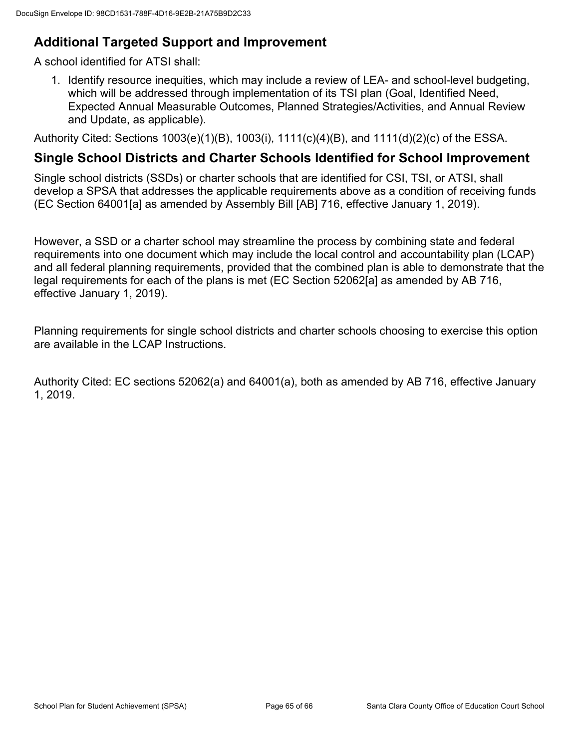## **Additional Targeted Support and Improvement**

A school identified for ATSI shall:

1. Identify resource inequities, which may include a review of LEA- and school-level budgeting, which will be addressed through implementation of its TSI plan (Goal, Identified Need, Expected Annual Measurable Outcomes, Planned Strategies/Activities, and Annual Review and Update, as applicable).

Authority Cited: Sections 1003(e)(1)(B), 1003(i), 1111(c)(4)(B), and 1111(d)(2)(c) of the ESSA.

### **Single School Districts and Charter Schools Identified for School Improvement**

Single school districts (SSDs) or charter schools that are identified for CSI, TSI, or ATSI, shall develop a SPSA that addresses the applicable requirements above as a condition of receiving funds (EC Section 64001[a] as amended by Assembly Bill [AB] 716, effective January 1, 2019).

However, a SSD or a charter school may streamline the process by combining state and federal requirements into one document which may include the local control and accountability plan (LCAP) and all federal planning requirements, provided that the combined plan is able to demonstrate that the legal requirements for each of the plans is met (EC Section 52062[a] as amended by AB 716, effective January 1, 2019).

Planning requirements for single school districts and charter schools choosing to exercise this option are available in the LCAP Instructions.

Authority Cited: EC sections 52062(a) and 64001(a), both as amended by AB 716, effective January 1, 2019.